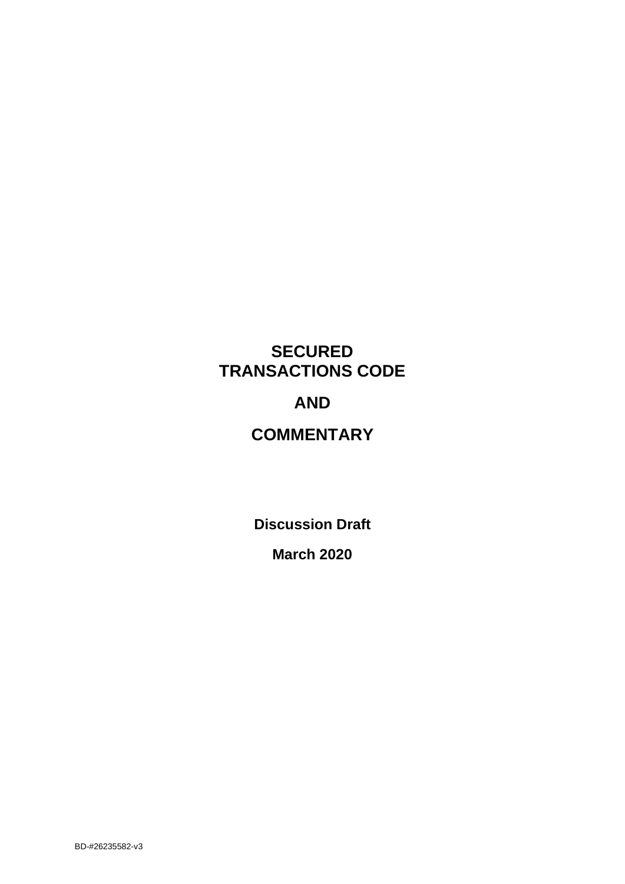# **SECURED TRANSACTIONS CODE**

# **AND**

# **COMMENTARY**

**Discussion Draft**

**March 2020**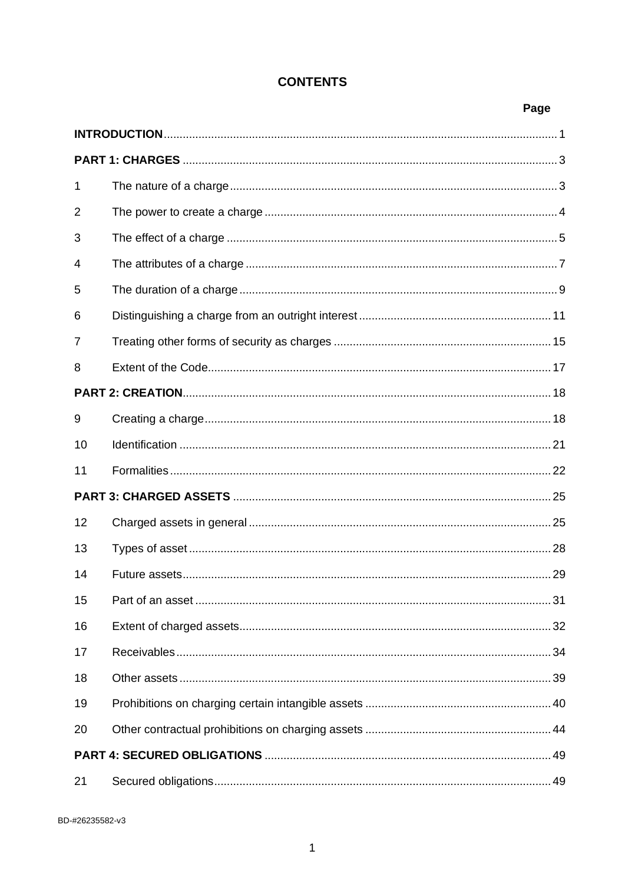## **CONTENTS**

## Page

| 1  |  |  |  |
|----|--|--|--|
| 2  |  |  |  |
| 3  |  |  |  |
| 4  |  |  |  |
| 5  |  |  |  |
| 6  |  |  |  |
| 7  |  |  |  |
| 8  |  |  |  |
|    |  |  |  |
| 9  |  |  |  |
| 10 |  |  |  |
| 11 |  |  |  |
|    |  |  |  |
| 12 |  |  |  |
| 13 |  |  |  |
| 14 |  |  |  |
| 15 |  |  |  |
| 16 |  |  |  |
| 17 |  |  |  |
| 18 |  |  |  |
| 19 |  |  |  |
| 20 |  |  |  |
|    |  |  |  |
| 21 |  |  |  |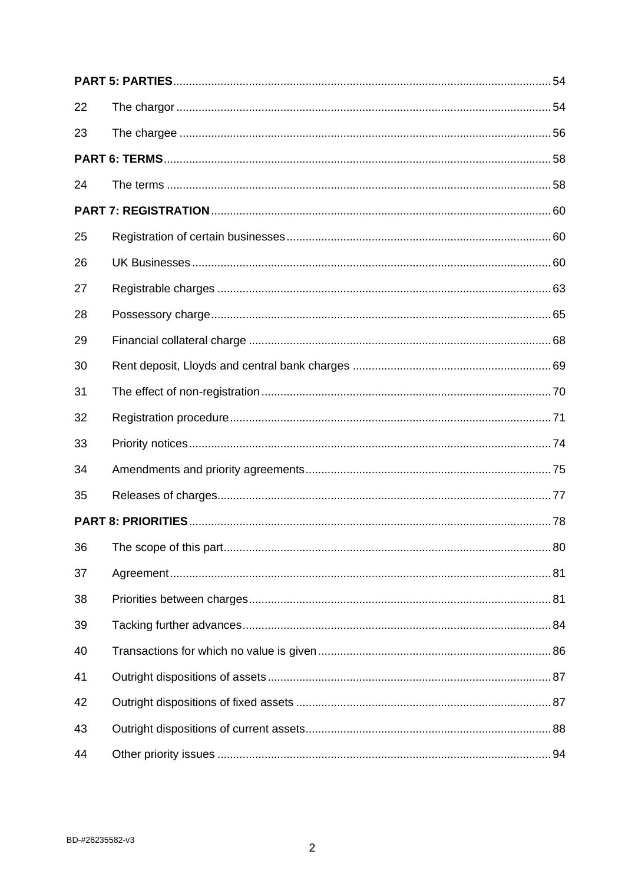| 22 |  |
|----|--|
| 23 |  |
|    |  |
| 24 |  |
|    |  |
| 25 |  |
| 26 |  |
| 27 |  |
| 28 |  |
| 29 |  |
| 30 |  |
| 31 |  |
| 32 |  |
| 33 |  |
| 34 |  |
| 35 |  |
|    |  |
| 36 |  |
| 37 |  |
| 38 |  |
| 39 |  |
| 40 |  |
| 41 |  |
| 42 |  |
| 43 |  |
| 44 |  |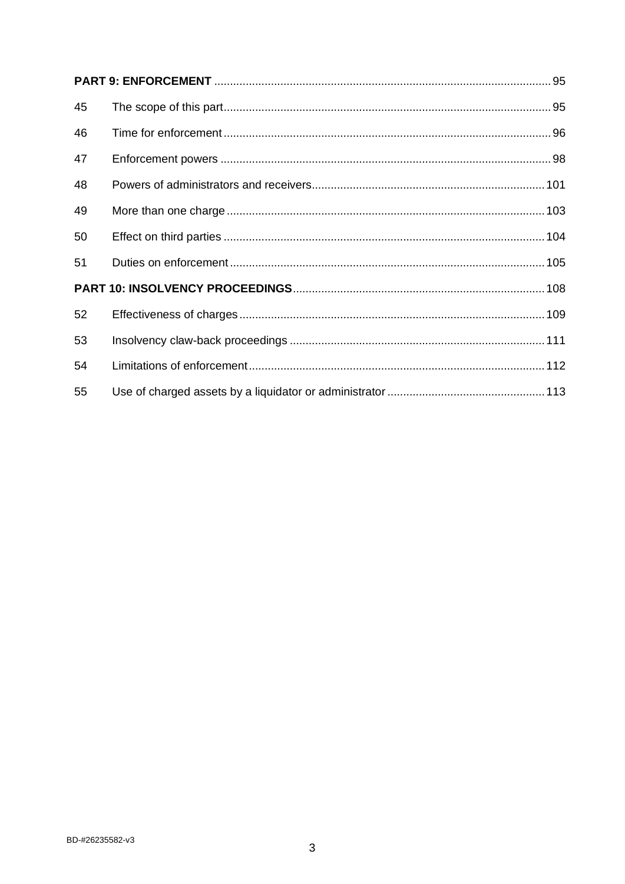| 45 |  |
|----|--|
| 46 |  |
| 47 |  |
| 48 |  |
| 49 |  |
| 50 |  |
| 51 |  |
|    |  |
| 52 |  |
| 53 |  |
| 54 |  |
| 55 |  |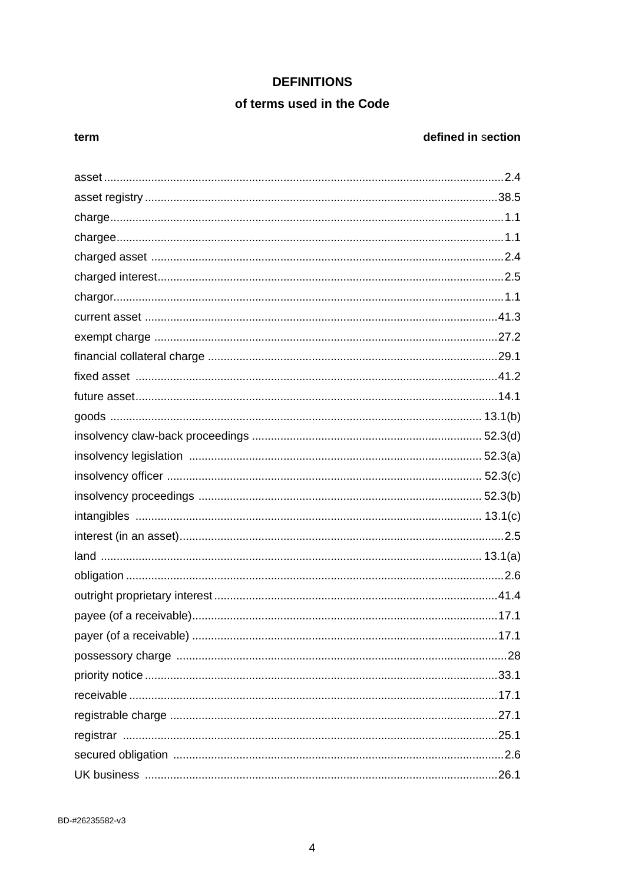## **DEFINITIONS**

## of terms used in the Code

#### term

## defined in section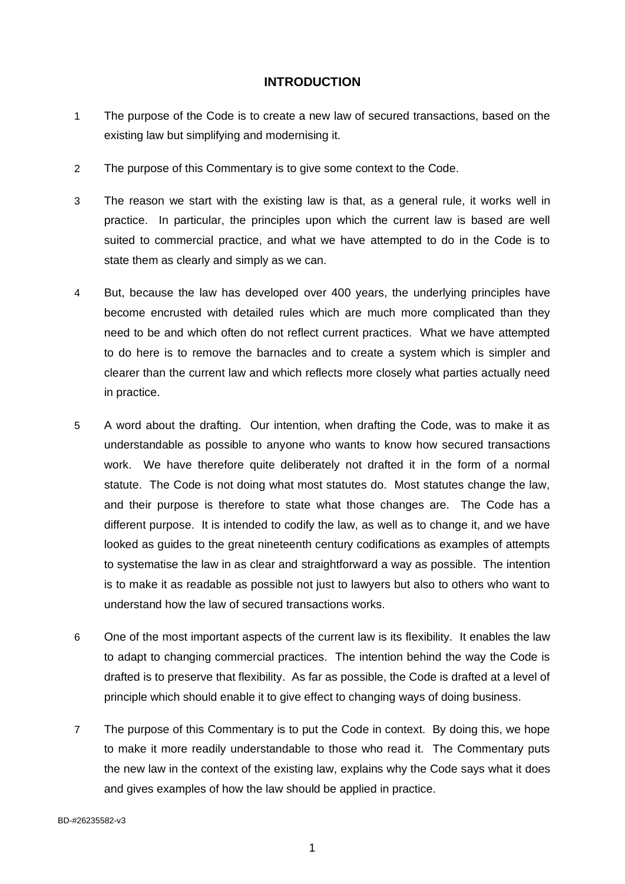## <span id="page-5-0"></span>**INTRODUCTION**

- 1 The purpose of the Code is to create a new law of secured transactions, based on the existing law but simplifying and modernising it.
- 2 The purpose of this Commentary is to give some context to the Code.
- 3 The reason we start with the existing law is that, as a general rule, it works well in practice. In particular, the principles upon which the current law is based are well suited to commercial practice, and what we have attempted to do in the Code is to state them as clearly and simply as we can.
- 4 But, because the law has developed over 400 years, the underlying principles have become encrusted with detailed rules which are much more complicated than they need to be and which often do not reflect current practices. What we have attempted to do here is to remove the barnacles and to create a system which is simpler and clearer than the current law and which reflects more closely what parties actually need in practice.
- 5 A word about the drafting. Our intention, when drafting the Code, was to make it as understandable as possible to anyone who wants to know how secured transactions work. We have therefore quite deliberately not drafted it in the form of a normal statute. The Code is not doing what most statutes do. Most statutes change the law, and their purpose is therefore to state what those changes are. The Code has a different purpose. It is intended to codify the law, as well as to change it, and we have looked as guides to the great nineteenth century codifications as examples of attempts to systematise the law in as clear and straightforward a way as possible. The intention is to make it as readable as possible not just to lawyers but also to others who want to understand how the law of secured transactions works.
- 6 One of the most important aspects of the current law is its flexibility. It enables the law to adapt to changing commercial practices. The intention behind the way the Code is drafted is to preserve that flexibility. As far as possible, the Code is drafted at a level of principle which should enable it to give effect to changing ways of doing business.
- 7 The purpose of this Commentary is to put the Code in context. By doing this, we hope to make it more readily understandable to those who read it. The Commentary puts the new law in the context of the existing law, explains why the Code says what it does and gives examples of how the law should be applied in practice.

BD-#26235582-v3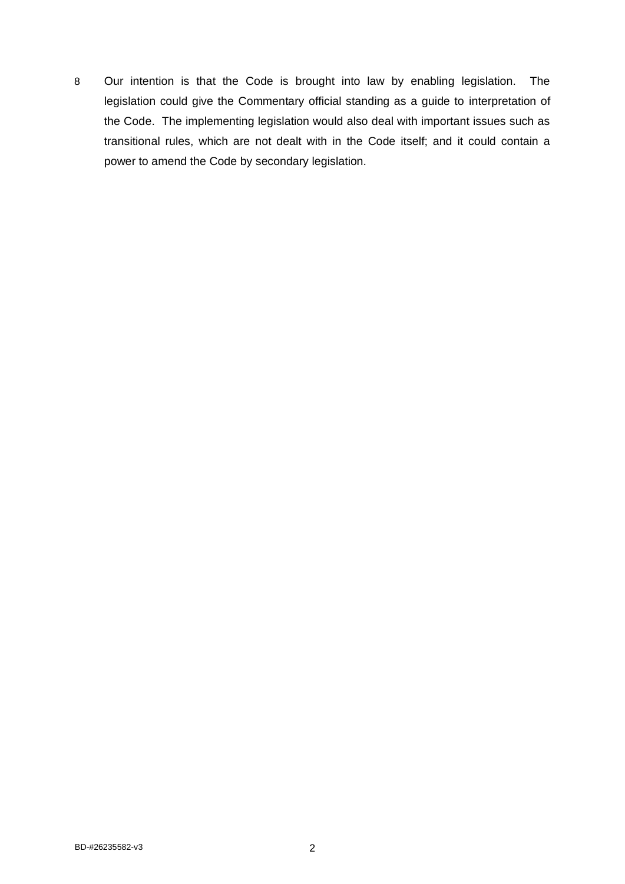8 Our intention is that the Code is brought into law by enabling legislation. The legislation could give the Commentary official standing as a guide to interpretation of the Code. The implementing legislation would also deal with important issues such as transitional rules, which are not dealt with in the Code itself; and it could contain a power to amend the Code by secondary legislation.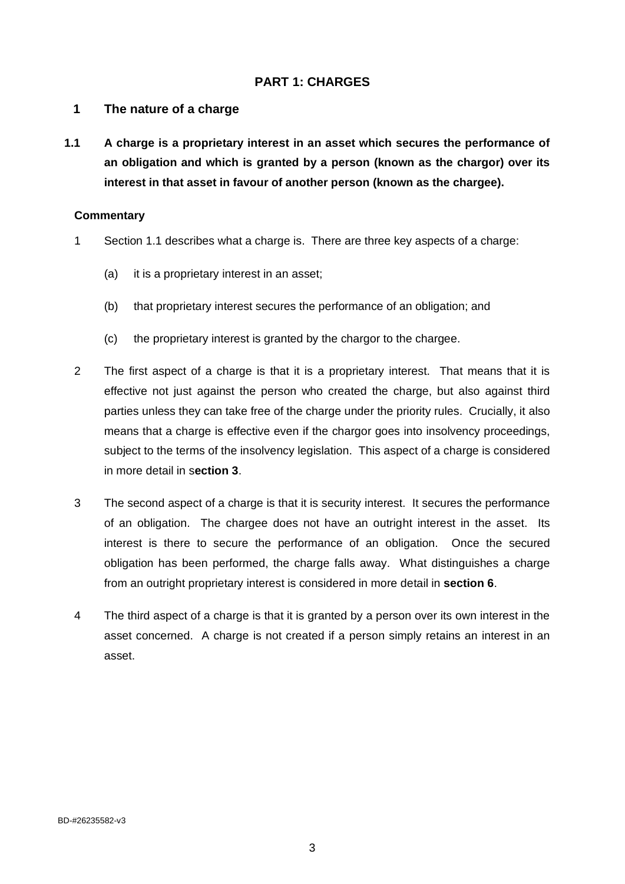## <span id="page-7-0"></span>**PART 1: CHARGES**

#### <span id="page-7-1"></span>**1 The nature of a charge**

**1.1 A charge is a proprietary interest in an asset which secures the performance of an obligation and which is granted by a person (known as the chargor) over its interest in that asset in favour of another person (known as the chargee).**

- 1 Section 1.1 describes what a charge is. There are three key aspects of a charge:
	- (a) it is a proprietary interest in an asset;
	- (b) that proprietary interest secures the performance of an obligation; and
	- (c) the proprietary interest is granted by the chargor to the chargee.
- 2 The first aspect of a charge is that it is a proprietary interest. That means that it is effective not just against the person who created the charge, but also against third parties unless they can take free of the charge under the priority rules. Crucially, it also means that a charge is effective even if the chargor goes into insolvency proceedings, subject to the terms of the insolvency legislation. This aspect of a charge is considered in more detail in s**ection 3**.
- 3 The second aspect of a charge is that it is security interest. It secures the performance of an obligation. The chargee does not have an outright interest in the asset. Its interest is there to secure the performance of an obligation. Once the secured obligation has been performed, the charge falls away. What distinguishes a charge from an outright proprietary interest is considered in more detail in **section 6**.
- 4 The third aspect of a charge is that it is granted by a person over its own interest in the asset concerned. A charge is not created if a person simply retains an interest in an asset.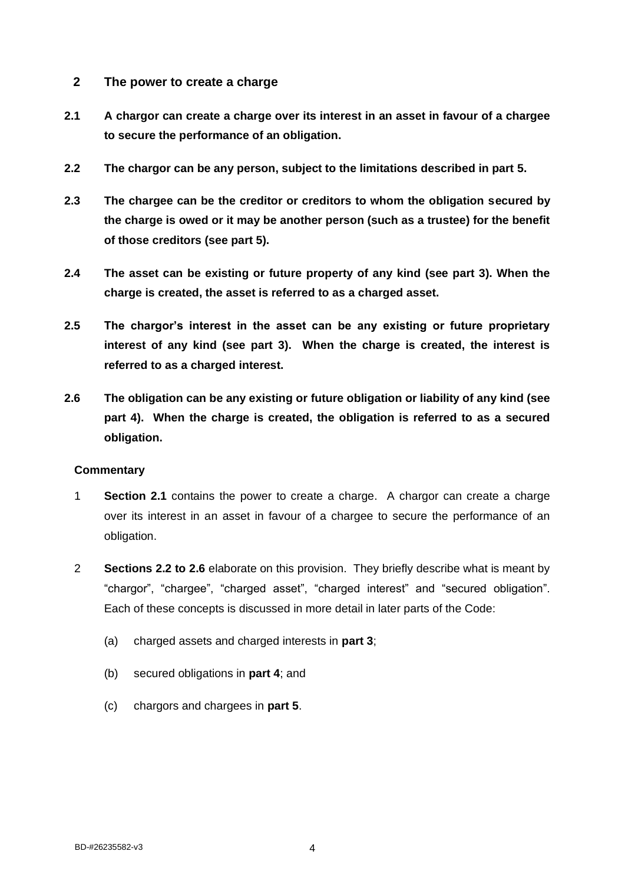- <span id="page-8-0"></span>**2 The power to create a charge**
- **2.1 A chargor can create a charge over its interest in an asset in favour of a chargee to secure the performance of an obligation.**
- **2.2 The chargor can be any person, subject to the limitations described in part 5.**
- **2.3 The chargee can be the creditor or creditors to whom the obligation secured by the charge is owed or it may be another person (such as a trustee) for the benefit of those creditors (see part 5).**
- **2.4 The asset can be existing or future property of any kind (see part 3). When the charge is created, the asset is referred to as a charged asset.**
- **2.5 The chargor's interest in the asset can be any existing or future proprietary interest of any kind (see part 3). When the charge is created, the interest is referred to as a charged interest.**
- **2.6 The obligation can be any existing or future obligation or liability of any kind (see part 4). When the charge is created, the obligation is referred to as a secured obligation.**

- 1 **Section 2.1** contains the power to create a charge. A chargor can create a charge over its interest in an asset in favour of a chargee to secure the performance of an obligation.
- 2 **Sections 2.2 to 2.6** elaborate on this provision. They briefly describe what is meant by "chargor", "chargee", "charged asset", "charged interest" and "secured obligation". Each of these concepts is discussed in more detail in later parts of the Code:
	- (a) charged assets and charged interests in **part 3**;
	- (b) secured obligations in **part 4**; and
	- (c) chargors and chargees in **part 5**.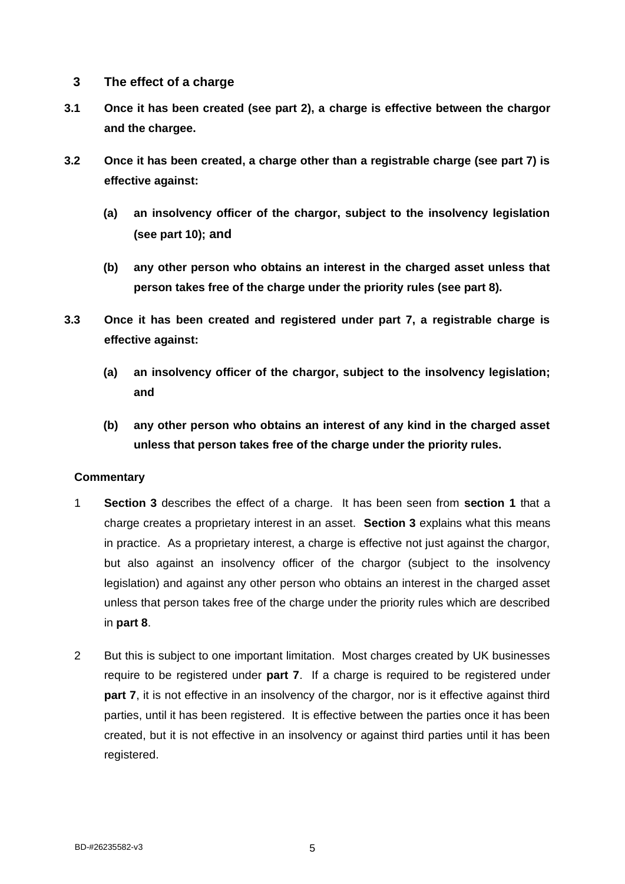- <span id="page-9-0"></span>**3 The effect of a charge**
- **3.1 Once it has been created (see part 2), a charge is effective between the chargor and the chargee.**
- **3.2 Once it has been created, a charge other than a registrable charge (see part 7) is effective against:**
	- **(a) an insolvency officer of the chargor, subject to the insolvency legislation (see part 10); and**
	- **(b) any other person who obtains an interest in the charged asset unless that person takes free of the charge under the priority rules (see part 8).**
- **3.3 Once it has been created and registered under part 7, a registrable charge is effective against:**
	- **(a) an insolvency officer of the chargor, subject to the insolvency legislation; and**
	- **(b) any other person who obtains an interest of any kind in the charged asset unless that person takes free of the charge under the priority rules.**

- 1 **Section 3** describes the effect of a charge. It has been seen from **section 1** that a charge creates a proprietary interest in an asset. **Section 3** explains what this means in practice. As a proprietary interest, a charge is effective not just against the chargor, but also against an insolvency officer of the chargor (subject to the insolvency legislation) and against any other person who obtains an interest in the charged asset unless that person takes free of the charge under the priority rules which are described in **part 8**.
- 2 But this is subject to one important limitation. Most charges created by UK businesses require to be registered under **part 7**. If a charge is required to be registered under **part 7**, it is not effective in an insolvency of the chargor, nor is it effective against third parties, until it has been registered. It is effective between the parties once it has been created, but it is not effective in an insolvency or against third parties until it has been registered.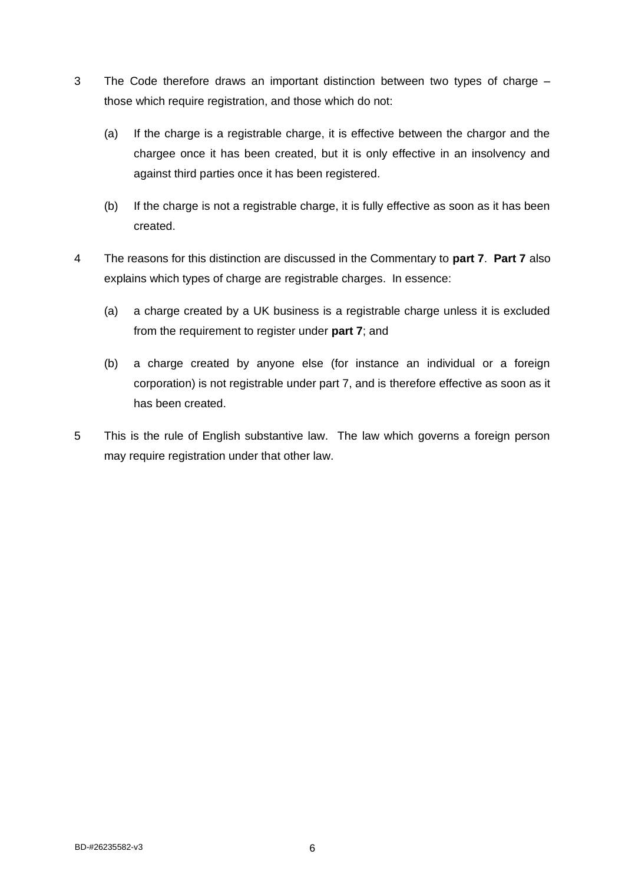- 3 The Code therefore draws an important distinction between two types of charge those which require registration, and those which do not:
	- (a) If the charge is a registrable charge, it is effective between the chargor and the chargee once it has been created, but it is only effective in an insolvency and against third parties once it has been registered.
	- (b) If the charge is not a registrable charge, it is fully effective as soon as it has been created.
- 4 The reasons for this distinction are discussed in the Commentary to **part 7**. **Part 7** also explains which types of charge are registrable charges. In essence:
	- (a) a charge created by a UK business is a registrable charge unless it is excluded from the requirement to register under **part 7**; and
	- (b) a charge created by anyone else (for instance an individual or a foreign corporation) is not registrable under part 7, and is therefore effective as soon as it has been created.
- 5 This is the rule of English substantive law. The law which governs a foreign person may require registration under that other law.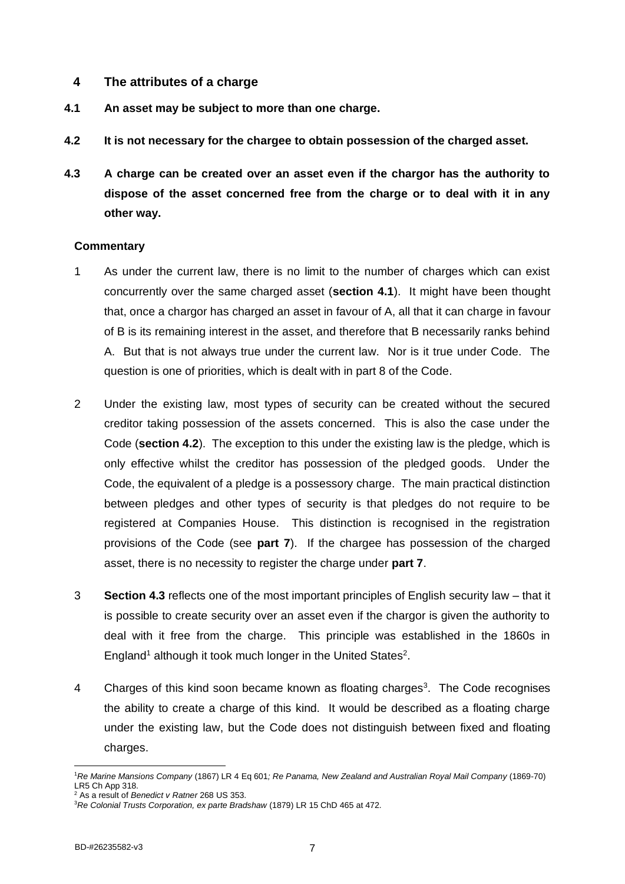## <span id="page-11-0"></span>**4 The attributes of a charge**

- **4.1 An asset may be subject to more than one charge.**
- **4.2 It is not necessary for the chargee to obtain possession of the charged asset.**
- **4.3 A charge can be created over an asset even if the chargor has the authority to dispose of the asset concerned free from the charge or to deal with it in any other way.**

- 1 As under the current law, there is no limit to the number of charges which can exist concurrently over the same charged asset (**section 4.1**). It might have been thought that, once a chargor has charged an asset in favour of A, all that it can charge in favour of B is its remaining interest in the asset, and therefore that B necessarily ranks behind A. But that is not always true under the current law. Nor is it true under Code. The question is one of priorities, which is dealt with in part 8 of the Code.
- 2 Under the existing law, most types of security can be created without the secured creditor taking possession of the assets concerned. This is also the case under the Code (**section 4.2**). The exception to this under the existing law is the pledge, which is only effective whilst the creditor has possession of the pledged goods. Under the Code, the equivalent of a pledge is a possessory charge. The main practical distinction between pledges and other types of security is that pledges do not require to be registered at Companies House. This distinction is recognised in the registration provisions of the Code (see **part 7**). If the chargee has possession of the charged asset, there is no necessity to register the charge under **part 7**.
- 3 **Section 4.3** reflects one of the most important principles of English security law that it is possible to create security over an asset even if the chargor is given the authority to deal with it free from the charge. This principle was established in the 1860s in England<sup>1</sup> although it took much longer in the United States<sup>2</sup>.
- 4 Charges of this kind soon became known as floating charges<sup>3</sup>. The Code recognises the ability to create a charge of this kind. It would be described as a floating charge under the existing law, but the Code does not distinguish between fixed and floating charges.

<sup>1</sup>*Re Marine Mansions Company* (1867) LR 4 Eq 601*; Re Panama, New Zealand and Australian Royal Mail Company* (1869-70) LR5 Ch App 318.

<sup>2</sup> As a result of *Benedict v Ratner* 268 US 353.

<sup>3</sup>*Re Colonial Trusts Corporation, ex parte Bradshaw* (1879) LR 15 ChD 465 at 472*.*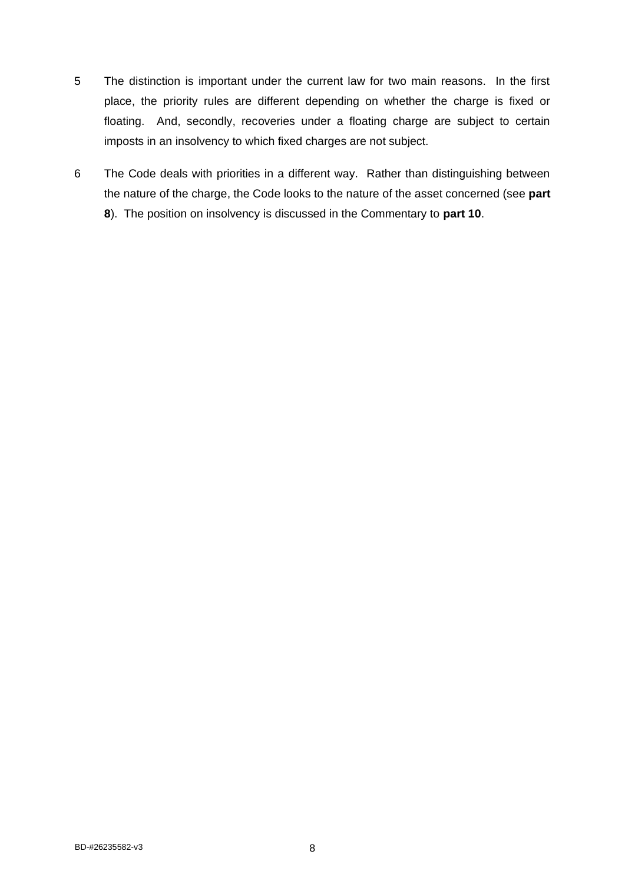- 5 The distinction is important under the current law for two main reasons. In the first place, the priority rules are different depending on whether the charge is fixed or floating. And, secondly, recoveries under a floating charge are subject to certain imposts in an insolvency to which fixed charges are not subject.
- 6 The Code deals with priorities in a different way. Rather than distinguishing between the nature of the charge, the Code looks to the nature of the asset concerned (see **part 8**). The position on insolvency is discussed in the Commentary to **part 10**.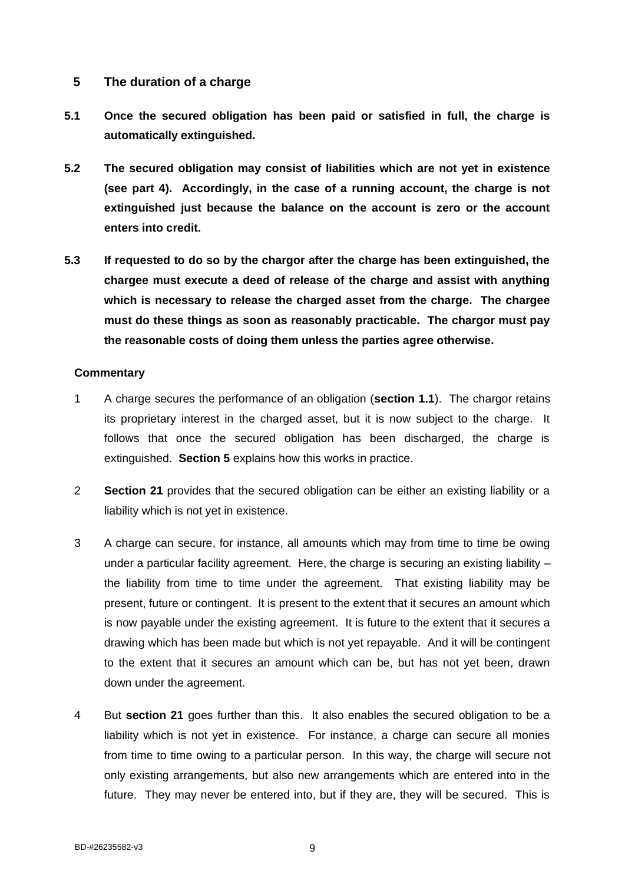## <span id="page-13-0"></span>**5 The duration of a charge**

- **5.1 Once the secured obligation has been paid or satisfied in full, the charge is automatically extinguished.**
- **5.2 The secured obligation may consist of liabilities which are not yet in existence (see part 4). Accordingly, in the case of a running account, the charge is not extinguished just because the balance on the account is zero or the account enters into credit.**
- **5.3 If requested to do so by the chargor after the charge has been extinguished, the chargee must execute a deed of release of the charge and assist with anything which is necessary to release the charged asset from the charge. The chargee must do these things as soon as reasonably practicable. The chargor must pay the reasonable costs of doing them unless the parties agree otherwise.**

- 1 A charge secures the performance of an obligation (**section 1.1**). The chargor retains its proprietary interest in the charged asset, but it is now subject to the charge. It follows that once the secured obligation has been discharged, the charge is extinguished. **Section 5** explains how this works in practice.
- 2 **Section 21** provides that the secured obligation can be either an existing liability or a liability which is not yet in existence.
- 3 A charge can secure, for instance, all amounts which may from time to time be owing under a particular facility agreement. Here, the charge is securing an existing liability – the liability from time to time under the agreement. That existing liability may be present, future or contingent. It is present to the extent that it secures an amount which is now payable under the existing agreement. It is future to the extent that it secures a drawing which has been made but which is not yet repayable. And it will be contingent to the extent that it secures an amount which can be, but has not yet been, drawn down under the agreement.
- 4 But **section 21** goes further than this. It also enables the secured obligation to be a liability which is not yet in existence. For instance, a charge can secure all monies from time to time owing to a particular person. In this way, the charge will secure not only existing arrangements, but also new arrangements which are entered into in the future. They may never be entered into, but if they are, they will be secured. This is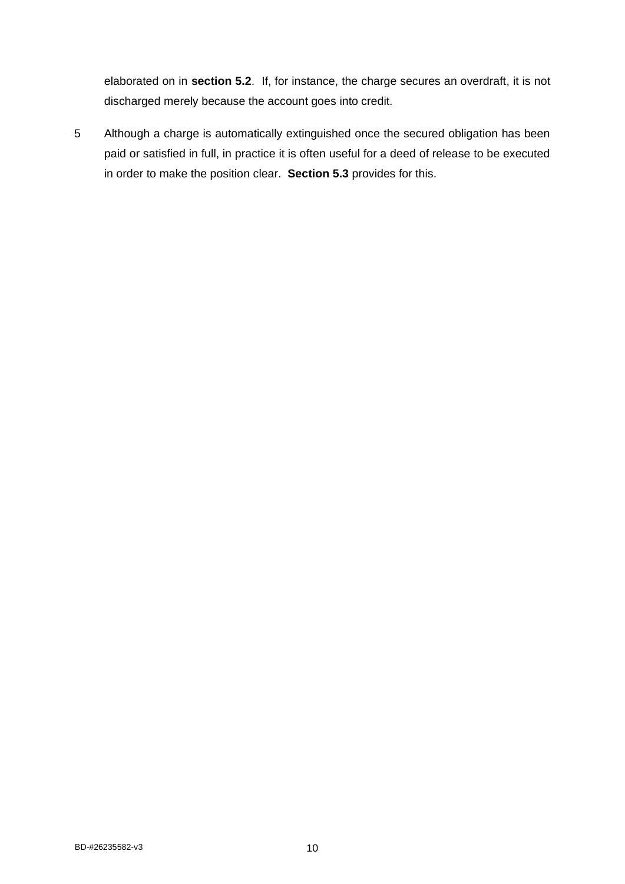elaborated on in **section 5.2**. If, for instance, the charge secures an overdraft, it is not discharged merely because the account goes into credit.

5 Although a charge is automatically extinguished once the secured obligation has been paid or satisfied in full, in practice it is often useful for a deed of release to be executed in order to make the position clear. **Section 5.3** provides for this.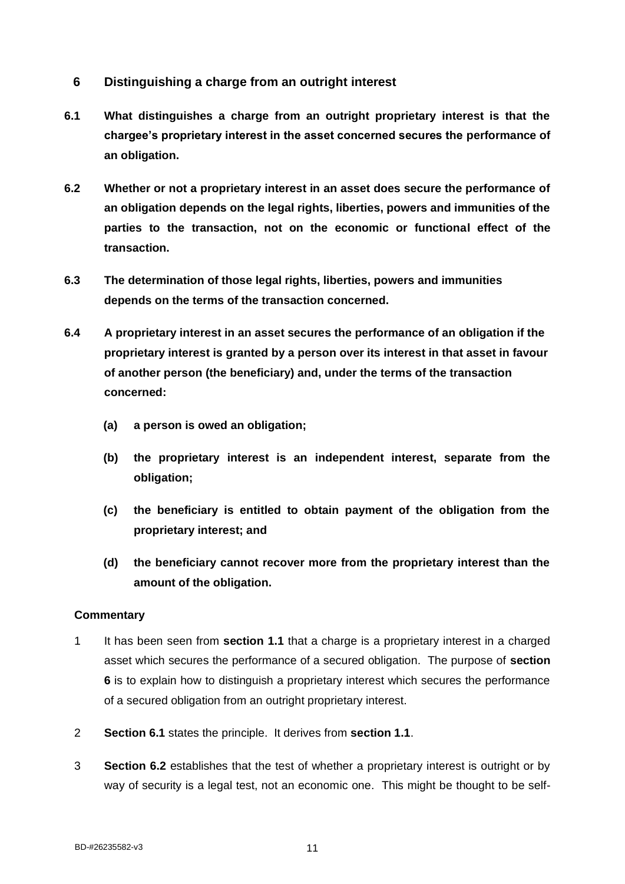- <span id="page-15-0"></span>**6 Distinguishing a charge from an outright interest**
- **6.1 What distinguishes a charge from an outright proprietary interest is that the chargee's proprietary interest in the asset concerned secures the performance of an obligation.**
- **6.2 Whether or not a proprietary interest in an asset does secure the performance of an obligation depends on the legal rights, liberties, powers and immunities of the parties to the transaction, not on the economic or functional effect of the transaction.**
- **6.3 The determination of those legal rights, liberties, powers and immunities depends on the terms of the transaction concerned.**
- **6.4 A proprietary interest in an asset secures the performance of an obligation if the proprietary interest is granted by a person over its interest in that asset in favour of another person (the beneficiary) and, under the terms of the transaction concerned:**
	- **(a) a person is owed an obligation;**
	- **(b) the proprietary interest is an independent interest, separate from the obligation;**
	- **(c) the beneficiary is entitled to obtain payment of the obligation from the proprietary interest; and**
	- **(d) the beneficiary cannot recover more from the proprietary interest than the amount of the obligation.**

- 1 It has been seen from **section 1.1** that a charge is a proprietary interest in a charged asset which secures the performance of a secured obligation. The purpose of **section 6** is to explain how to distinguish a proprietary interest which secures the performance of a secured obligation from an outright proprietary interest.
- 2 **Section 6.1** states the principle. It derives from **section 1.1**.
- 3 **Section 6.2** establishes that the test of whether a proprietary interest is outright or by way of security is a legal test, not an economic one. This might be thought to be self-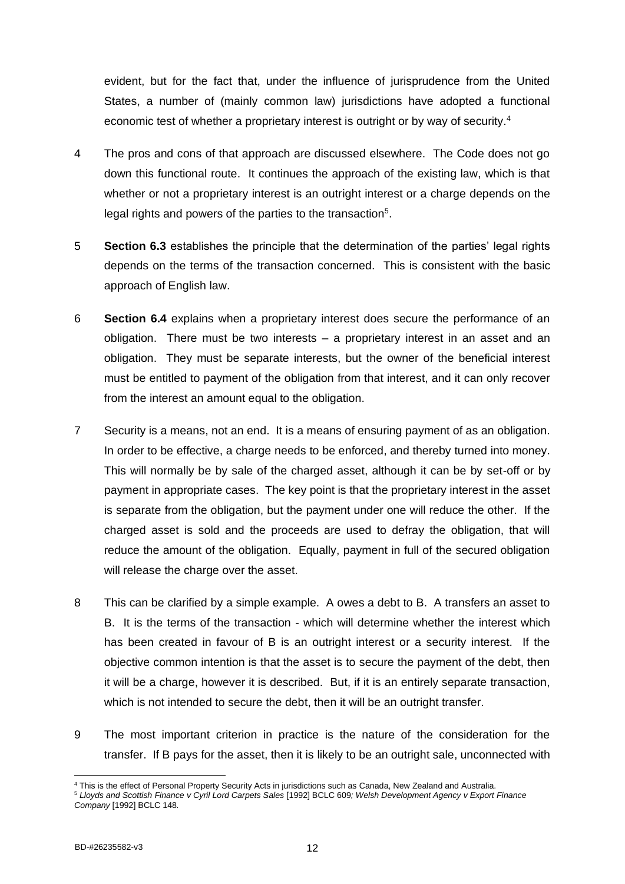evident, but for the fact that, under the influence of jurisprudence from the United States, a number of (mainly common law) jurisdictions have adopted a functional economic test of whether a proprietary interest is outright or by way of security.<sup>4</sup>

- 4 The pros and cons of that approach are discussed elsewhere. The Code does not go down this functional route. It continues the approach of the existing law, which is that whether or not a proprietary interest is an outright interest or a charge depends on the legal rights and powers of the parties to the transaction $5$ .
- 5 **Section 6.3** establishes the principle that the determination of the parties' legal rights depends on the terms of the transaction concerned. This is consistent with the basic approach of English law.
- 6 **Section 6.4** explains when a proprietary interest does secure the performance of an obligation. There must be two interests – a proprietary interest in an asset and an obligation. They must be separate interests, but the owner of the beneficial interest must be entitled to payment of the obligation from that interest, and it can only recover from the interest an amount equal to the obligation.
- 7 Security is a means, not an end. It is a means of ensuring payment of as an obligation. In order to be effective, a charge needs to be enforced, and thereby turned into money. This will normally be by sale of the charged asset, although it can be by set-off or by payment in appropriate cases. The key point is that the proprietary interest in the asset is separate from the obligation, but the payment under one will reduce the other. If the charged asset is sold and the proceeds are used to defray the obligation, that will reduce the amount of the obligation. Equally, payment in full of the secured obligation will release the charge over the asset.
- 8 This can be clarified by a simple example. A owes a debt to B. A transfers an asset to B. It is the terms of the transaction - which will determine whether the interest which has been created in favour of B is an outright interest or a security interest. If the objective common intention is that the asset is to secure the payment of the debt, then it will be a charge, however it is described. But, if it is an entirely separate transaction, which is not intended to secure the debt, then it will be an outright transfer.
- 9 The most important criterion in practice is the nature of the consideration for the transfer. If B pays for the asset, then it is likely to be an outright sale, unconnected with

<sup>4</sup> This is the effect of Personal Property Security Acts in jurisdictions such as Canada, New Zealand and Australia.

<sup>5</sup> *Lloyds and Scottish Finance v Cyril Lord Carpets Sales* [1992] BCLC 609*; Welsh Development Agency v Export Finance Company* [1992] BCLC 148*.*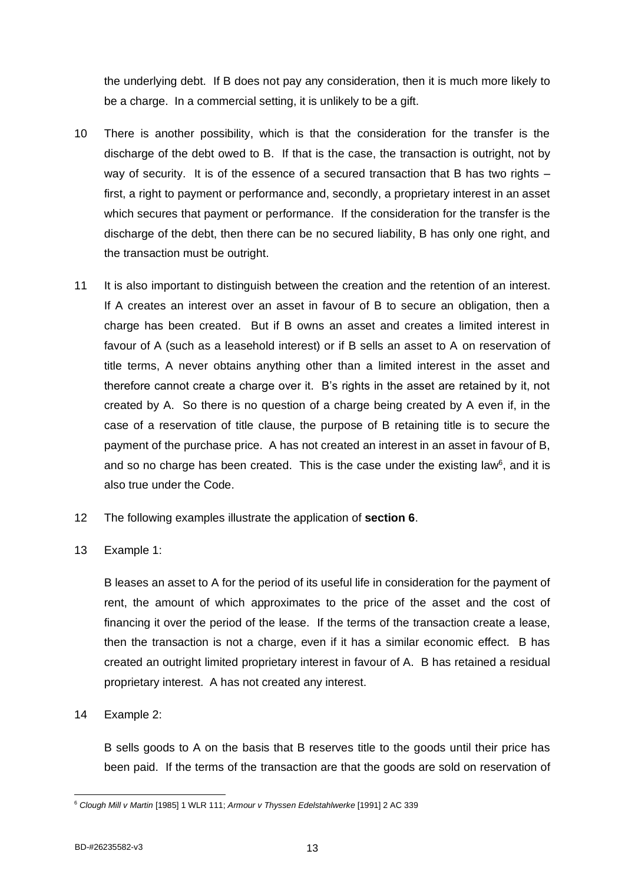the underlying debt. If B does not pay any consideration, then it is much more likely to be a charge. In a commercial setting, it is unlikely to be a gift.

- 10 There is another possibility, which is that the consideration for the transfer is the discharge of the debt owed to B. If that is the case, the transaction is outright, not by way of security. It is of the essence of a secured transaction that B has two rights  $$ first, a right to payment or performance and, secondly, a proprietary interest in an asset which secures that payment or performance. If the consideration for the transfer is the discharge of the debt, then there can be no secured liability, B has only one right, and the transaction must be outright.
- 11 It is also important to distinguish between the creation and the retention of an interest. If A creates an interest over an asset in favour of B to secure an obligation, then a charge has been created. But if B owns an asset and creates a limited interest in favour of A (such as a leasehold interest) or if B sells an asset to A on reservation of title terms, A never obtains anything other than a limited interest in the asset and therefore cannot create a charge over it. B's rights in the asset are retained by it, not created by A. So there is no question of a charge being created by A even if, in the case of a reservation of title clause, the purpose of B retaining title is to secure the payment of the purchase price. A has not created an interest in an asset in favour of B, and so no charge has been created. This is the case under the existing law $6$ , and it is also true under the Code.
- 12 The following examples illustrate the application of **section 6**.
- 13 Example 1:

B leases an asset to A for the period of its useful life in consideration for the payment of rent, the amount of which approximates to the price of the asset and the cost of financing it over the period of the lease. If the terms of the transaction create a lease, then the transaction is not a charge, even if it has a similar economic effect. B has created an outright limited proprietary interest in favour of A. B has retained a residual proprietary interest. A has not created any interest.

14 Example 2:

B sells goods to A on the basis that B reserves title to the goods until their price has been paid. If the terms of the transaction are that the goods are sold on reservation of

<sup>6</sup> *Clough Mill v Martin* [1985] 1 WLR 111; *Armour v Thyssen Edelstahlwerke* [1991] 2 AC 339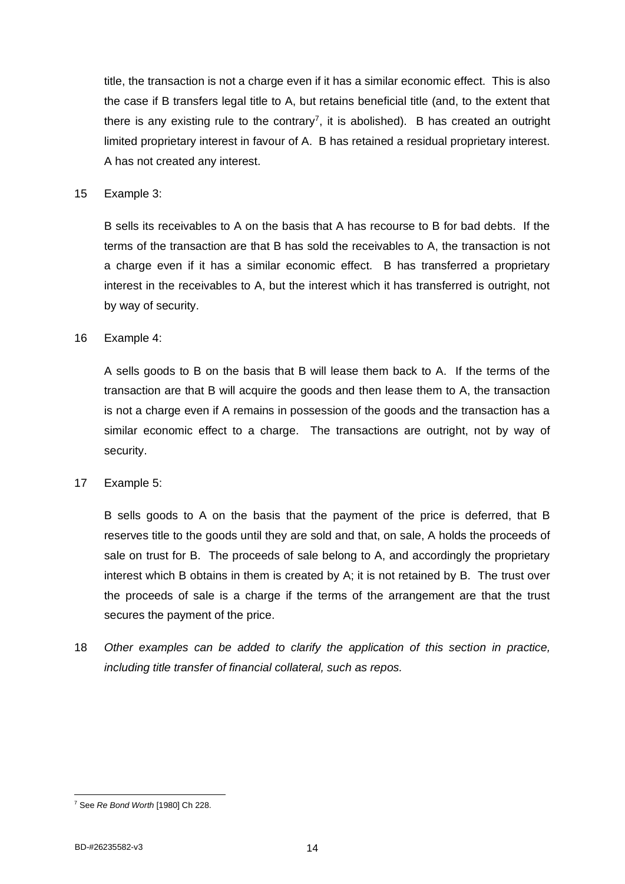title, the transaction is not a charge even if it has a similar economic effect. This is also the case if B transfers legal title to A, but retains beneficial title (and, to the extent that there is any existing rule to the contrary<sup>7</sup>, it is abolished). B has created an outright limited proprietary interest in favour of A. B has retained a residual proprietary interest. A has not created any interest.

#### 15 Example 3:

B sells its receivables to A on the basis that A has recourse to B for bad debts. If the terms of the transaction are that B has sold the receivables to A, the transaction is not a charge even if it has a similar economic effect. B has transferred a proprietary interest in the receivables to A, but the interest which it has transferred is outright, not by way of security.

#### 16 Example 4:

A sells goods to B on the basis that B will lease them back to A. If the terms of the transaction are that B will acquire the goods and then lease them to A, the transaction is not a charge even if A remains in possession of the goods and the transaction has a similar economic effect to a charge. The transactions are outright, not by way of security.

#### 17 Example 5:

B sells goods to A on the basis that the payment of the price is deferred, that B reserves title to the goods until they are sold and that, on sale, A holds the proceeds of sale on trust for B. The proceeds of sale belong to A, and accordingly the proprietary interest which B obtains in them is created by A; it is not retained by B. The trust over the proceeds of sale is a charge if the terms of the arrangement are that the trust secures the payment of the price.

18 *Other examples can be added to clarify the application of this section in practice, including title transfer of financial collateral, such as repos.*

<sup>7</sup> See *Re Bond Worth* [1980] Ch 228.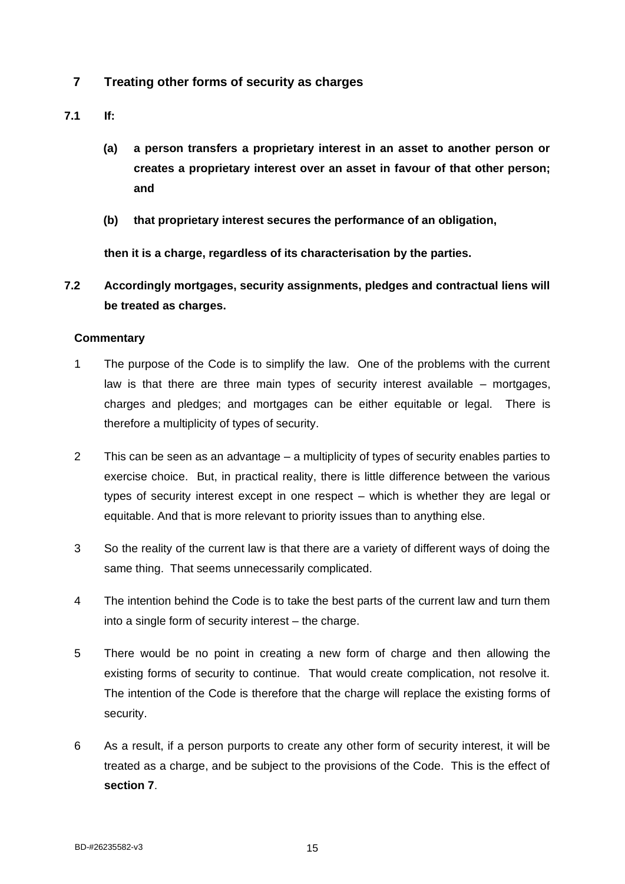- <span id="page-19-0"></span>**7 Treating other forms of security as charges**
- **7.1 If:**
	- **(a) a person transfers a proprietary interest in an asset to another person or creates a proprietary interest over an asset in favour of that other person; and**
	- **(b) that proprietary interest secures the performance of an obligation,**

**then it is a charge, regardless of its characterisation by the parties.**

**7.2 Accordingly mortgages, security assignments, pledges and contractual liens will be treated as charges.**

- 1 The purpose of the Code is to simplify the law. One of the problems with the current law is that there are three main types of security interest available – mortgages, charges and pledges; and mortgages can be either equitable or legal. There is therefore a multiplicity of types of security.
- 2 This can be seen as an advantage a multiplicity of types of security enables parties to exercise choice. But, in practical reality, there is little difference between the various types of security interest except in one respect – which is whether they are legal or equitable. And that is more relevant to priority issues than to anything else.
- 3 So the reality of the current law is that there are a variety of different ways of doing the same thing. That seems unnecessarily complicated.
- 4 The intention behind the Code is to take the best parts of the current law and turn them into a single form of security interest – the charge.
- 5 There would be no point in creating a new form of charge and then allowing the existing forms of security to continue. That would create complication, not resolve it. The intention of the Code is therefore that the charge will replace the existing forms of security.
- 6 As a result, if a person purports to create any other form of security interest, it will be treated as a charge, and be subject to the provisions of the Code. This is the effect of **section 7**.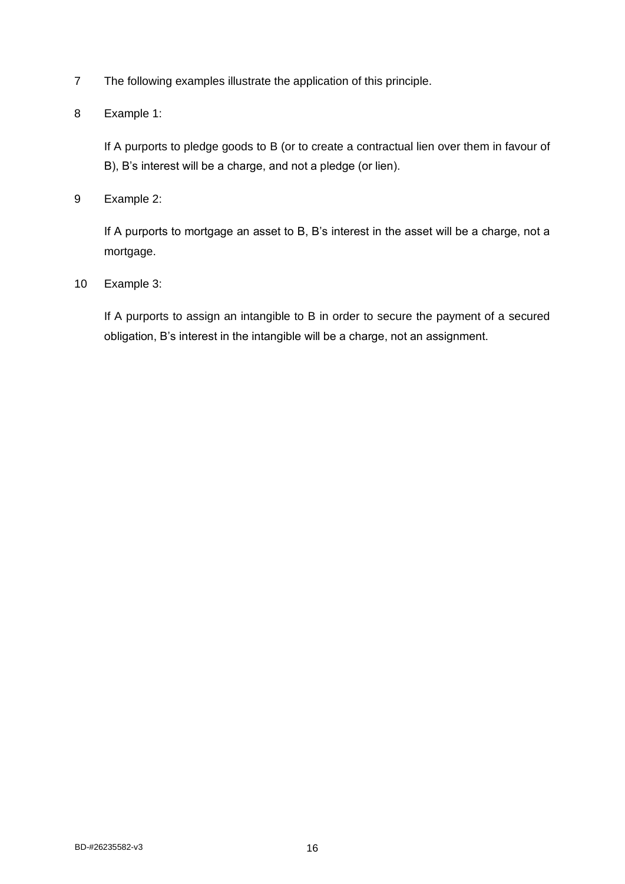7 The following examples illustrate the application of this principle.

## 8 Example 1:

If A purports to pledge goods to B (or to create a contractual lien over them in favour of B), B's interest will be a charge, and not a pledge (or lien).

9 Example 2:

If A purports to mortgage an asset to B, B's interest in the asset will be a charge, not a mortgage.

10 Example 3:

If A purports to assign an intangible to B in order to secure the payment of a secured obligation, B's interest in the intangible will be a charge, not an assignment.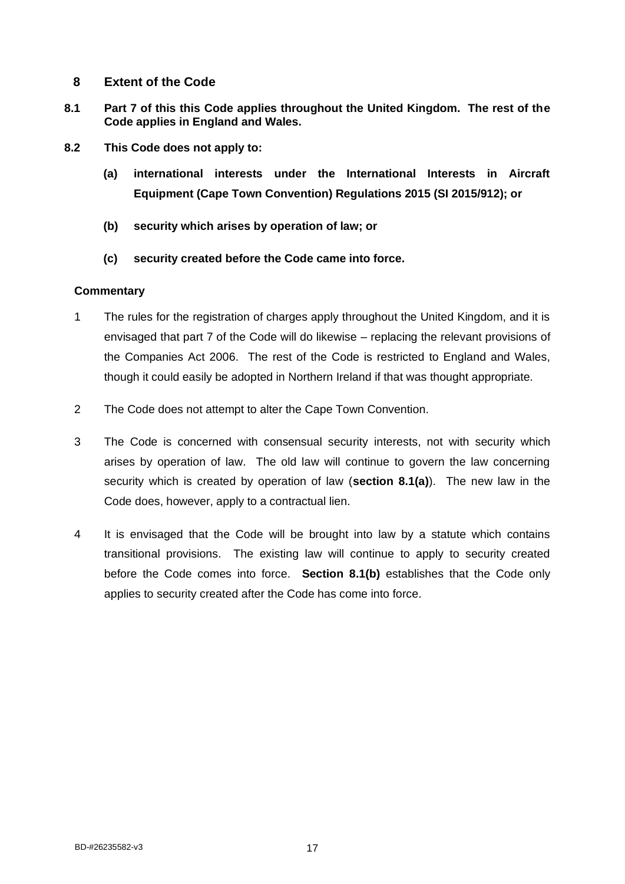## <span id="page-21-0"></span>**8 Extent of the Code**

- **8.1 Part 7 of this this Code applies throughout the United Kingdom. The rest of the Code applies in England and Wales.**
- **8.2 This Code does not apply to:**
	- **(a) international interests under the International Interests in Aircraft Equipment (Cape Town Convention) Regulations 2015 (SI 2015/912); or**
	- **(b) security which arises by operation of law; or**
	- **(c) security created before the Code came into force.**

- 1 The rules for the registration of charges apply throughout the United Kingdom, and it is envisaged that part 7 of the Code will do likewise – replacing the relevant provisions of the Companies Act 2006. The rest of the Code is restricted to England and Wales, though it could easily be adopted in Northern Ireland if that was thought appropriate.
- 2 The Code does not attempt to alter the Cape Town Convention.
- 3 The Code is concerned with consensual security interests, not with security which arises by operation of law. The old law will continue to govern the law concerning security which is created by operation of law (**section 8.1(a)**). The new law in the Code does, however, apply to a contractual lien.
- 4 It is envisaged that the Code will be brought into law by a statute which contains transitional provisions. The existing law will continue to apply to security created before the Code comes into force. **Section 8.1(b)** establishes that the Code only applies to security created after the Code has come into force.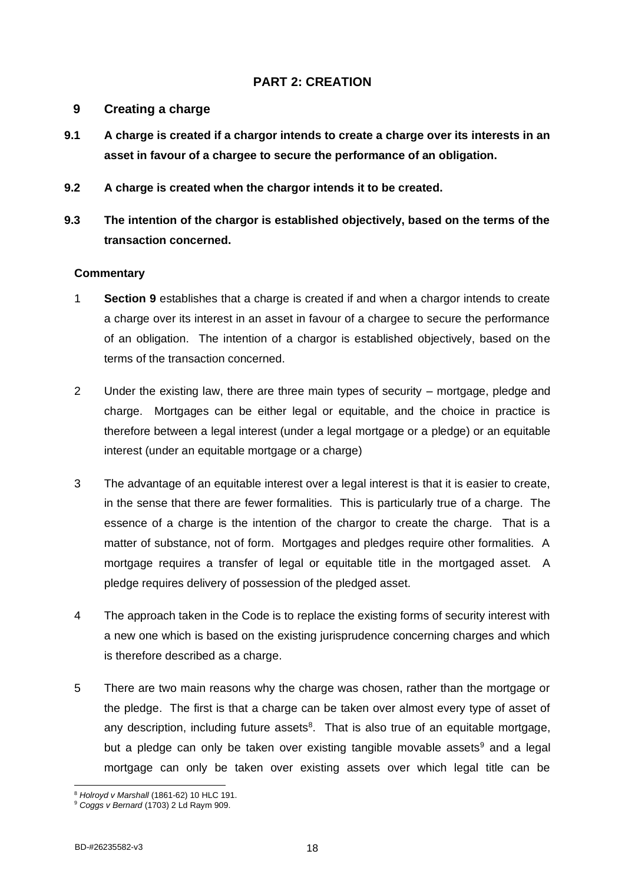## <span id="page-22-0"></span>**PART 2: CREATION**

## <span id="page-22-1"></span>**9 Creating a charge**

- **9.1 A charge is created if a chargor intends to create a charge over its interests in an asset in favour of a chargee to secure the performance of an obligation.**
- **9.2 A charge is created when the chargor intends it to be created.**
- **9.3 The intention of the chargor is established objectively, based on the terms of the transaction concerned.**

- 1 **Section 9** establishes that a charge is created if and when a chargor intends to create a charge over its interest in an asset in favour of a chargee to secure the performance of an obligation. The intention of a chargor is established objectively, based on the terms of the transaction concerned.
- 2 Under the existing law, there are three main types of security mortgage, pledge and charge. Mortgages can be either legal or equitable, and the choice in practice is therefore between a legal interest (under a legal mortgage or a pledge) or an equitable interest (under an equitable mortgage or a charge)
- 3 The advantage of an equitable interest over a legal interest is that it is easier to create, in the sense that there are fewer formalities. This is particularly true of a charge. The essence of a charge is the intention of the chargor to create the charge. That is a matter of substance, not of form. Mortgages and pledges require other formalities. A mortgage requires a transfer of legal or equitable title in the mortgaged asset. A pledge requires delivery of possession of the pledged asset.
- 4 The approach taken in the Code is to replace the existing forms of security interest with a new one which is based on the existing jurisprudence concerning charges and which is therefore described as a charge.
- 5 There are two main reasons why the charge was chosen, rather than the mortgage or the pledge. The first is that a charge can be taken over almost every type of asset of any description, including future assets $8$ . That is also true of an equitable mortgage, but a pledge can only be taken over existing tangible movable assets<sup>9</sup> and a legal mortgage can only be taken over existing assets over which legal title can be

<sup>8</sup> *Holroyd v Marshall* (1861-62) 10 HLC 191.

<sup>9</sup> *Coggs v Bernard* (1703) 2 Ld Raym 909.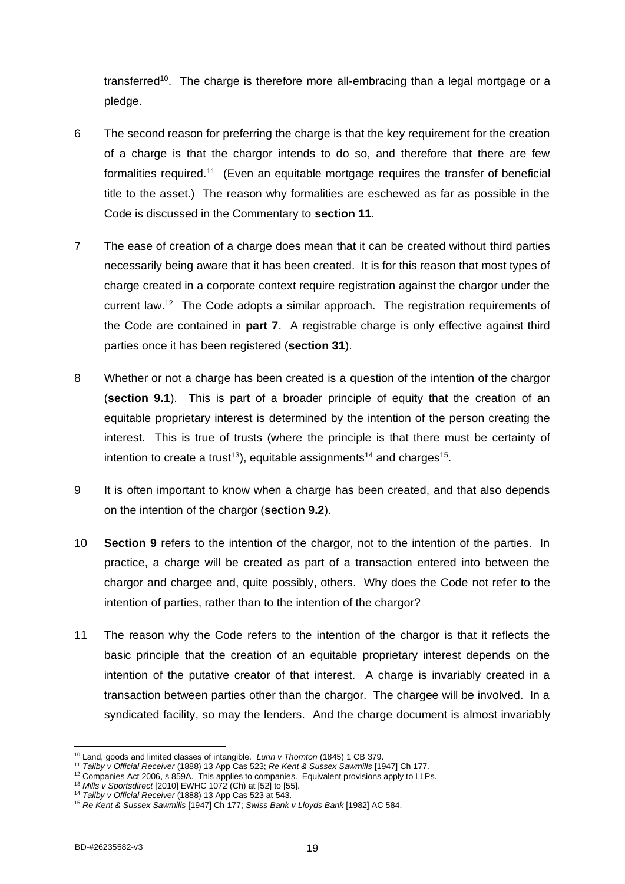transferred<sup>10</sup>. The charge is therefore more all-embracing than a legal mortgage or a pledge.

- 6 The second reason for preferring the charge is that the key requirement for the creation of a charge is that the chargor intends to do so, and therefore that there are few formalities required.<sup>11</sup> (Even an equitable mortgage requires the transfer of beneficial title to the asset.) The reason why formalities are eschewed as far as possible in the Code is discussed in the Commentary to **section 11**.
- 7 The ease of creation of a charge does mean that it can be created without third parties necessarily being aware that it has been created. It is for this reason that most types of charge created in a corporate context require registration against the chargor under the current law.<sup>12</sup> The Code adopts a similar approach. The registration requirements of the Code are contained in **part 7**. A registrable charge is only effective against third parties once it has been registered (**section 31**).
- 8 Whether or not a charge has been created is a question of the intention of the chargor (**section 9.1**). This is part of a broader principle of equity that the creation of an equitable proprietary interest is determined by the intention of the person creating the interest. This is true of trusts (where the principle is that there must be certainty of intention to create a trust<sup>13</sup>), equitable assignments<sup>14</sup> and charges<sup>15</sup>.
- 9 It is often important to know when a charge has been created, and that also depends on the intention of the chargor (**section 9.2**).
- 10 **Section 9** refers to the intention of the chargor, not to the intention of the parties. In practice, a charge will be created as part of a transaction entered into between the chargor and chargee and, quite possibly, others. Why does the Code not refer to the intention of parties, rather than to the intention of the chargor?
- 11 The reason why the Code refers to the intention of the chargor is that it reflects the basic principle that the creation of an equitable proprietary interest depends on the intention of the putative creator of that interest. A charge is invariably created in a transaction between parties other than the chargor. The chargee will be involved. In a syndicated facility, so may the lenders. And the charge document is almost invariably

<sup>10</sup> Land, goods and limited classes of intangible. *Lunn v Thornton* (1845) 1 CB 379.

<sup>11</sup> *Tailby v Official Receiver* (1888) 13 App Cas 523; *Re Kent & Sussex Sawmills* [1947] Ch 177.

 $12$  Companies Act 2006, s 859A. This applies to companies. Equivalent provisions apply to LLPs.

<sup>13</sup> *Mills v Sportsdirect* [2010] EWHC 1072 (Ch) at [52] to [55].

<sup>14</sup> *Tailby v Official Receiver* (1888) 13 App Cas 523 at 543.

<sup>15</sup> *Re Kent & Sussex Sawmills* [1947] Ch 177; *Swiss Bank v Lloyds Bank* [1982] AC 584.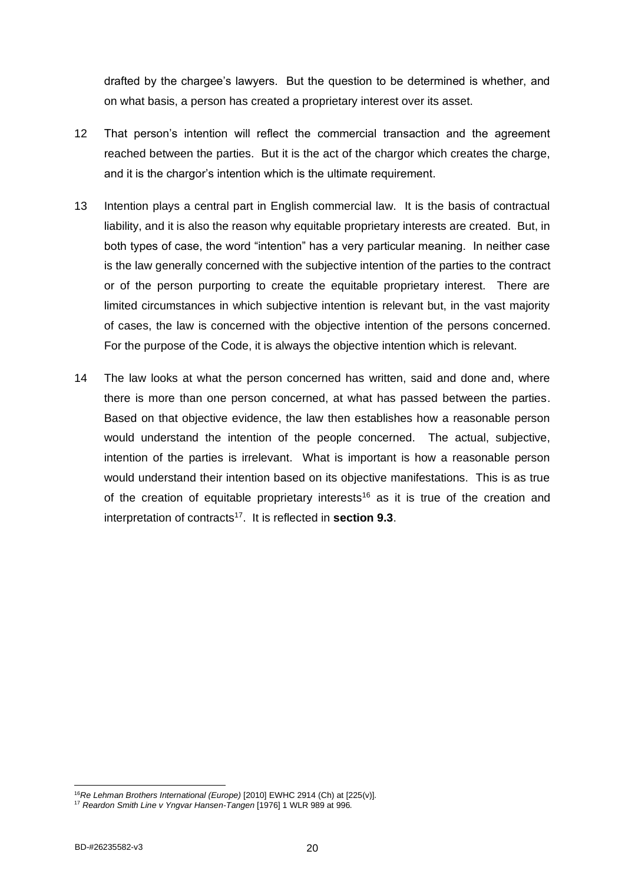drafted by the chargee's lawyers. But the question to be determined is whether, and on what basis, a person has created a proprietary interest over its asset.

- 12 That person's intention will reflect the commercial transaction and the agreement reached between the parties. But it is the act of the chargor which creates the charge, and it is the chargor's intention which is the ultimate requirement.
- 13 Intention plays a central part in English commercial law. It is the basis of contractual liability, and it is also the reason why equitable proprietary interests are created. But, in both types of case, the word "intention" has a very particular meaning. In neither case is the law generally concerned with the subjective intention of the parties to the contract or of the person purporting to create the equitable proprietary interest. There are limited circumstances in which subjective intention is relevant but, in the vast majority of cases, the law is concerned with the objective intention of the persons concerned. For the purpose of the Code, it is always the objective intention which is relevant.
- 14 The law looks at what the person concerned has written, said and done and, where there is more than one person concerned, at what has passed between the parties. Based on that objective evidence, the law then establishes how a reasonable person would understand the intention of the people concerned. The actual, subjective, intention of the parties is irrelevant. What is important is how a reasonable person would understand their intention based on its objective manifestations. This is as true of the creation of equitable proprietary interests<sup>16</sup> as it is true of the creation and interpretation of contracts<sup>17</sup>. It is reflected in **section 9.3**.

<sup>16</sup>*Re Lehman Brothers International (Europe)* [2010] EWHC 2914 (Ch) at [225(v)]*.*

<sup>17</sup> *Reardon Smith Line v Yngvar Hansen-Tangen* [1976] 1 WLR 989 at 996*.*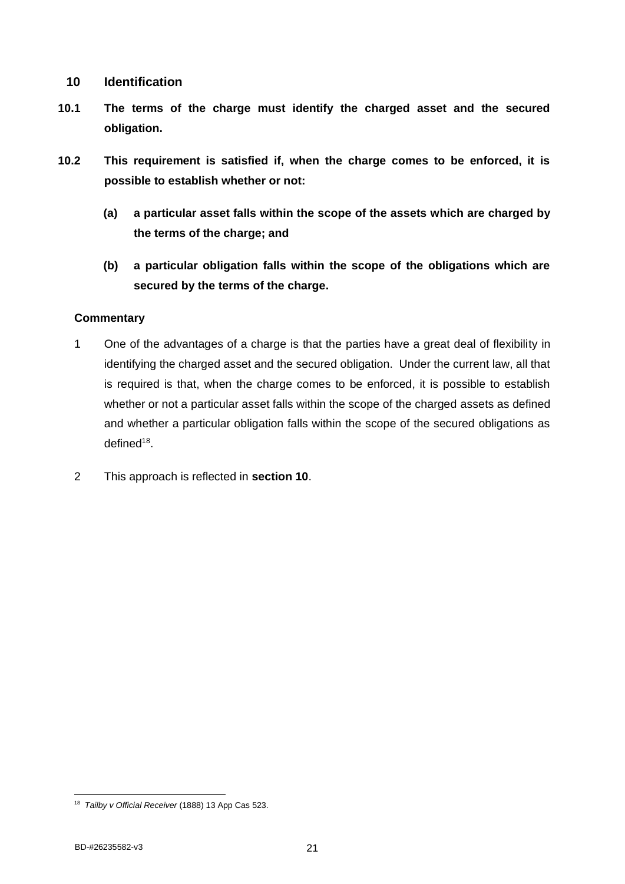## <span id="page-25-0"></span>**10 Identification**

- **10.1 The terms of the charge must identify the charged asset and the secured obligation.**
- **10.2 This requirement is satisfied if, when the charge comes to be enforced, it is possible to establish whether or not:**
	- **(a) a particular asset falls within the scope of the assets which are charged by the terms of the charge; and**
	- **(b) a particular obligation falls within the scope of the obligations which are secured by the terms of the charge.**

- 1 One of the advantages of a charge is that the parties have a great deal of flexibility in identifying the charged asset and the secured obligation. Under the current law, all that is required is that, when the charge comes to be enforced, it is possible to establish whether or not a particular asset falls within the scope of the charged assets as defined and whether a particular obligation falls within the scope of the secured obligations as defined<sup>18</sup>.
- 2 This approach is reflected in **section 10**.

<sup>18</sup> *Tailby v Official Receiver* (1888) 13 App Cas 523.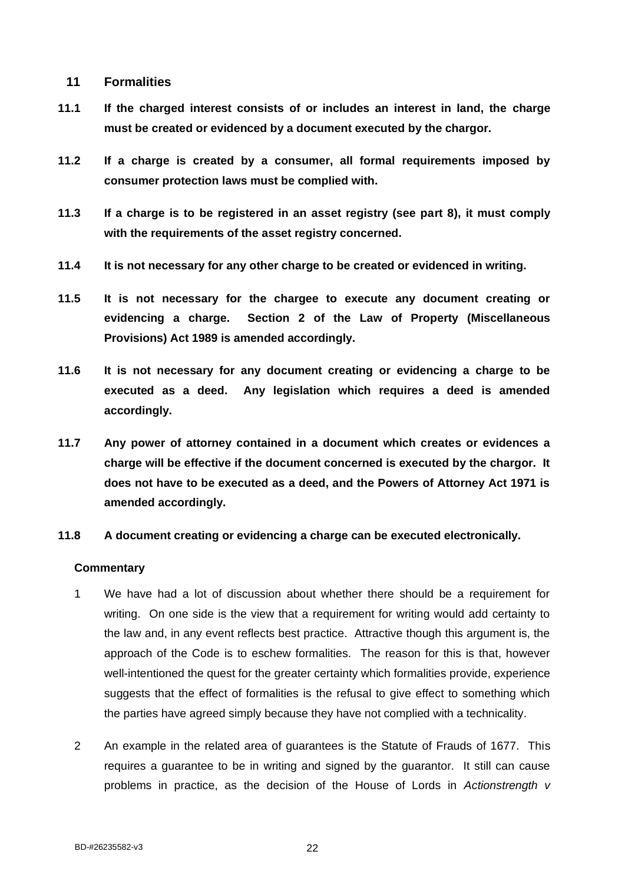## <span id="page-26-0"></span>**11 Formalities**

- **11.1 If the charged interest consists of or includes an interest in land, the charge must be created or evidenced by a document executed by the chargor.**
- **11.2 If a charge is created by a consumer, all formal requirements imposed by consumer protection laws must be complied with.**
- **11.3 If a charge is to be registered in an asset registry (see part 8), it must comply with the requirements of the asset registry concerned.**
- **11.4 It is not necessary for any other charge to be created or evidenced in writing.**
- **11.5 It is not necessary for the chargee to execute any document creating or evidencing a charge. Section 2 of the Law of Property (Miscellaneous Provisions) Act 1989 is amended accordingly.**
- **11.6 It is not necessary for any document creating or evidencing a charge to be executed as a deed. Any legislation which requires a deed is amended accordingly.**
- **11.7 Any power of attorney contained in a document which creates or evidences a charge will be effective if the document concerned is executed by the chargor. It does not have to be executed as a deed, and the Powers of Attorney Act 1971 is amended accordingly.**
- **11.8 A document creating or evidencing a charge can be executed electronically.**

- 1 We have had a lot of discussion about whether there should be a requirement for writing. On one side is the view that a requirement for writing would add certainty to the law and, in any event reflects best practice. Attractive though this argument is, the approach of the Code is to eschew formalities. The reason for this is that, however well-intentioned the quest for the greater certainty which formalities provide, experience suggests that the effect of formalities is the refusal to give effect to something which the parties have agreed simply because they have not complied with a technicality.
- 2 An example in the related area of guarantees is the Statute of Frauds of 1677. This requires a guarantee to be in writing and signed by the guarantor. It still can cause problems in practice, as the decision of the House of Lords in *Actionstrength v*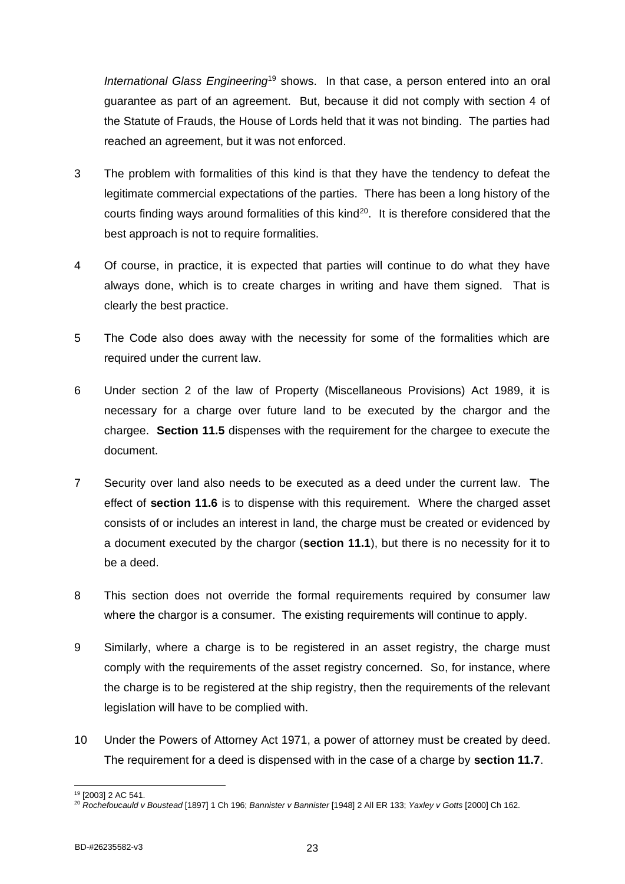*International Glass Engineering*<sup>19</sup> shows. In that case, a person entered into an oral guarantee as part of an agreement. But, because it did not comply with section 4 of the Statute of Frauds, the House of Lords held that it was not binding. The parties had reached an agreement, but it was not enforced.

- 3 The problem with formalities of this kind is that they have the tendency to defeat the legitimate commercial expectations of the parties. There has been a long history of the courts finding ways around formalities of this kind<sup>20</sup>. It is therefore considered that the best approach is not to require formalities.
- 4 Of course, in practice, it is expected that parties will continue to do what they have always done, which is to create charges in writing and have them signed. That is clearly the best practice.
- 5 The Code also does away with the necessity for some of the formalities which are required under the current law.
- 6 Under section 2 of the law of Property (Miscellaneous Provisions) Act 1989, it is necessary for a charge over future land to be executed by the chargor and the chargee. **Section 11.5** dispenses with the requirement for the chargee to execute the document.
- 7 Security over land also needs to be executed as a deed under the current law. The effect of **section 11.6** is to dispense with this requirement. Where the charged asset consists of or includes an interest in land, the charge must be created or evidenced by a document executed by the chargor (**section 11.1**), but there is no necessity for it to be a deed.
- 8 This section does not override the formal requirements required by consumer law where the chargor is a consumer. The existing requirements will continue to apply.
- 9 Similarly, where a charge is to be registered in an asset registry, the charge must comply with the requirements of the asset registry concerned. So, for instance, where the charge is to be registered at the ship registry, then the requirements of the relevant legislation will have to be complied with.
- 10 Under the Powers of Attorney Act 1971, a power of attorney must be created by deed. The requirement for a deed is dispensed with in the case of a charge by **section 11.7**.

<sup>19</sup> [2003] 2 AC 541.

<sup>20</sup> *Rochefoucauld v Boustead* [1897] 1 Ch 196; *Bannister v Bannister* [1948] 2 All ER 133; *Yaxley v Gotts* [2000] Ch 162.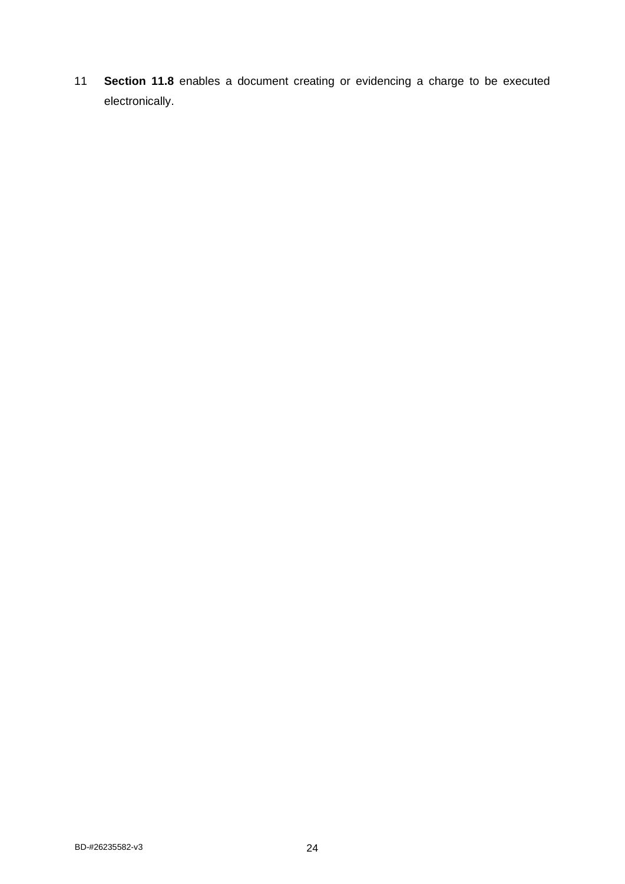11 **Section 11.8** enables a document creating or evidencing a charge to be executed electronically.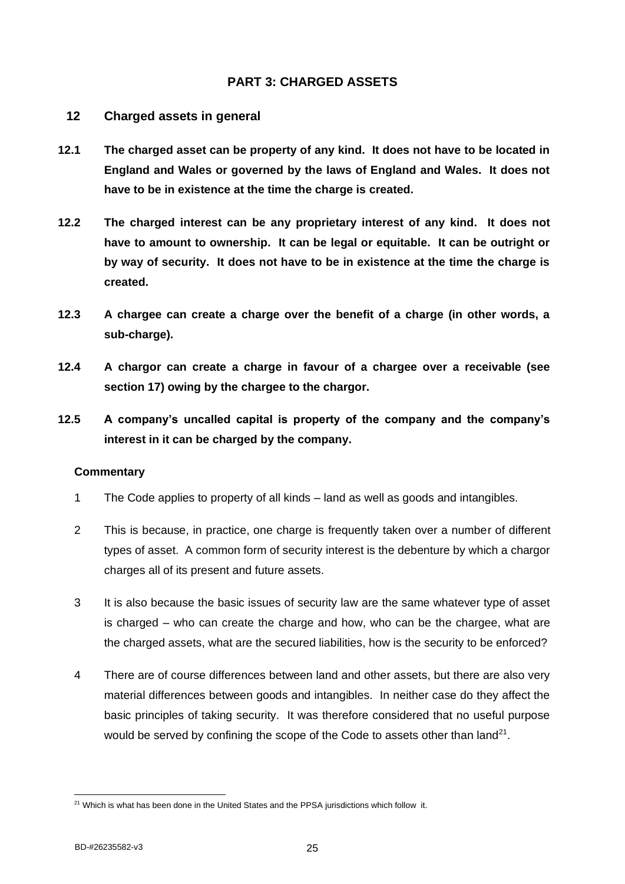## <span id="page-29-0"></span>**PART 3: CHARGED ASSETS**

#### <span id="page-29-1"></span>**12 Charged assets in general**

- **12.1 The charged asset can be property of any kind. It does not have to be located in England and Wales or governed by the laws of England and Wales. It does not have to be in existence at the time the charge is created.**
- **12.2 The charged interest can be any proprietary interest of any kind. It does not have to amount to ownership. It can be legal or equitable. It can be outright or by way of security. It does not have to be in existence at the time the charge is created.**
- **12.3 A chargee can create a charge over the benefit of a charge (in other words, a sub-charge).**
- **12.4 A chargor can create a charge in favour of a chargee over a receivable (see section 17) owing by the chargee to the chargor.**
- **12.5 A company's uncalled capital is property of the company and the company's interest in it can be charged by the company.**

- 1 The Code applies to property of all kinds land as well as goods and intangibles.
- 2 This is because, in practice, one charge is frequently taken over a number of different types of asset. A common form of security interest is the debenture by which a chargor charges all of its present and future assets.
- 3 It is also because the basic issues of security law are the same whatever type of asset is charged – who can create the charge and how, who can be the chargee, what are the charged assets, what are the secured liabilities, how is the security to be enforced?
- 4 There are of course differences between land and other assets, but there are also very material differences between goods and intangibles. In neither case do they affect the basic principles of taking security. It was therefore considered that no useful purpose would be served by confining the scope of the Code to assets other than land<sup>21</sup>.

<sup>&</sup>lt;sup>21</sup> Which is what has been done in the United States and the PPSA jurisdictions which follow it.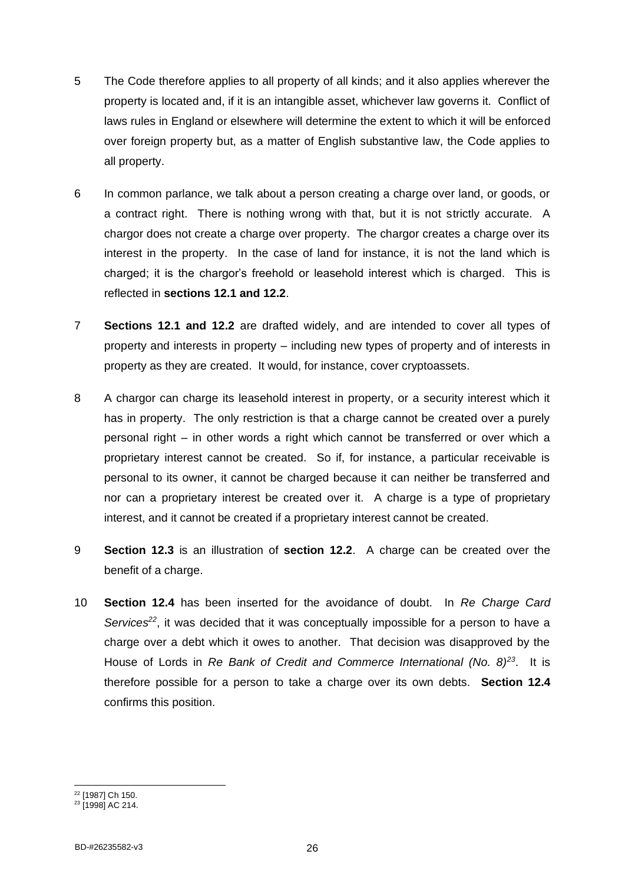- 5 The Code therefore applies to all property of all kinds; and it also applies wherever the property is located and, if it is an intangible asset, whichever law governs it. Conflict of laws rules in England or elsewhere will determine the extent to which it will be enforced over foreign property but, as a matter of English substantive law, the Code applies to all property.
- 6 In common parlance, we talk about a person creating a charge over land, or goods, or a contract right. There is nothing wrong with that, but it is not strictly accurate. A chargor does not create a charge over property. The chargor creates a charge over its interest in the property. In the case of land for instance, it is not the land which is charged; it is the chargor's freehold or leasehold interest which is charged. This is reflected in **sections 12.1 and 12.2**.
- 7 **Sections 12.1 and 12.2** are drafted widely, and are intended to cover all types of property and interests in property – including new types of property and of interests in property as they are created. It would, for instance, cover cryptoassets.
- 8 A chargor can charge its leasehold interest in property, or a security interest which it has in property. The only restriction is that a charge cannot be created over a purely personal right – in other words a right which cannot be transferred or over which a proprietary interest cannot be created. So if, for instance, a particular receivable is personal to its owner, it cannot be charged because it can neither be transferred and nor can a proprietary interest be created over it. A charge is a type of proprietary interest, and it cannot be created if a proprietary interest cannot be created.
- 9 **Section 12.3** is an illustration of **section 12.2**. A charge can be created over the benefit of a charge.
- 10 **Section 12.4** has been inserted for the avoidance of doubt. In *Re Charge Card Services<sup>22</sup>*, it was decided that it was conceptually impossible for a person to have a charge over a debt which it owes to another. That decision was disapproved by the House of Lords in *Re Bank of Credit and Commerce International (No. 8)<sup>23</sup>*. It is therefore possible for a person to take a charge over its own debts. **Section 12.4** confirms this position.

<sup>22</sup> [1987] Ch 150.

<sup>&</sup>lt;sup>23</sup> [1998] AC 214.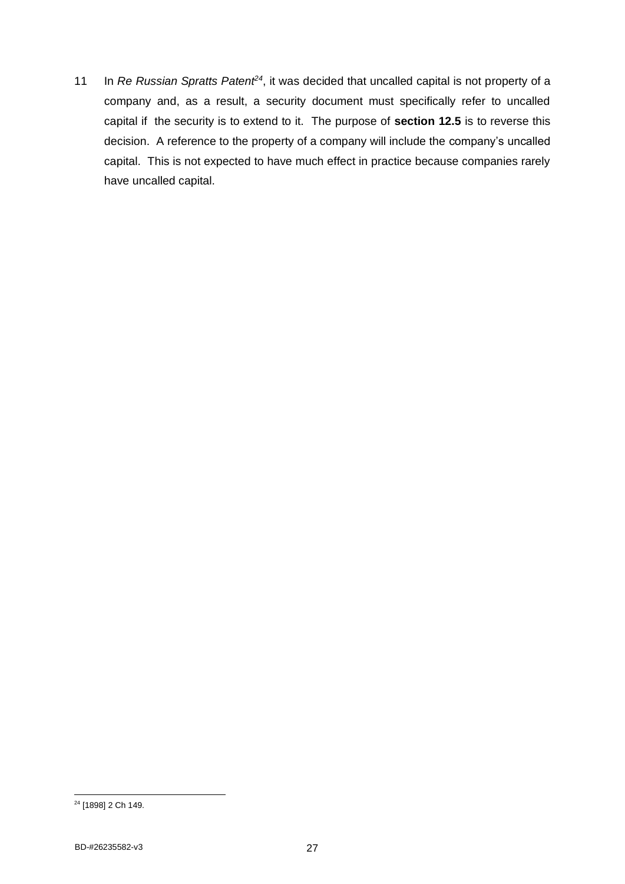11 In *Re Russian Spratts Patent<sup>24</sup>*, it was decided that uncalled capital is not property of a company and, as a result, a security document must specifically refer to uncalled capital if the security is to extend to it. The purpose of **section 12.5** is to reverse this decision. A reference to the property of a company will include the company's uncalled capital. This is not expected to have much effect in practice because companies rarely have uncalled capital.

<sup>24</sup> [1898] 2 Ch 149.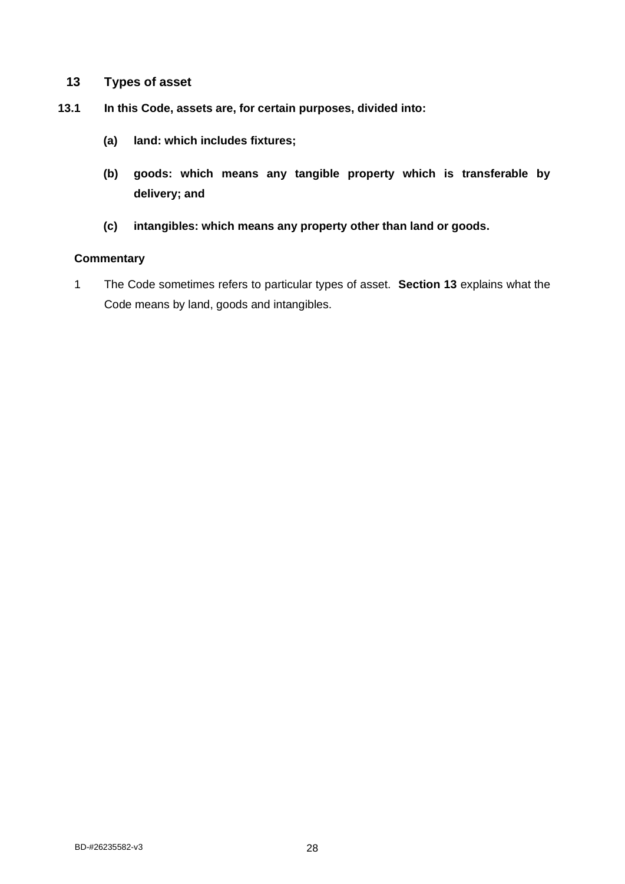- <span id="page-32-0"></span>**13 Types of asset**
- **13.1 In this Code, assets are, for certain purposes, divided into:**
	- **(a) land: which includes fixtures;**
	- **(b) goods: which means any tangible property which is transferable by delivery; and**
	- **(c) intangibles: which means any property other than land or goods.**

#### **Commentary**

1 The Code sometimes refers to particular types of asset. **Section 13** explains what the Code means by land, goods and intangibles.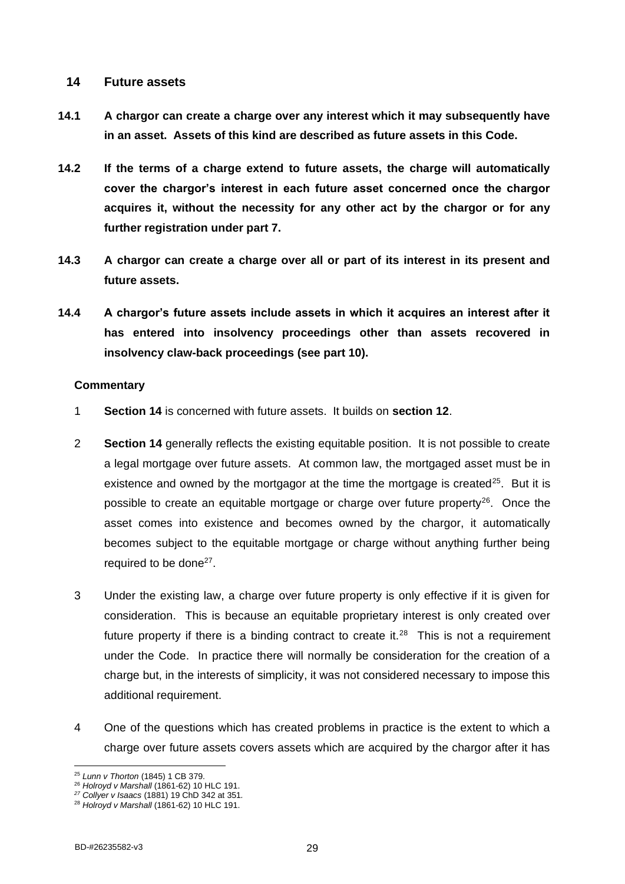### <span id="page-33-0"></span>**14 Future assets**

- **14.1 A chargor can create a charge over any interest which it may subsequently have in an asset. Assets of this kind are described as future assets in this Code.**
- **14.2 If the terms of a charge extend to future assets, the charge will automatically cover the chargor's interest in each future asset concerned once the chargor acquires it, without the necessity for any other act by the chargor or for any further registration under part 7.**
- **14.3 A chargor can create a charge over all or part of its interest in its present and future assets.**
- **14.4 A chargor's future assets include assets in which it acquires an interest after it has entered into insolvency proceedings other than assets recovered in insolvency claw-back proceedings (see part 10).**

- 1 **Section 14** is concerned with future assets. It builds on **section 12**.
- 2 **Section 14** generally reflects the existing equitable position. It is not possible to create a legal mortgage over future assets. At common law, the mortgaged asset must be in existence and owned by the mortgagor at the time the mortgage is created<sup>25</sup>. But it is possible to create an equitable mortgage or charge over future property $26$ . Once the asset comes into existence and becomes owned by the chargor, it automatically becomes subject to the equitable mortgage or charge without anything further being required to be done $27$ .
- 3 Under the existing law, a charge over future property is only effective if it is given for consideration. This is because an equitable proprietary interest is only created over future property if there is a binding contract to create it.<sup>28</sup> This is not a requirement under the Code. In practice there will normally be consideration for the creation of a charge but, in the interests of simplicity, it was not considered necessary to impose this additional requirement.
- 4 One of the questions which has created problems in practice is the extent to which a charge over future assets covers assets which are acquired by the chargor after it has

<sup>25</sup> *Lunn v Thorton* (1845) 1 CB 379.

<sup>26</sup> *Holroyd v Marshall* (1861-62) 10 HLC 191.

*<sup>27</sup> Collyer v Isaacs* (1881) 19 ChD 342 at 351*.*

<sup>28</sup> *Holroyd v Marshall* (1861-62) 10 HLC 191.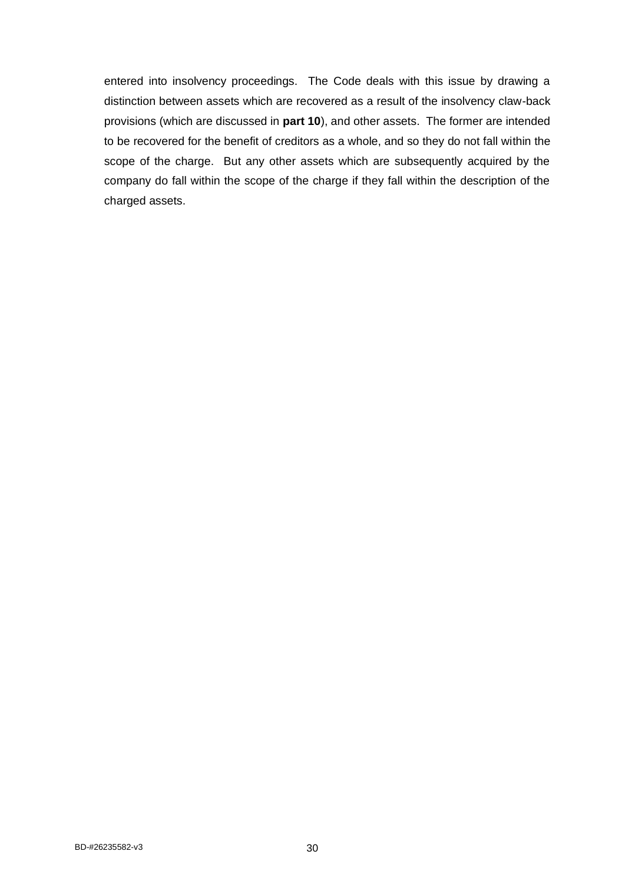entered into insolvency proceedings. The Code deals with this issue by drawing a distinction between assets which are recovered as a result of the insolvency claw-back provisions (which are discussed in **part 10**), and other assets. The former are intended to be recovered for the benefit of creditors as a whole, and so they do not fall within the scope of the charge. But any other assets which are subsequently acquired by the company do fall within the scope of the charge if they fall within the description of the charged assets.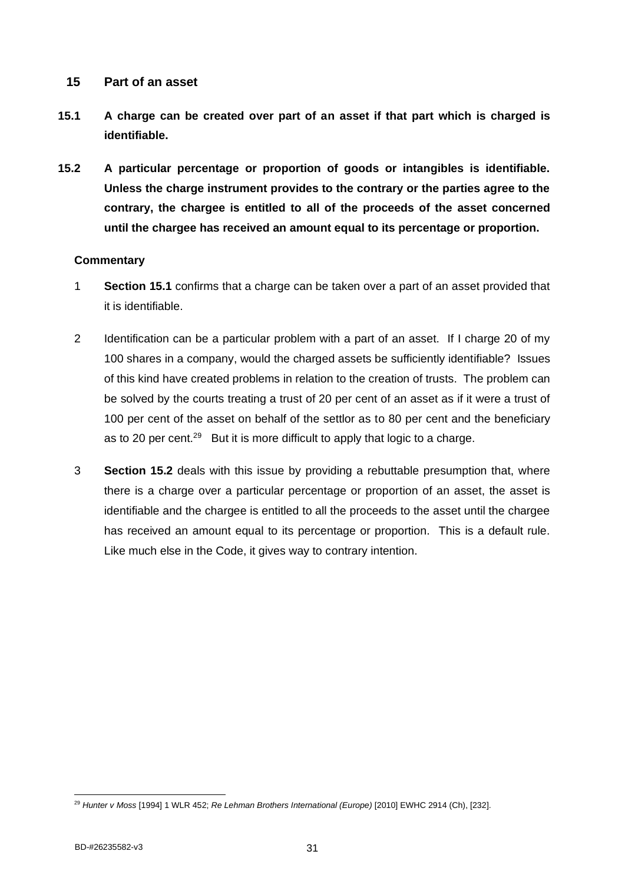## <span id="page-35-0"></span>**15 Part of an asset**

- **15.1 A charge can be created over part of an asset if that part which is charged is identifiable.**
- **15.2 A particular percentage or proportion of goods or intangibles is identifiable. Unless the charge instrument provides to the contrary or the parties agree to the contrary, the chargee is entitled to all of the proceeds of the asset concerned until the chargee has received an amount equal to its percentage or proportion.**

- 1 **Section 15.1** confirms that a charge can be taken over a part of an asset provided that it is identifiable.
- 2 Identification can be a particular problem with a part of an asset. If I charge 20 of my 100 shares in a company, would the charged assets be sufficiently identifiable? Issues of this kind have created problems in relation to the creation of trusts. The problem can be solved by the courts treating a trust of 20 per cent of an asset as if it were a trust of 100 per cent of the asset on behalf of the settlor as to 80 per cent and the beneficiary as to 20 per cent.<sup>29</sup> But it is more difficult to apply that logic to a charge.
- 3 **Section 15.2** deals with this issue by providing a rebuttable presumption that, where there is a charge over a particular percentage or proportion of an asset, the asset is identifiable and the chargee is entitled to all the proceeds to the asset until the chargee has received an amount equal to its percentage or proportion. This is a default rule. Like much else in the Code, it gives way to contrary intention.

<sup>29</sup> *Hunter v Moss* [1994] 1 WLR 452; *Re Lehman Brothers International (Europe)* [2010] EWHC 2914 (Ch), [232].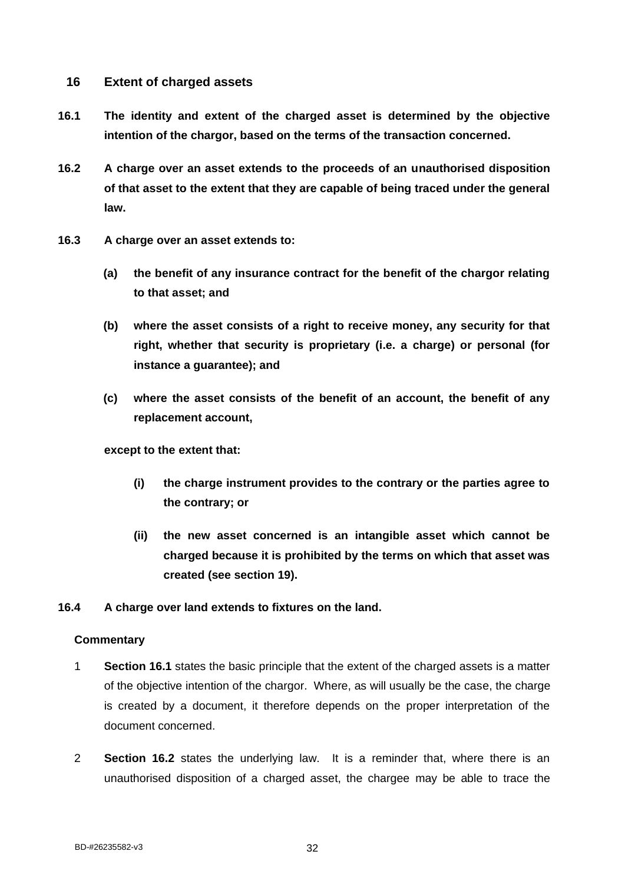# **16 Extent of charged assets**

- **16.1 The identity and extent of the charged asset is determined by the objective intention of the chargor, based on the terms of the transaction concerned.**
- **16.2 A charge over an asset extends to the proceeds of an unauthorised disposition of that asset to the extent that they are capable of being traced under the general law.**
- **16.3 A charge over an asset extends to:**
	- **(a) the benefit of any insurance contract for the benefit of the chargor relating to that asset; and**
	- **(b) where the asset consists of a right to receive money, any security for that right, whether that security is proprietary (i.e. a charge) or personal (for instance a guarantee); and**
	- **(c) where the asset consists of the benefit of an account, the benefit of any replacement account,**

## **except to the extent that:**

- **(i) the charge instrument provides to the contrary or the parties agree to the contrary; or**
- **(ii) the new asset concerned is an intangible asset which cannot be charged because it is prohibited by the terms on which that asset was created (see section 19).**

## **16.4 A charge over land extends to fixtures on the land.**

- 1 **Section 16.1** states the basic principle that the extent of the charged assets is a matter of the objective intention of the chargor. Where, as will usually be the case, the charge is created by a document, it therefore depends on the proper interpretation of the document concerned.
- 2 **Section 16.2** states the underlying law. It is a reminder that, where there is an unauthorised disposition of a charged asset, the chargee may be able to trace the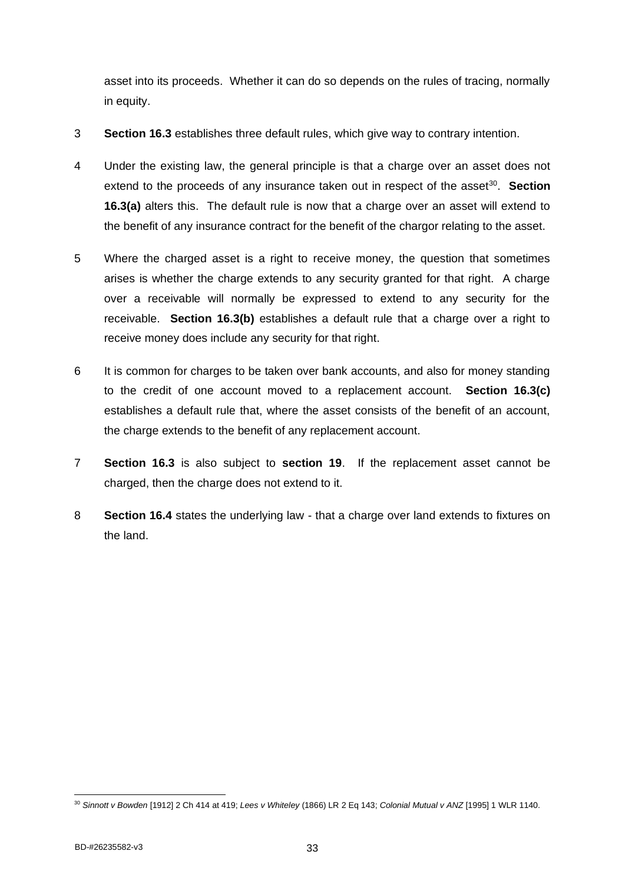asset into its proceeds. Whether it can do so depends on the rules of tracing, normally in equity.

- 3 **Section 16.3** establishes three default rules, which give way to contrary intention.
- 4 Under the existing law, the general principle is that a charge over an asset does not extend to the proceeds of any insurance taken out in respect of the asset<sup>30</sup>. Section **16.3(a)** alters this. The default rule is now that a charge over an asset will extend to the benefit of any insurance contract for the benefit of the chargor relating to the asset.
- 5 Where the charged asset is a right to receive money, the question that sometimes arises is whether the charge extends to any security granted for that right. A charge over a receivable will normally be expressed to extend to any security for the receivable. **Section 16.3(b)** establishes a default rule that a charge over a right to receive money does include any security for that right.
- 6 It is common for charges to be taken over bank accounts, and also for money standing to the credit of one account moved to a replacement account. **Section 16.3(c)** establishes a default rule that, where the asset consists of the benefit of an account, the charge extends to the benefit of any replacement account.
- 7 **Section 16.3** is also subject to **section 19**. If the replacement asset cannot be charged, then the charge does not extend to it.
- 8 **Section 16.4** states the underlying law that a charge over land extends to fixtures on the land.

<sup>30</sup> *Sinnott v Bowden* [1912] 2 Ch 414 at 419; *Lees v Whiteley* (1866) LR 2 Eq 143; *Colonial Mutual v ANZ* [1995] 1 WLR 1140.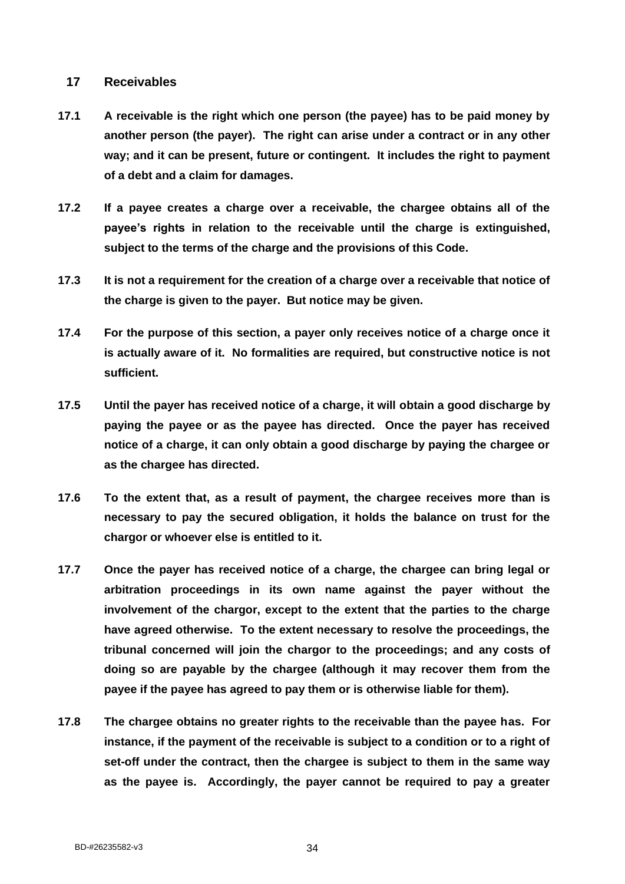## **17 Receivables**

- **17.1 A receivable is the right which one person (the payee) has to be paid money by another person (the payer). The right can arise under a contract or in any other way; and it can be present, future or contingent. It includes the right to payment of a debt and a claim for damages.**
- **17.2 If a payee creates a charge over a receivable, the chargee obtains all of the payee's rights in relation to the receivable until the charge is extinguished, subject to the terms of the charge and the provisions of this Code.**
- **17.3 It is not a requirement for the creation of a charge over a receivable that notice of the charge is given to the payer. But notice may be given.**
- **17.4 For the purpose of this section, a payer only receives notice of a charge once it is actually aware of it. No formalities are required, but constructive notice is not sufficient.**
- **17.5 Until the payer has received notice of a charge, it will obtain a good discharge by paying the payee or as the payee has directed. Once the payer has received notice of a charge, it can only obtain a good discharge by paying the chargee or as the chargee has directed.**
- **17.6 To the extent that, as a result of payment, the chargee receives more than is necessary to pay the secured obligation, it holds the balance on trust for the chargor or whoever else is entitled to it.**
- **17.7 Once the payer has received notice of a charge, the chargee can bring legal or arbitration proceedings in its own name against the payer without the involvement of the chargor, except to the extent that the parties to the charge have agreed otherwise. To the extent necessary to resolve the proceedings, the tribunal concerned will join the chargor to the proceedings; and any costs of doing so are payable by the chargee (although it may recover them from the payee if the payee has agreed to pay them or is otherwise liable for them).**
- **17.8 The chargee obtains no greater rights to the receivable than the payee has. For instance, if the payment of the receivable is subject to a condition or to a right of set-off under the contract, then the chargee is subject to them in the same way as the payee is. Accordingly, the payer cannot be required to pay a greater**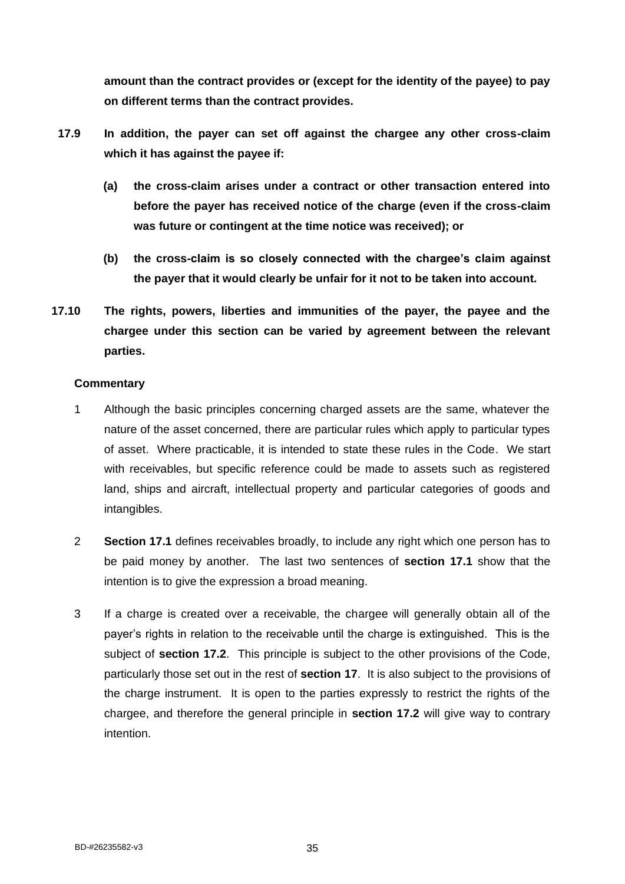**amount than the contract provides or (except for the identity of the payee) to pay on different terms than the contract provides.**

- **17.9 In addition, the payer can set off against the chargee any other cross-claim which it has against the payee if:**
	- **(a) the cross-claim arises under a contract or other transaction entered into before the payer has received notice of the charge (even if the cross-claim was future or contingent at the time notice was received); or**
	- **(b) the cross-claim is so closely connected with the chargee's claim against the payer that it would clearly be unfair for it not to be taken into account.**
- **17.10 The rights, powers, liberties and immunities of the payer, the payee and the chargee under this section can be varied by agreement between the relevant parties.**

- 1 Although the basic principles concerning charged assets are the same, whatever the nature of the asset concerned, there are particular rules which apply to particular types of asset. Where practicable, it is intended to state these rules in the Code. We start with receivables, but specific reference could be made to assets such as registered land, ships and aircraft, intellectual property and particular categories of goods and intangibles.
- 2 **Section 17.1** defines receivables broadly, to include any right which one person has to be paid money by another. The last two sentences of **section 17.1** show that the intention is to give the expression a broad meaning.
- 3 If a charge is created over a receivable, the chargee will generally obtain all of the payer's rights in relation to the receivable until the charge is extinguished. This is the subject of **section 17.2**. This principle is subject to the other provisions of the Code, particularly those set out in the rest of **section 17**. It is also subject to the provisions of the charge instrument. It is open to the parties expressly to restrict the rights of the chargee, and therefore the general principle in **section 17.2** will give way to contrary intention.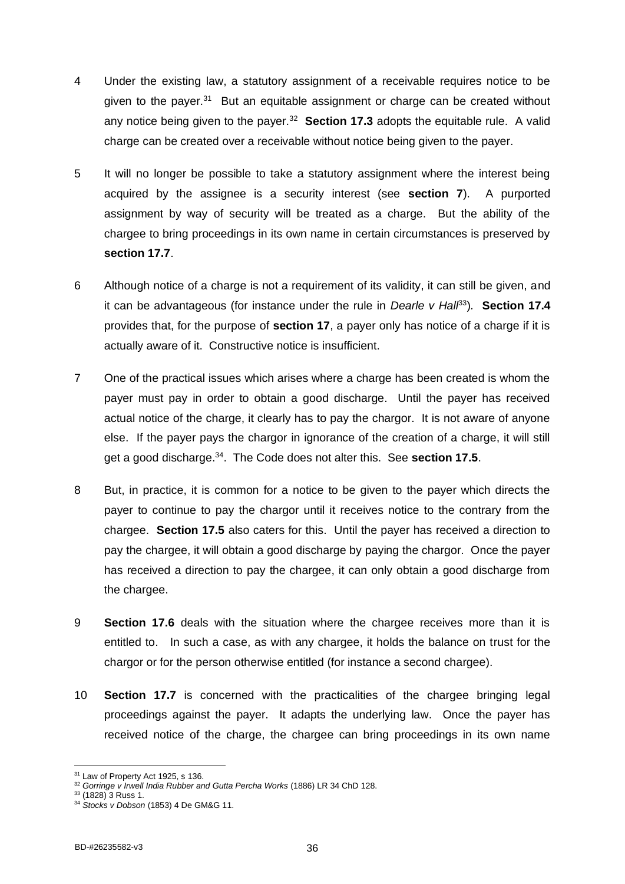- 4 Under the existing law, a statutory assignment of a receivable requires notice to be given to the payer.<sup>31</sup> But an equitable assignment or charge can be created without any notice being given to the payer.<sup>32</sup> Section 17.3 adopts the equitable rule. A valid charge can be created over a receivable without notice being given to the payer.
- 5 It will no longer be possible to take a statutory assignment where the interest being acquired by the assignee is a security interest (see **section 7**). A purported assignment by way of security will be treated as a charge. But the ability of the chargee to bring proceedings in its own name in certain circumstances is preserved by **section 17.7**.
- 6 Although notice of a charge is not a requirement of its validity, it can still be given, and it can be advantageous (for instance under the rule in *Dearle v Hall*<sup>33</sup>)*.* **Section 17.4** provides that, for the purpose of **section 17**, a payer only has notice of a charge if it is actually aware of it. Constructive notice is insufficient.
- 7 One of the practical issues which arises where a charge has been created is whom the payer must pay in order to obtain a good discharge. Until the payer has received actual notice of the charge, it clearly has to pay the chargor. It is not aware of anyone else. If the payer pays the chargor in ignorance of the creation of a charge, it will still get a good discharge.<sup>34</sup>. The Code does not alter this. See **section 17.5**.
- 8 But, in practice, it is common for a notice to be given to the payer which directs the payer to continue to pay the chargor until it receives notice to the contrary from the chargee. **Section 17.5** also caters for this. Until the payer has received a direction to pay the chargee, it will obtain a good discharge by paying the chargor. Once the payer has received a direction to pay the chargee, it can only obtain a good discharge from the chargee.
- 9 **Section 17.6** deals with the situation where the chargee receives more than it is entitled to. In such a case, as with any chargee, it holds the balance on trust for the chargor or for the person otherwise entitled (for instance a second chargee).
- 10 **Section 17.7** is concerned with the practicalities of the chargee bringing legal proceedings against the payer. It adapts the underlying law. Once the payer has received notice of the charge, the chargee can bring proceedings in its own name

<sup>&</sup>lt;sup>31</sup> Law of Property Act 1925, s 136.

<sup>&</sup>lt;sup>32</sup> Gorringe v Irwell India Rubber and Gutta Percha Works (1886) LR 34 ChD 128.

 $33$  (1828) 3 Russ 1.

<sup>34</sup> *Stocks v Dobson* (1853) 4 De GM&G 11.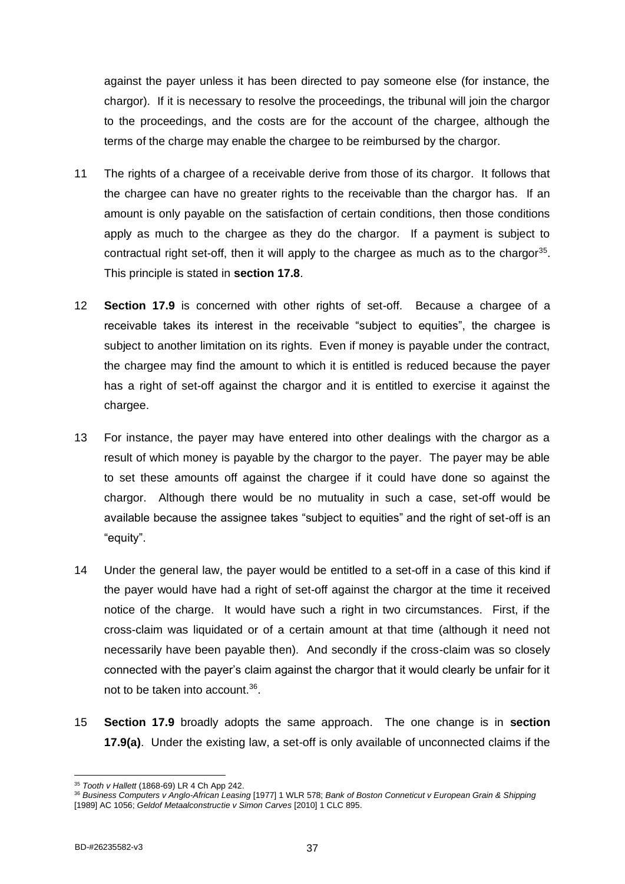against the payer unless it has been directed to pay someone else (for instance, the chargor). If it is necessary to resolve the proceedings, the tribunal will join the chargor to the proceedings, and the costs are for the account of the chargee, although the terms of the charge may enable the chargee to be reimbursed by the chargor.

- 11 The rights of a chargee of a receivable derive from those of its chargor. It follows that the chargee can have no greater rights to the receivable than the chargor has. If an amount is only payable on the satisfaction of certain conditions, then those conditions apply as much to the chargee as they do the chargor. If a payment is subject to contractual right set-off, then it will apply to the chargee as much as to the chargor<sup>35</sup>. This principle is stated in **section 17.8**.
- 12 **Section 17.9** is concerned with other rights of set-off. Because a chargee of a receivable takes its interest in the receivable "subject to equities", the chargee is subject to another limitation on its rights. Even if money is payable under the contract, the chargee may find the amount to which it is entitled is reduced because the payer has a right of set-off against the chargor and it is entitled to exercise it against the chargee.
- 13 For instance, the payer may have entered into other dealings with the chargor as a result of which money is payable by the chargor to the payer. The payer may be able to set these amounts off against the chargee if it could have done so against the chargor. Although there would be no mutuality in such a case, set-off would be available because the assignee takes "subject to equities" and the right of set-off is an "equity".
- 14 Under the general law, the payer would be entitled to a set-off in a case of this kind if the payer would have had a right of set-off against the chargor at the time it received notice of the charge. It would have such a right in two circumstances. First, if the cross-claim was liquidated or of a certain amount at that time (although it need not necessarily have been payable then). And secondly if the cross-claim was so closely connected with the payer's claim against the chargor that it would clearly be unfair for it not to be taken into account.<sup>36</sup>.
- 15 **Section 17.9** broadly adopts the same approach. The one change is in **section 17.9(a)**. Under the existing law, a set-off is only available of unconnected claims if the

<sup>35</sup> *Tooth v Hallett* (1868-69) LR 4 Ch App 242.

<sup>36</sup> *Business Computers v Anglo-African Leasing* [1977] 1 WLR 578; *Bank of Boston Conneticut v European Grain & Shipping* [1989] AC 1056; *Geldof Metaalconstructie v Simon Carves* [2010] 1 CLC 895.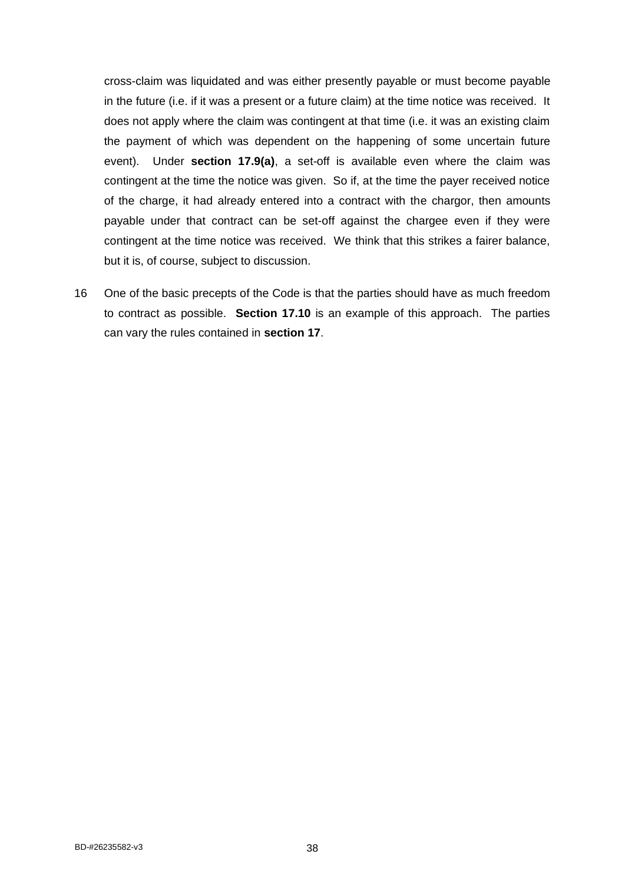cross-claim was liquidated and was either presently payable or must become payable in the future (i.e. if it was a present or a future claim) at the time notice was received. It does not apply where the claim was contingent at that time (i.e. it was an existing claim the payment of which was dependent on the happening of some uncertain future event). Under **section 17.9(a)**, a set-off is available even where the claim was contingent at the time the notice was given. So if, at the time the payer received notice of the charge, it had already entered into a contract with the chargor, then amounts payable under that contract can be set-off against the chargee even if they were contingent at the time notice was received. We think that this strikes a fairer balance, but it is, of course, subject to discussion.

16 One of the basic precepts of the Code is that the parties should have as much freedom to contract as possible. **Section 17.10** is an example of this approach. The parties can vary the rules contained in **section 17**.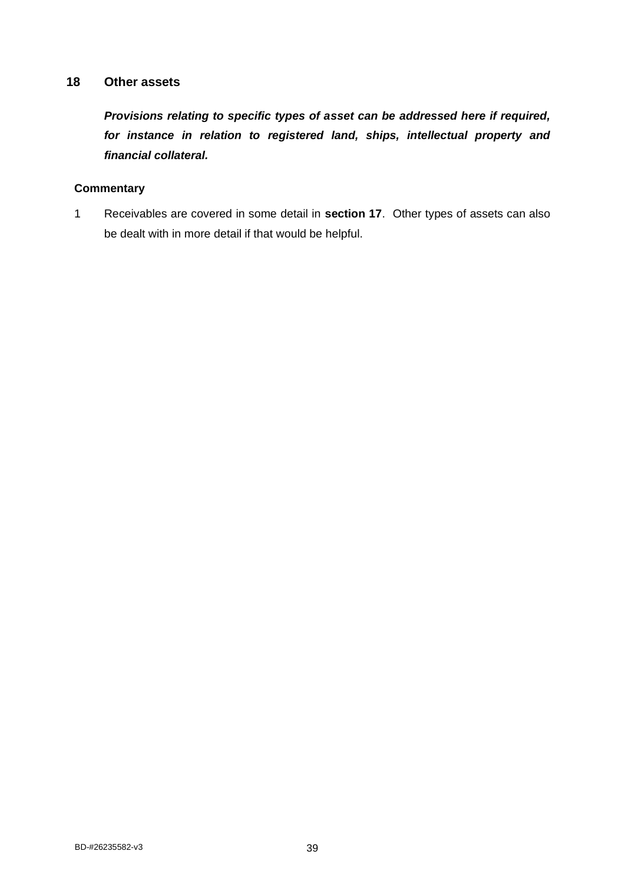# **18 Other assets**

*Provisions relating to specific types of asset can be addressed here if required, for instance in relation to registered land, ships, intellectual property and financial collateral.*

## **Commentary**

1 Receivables are covered in some detail in **section 17**. Other types of assets can also be dealt with in more detail if that would be helpful.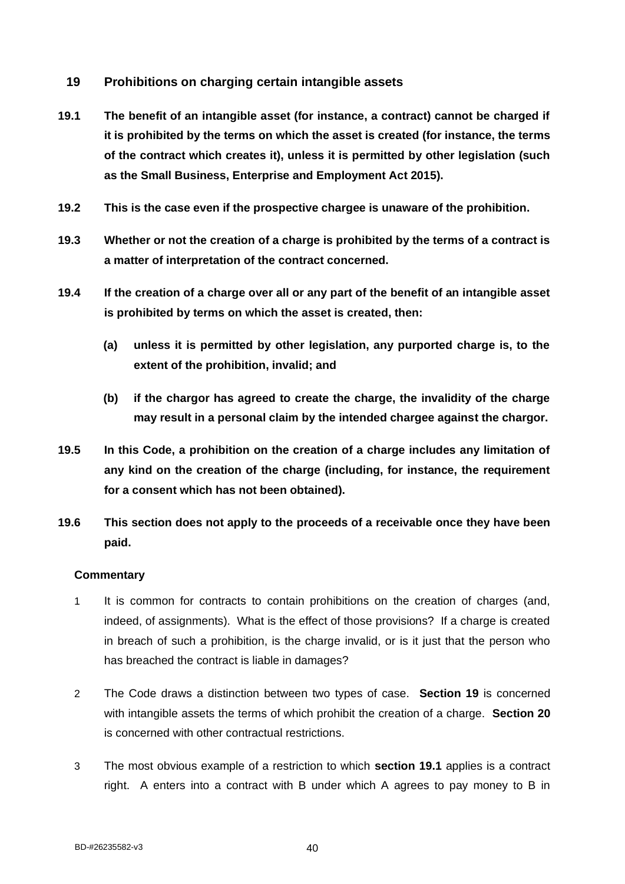# **19 Prohibitions on charging certain intangible assets**

- **19.1 The benefit of an intangible asset (for instance, a contract) cannot be charged if it is prohibited by the terms on which the asset is created (for instance, the terms of the contract which creates it), unless it is permitted by other legislation (such as the Small Business, Enterprise and Employment Act 2015).**
- **19.2 This is the case even if the prospective chargee is unaware of the prohibition.**
- **19.3 Whether or not the creation of a charge is prohibited by the terms of a contract is a matter of interpretation of the contract concerned.**
- **19.4 If the creation of a charge over all or any part of the benefit of an intangible asset is prohibited by terms on which the asset is created, then:**
	- **(a) unless it is permitted by other legislation, any purported charge is, to the extent of the prohibition, invalid; and**
	- **(b) if the chargor has agreed to create the charge, the invalidity of the charge may result in a personal claim by the intended chargee against the chargor.**
- **19.5 In this Code, a prohibition on the creation of a charge includes any limitation of any kind on the creation of the charge (including, for instance, the requirement for a consent which has not been obtained).**
- **19.6 This section does not apply to the proceeds of a receivable once they have been paid.**

- 1 It is common for contracts to contain prohibitions on the creation of charges (and, indeed, of assignments). What is the effect of those provisions? If a charge is created in breach of such a prohibition, is the charge invalid, or is it just that the person who has breached the contract is liable in damages?
- 2 The Code draws a distinction between two types of case. **Section 19** is concerned with intangible assets the terms of which prohibit the creation of a charge. **Section 20** is concerned with other contractual restrictions.
- 3 The most obvious example of a restriction to which **section 19.1** applies is a contract right. A enters into a contract with B under which A agrees to pay money to B in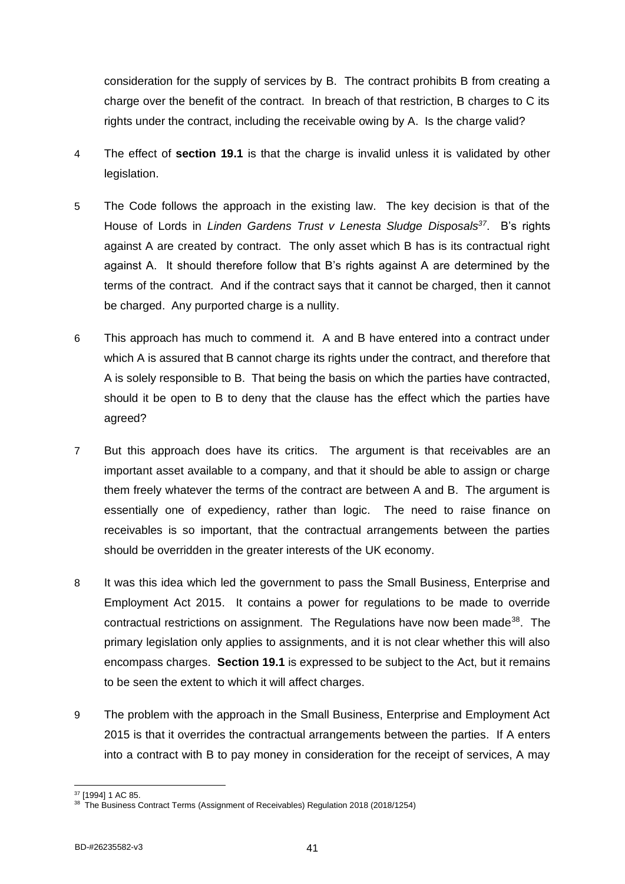consideration for the supply of services by B. The contract prohibits B from creating a charge over the benefit of the contract. In breach of that restriction, B charges to C its rights under the contract, including the receivable owing by A. Is the charge valid?

- 4 The effect of **section 19.1** is that the charge is invalid unless it is validated by other legislation.
- 5 The Code follows the approach in the existing law. The key decision is that of the House of Lords in *Linden Gardens Trust v Lenesta Sludge Disposals<sup>37</sup>*. B's rights against A are created by contract. The only asset which B has is its contractual right against A. It should therefore follow that B's rights against A are determined by the terms of the contract. And if the contract says that it cannot be charged, then it cannot be charged. Any purported charge is a nullity.
- 6 This approach has much to commend it. A and B have entered into a contract under which A is assured that B cannot charge its rights under the contract, and therefore that A is solely responsible to B. That being the basis on which the parties have contracted, should it be open to B to deny that the clause has the effect which the parties have agreed?
- 7 But this approach does have its critics. The argument is that receivables are an important asset available to a company, and that it should be able to assign or charge them freely whatever the terms of the contract are between A and B. The argument is essentially one of expediency, rather than logic. The need to raise finance on receivables is so important, that the contractual arrangements between the parties should be overridden in the greater interests of the UK economy.
- 8 It was this idea which led the government to pass the Small Business, Enterprise and Employment Act 2015. It contains a power for regulations to be made to override contractual restrictions on assignment. The Regulations have now been made<sup>38</sup>. The primary legislation only applies to assignments, and it is not clear whether this will also encompass charges. **Section 19.1** is expressed to be subject to the Act, but it remains to be seen the extent to which it will affect charges.
- 9 The problem with the approach in the Small Business, Enterprise and Employment Act 2015 is that it overrides the contractual arrangements between the parties. If A enters into a contract with B to pay money in consideration for the receipt of services, A may

<sup>37</sup> [1994] 1 AC 85.

<sup>&</sup>lt;sup>38</sup> The Business Contract Terms (Assignment of Receivables) Regulation 2018 (2018/1254)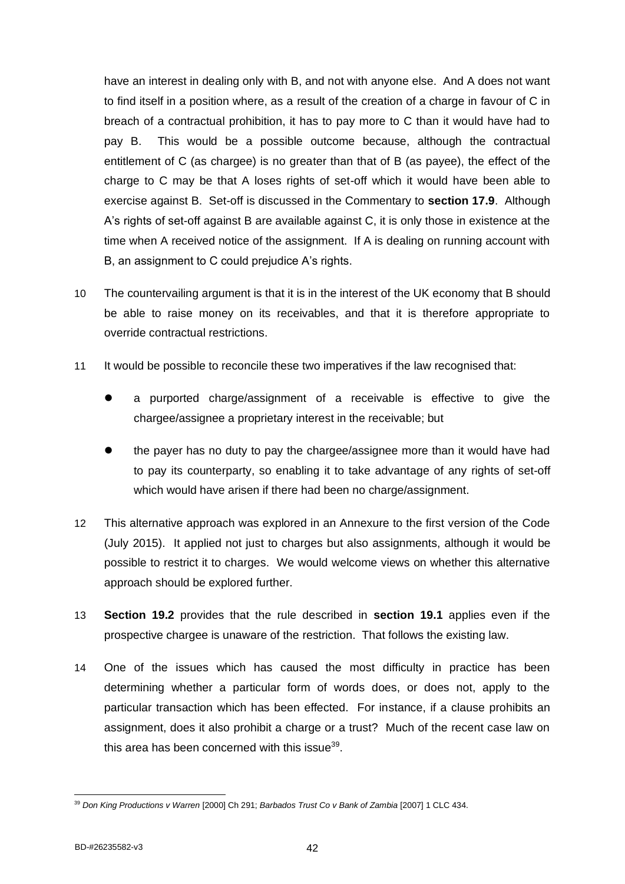have an interest in dealing only with B, and not with anyone else. And A does not want to find itself in a position where, as a result of the creation of a charge in favour of C in breach of a contractual prohibition, it has to pay more to C than it would have had to pay B. This would be a possible outcome because, although the contractual entitlement of C (as chargee) is no greater than that of B (as payee), the effect of the charge to C may be that A loses rights of set-off which it would have been able to exercise against B. Set-off is discussed in the Commentary to **section 17.9**. Although A's rights of set-off against B are available against C, it is only those in existence at the time when A received notice of the assignment. If A is dealing on running account with B, an assignment to C could prejudice A's rights.

- 10 The countervailing argument is that it is in the interest of the UK economy that B should be able to raise money on its receivables, and that it is therefore appropriate to override contractual restrictions.
- 11 It would be possible to reconcile these two imperatives if the law recognised that:
	- ⚫ a purported charge/assignment of a receivable is effective to give the chargee/assignee a proprietary interest in the receivable; but
	- ⚫ the payer has no duty to pay the chargee/assignee more than it would have had to pay its counterparty, so enabling it to take advantage of any rights of set-off which would have arisen if there had been no charge/assignment.
- 12 This alternative approach was explored in an Annexure to the first version of the Code (July 2015). It applied not just to charges but also assignments, although it would be possible to restrict it to charges. We would welcome views on whether this alternative approach should be explored further.
- 13 **Section 19.2** provides that the rule described in **section 19.1** applies even if the prospective chargee is unaware of the restriction. That follows the existing law.
- 14 One of the issues which has caused the most difficulty in practice has been determining whether a particular form of words does, or does not, apply to the particular transaction which has been effected. For instance, if a clause prohibits an assignment, does it also prohibit a charge or a trust? Much of the recent case law on this area has been concerned with this issue $^{39}$ .

<sup>39</sup> *Don King Productions v Warren* [2000] Ch 291; *Barbados Trust Co v Bank of Zambia* [2007] 1 CLC 434.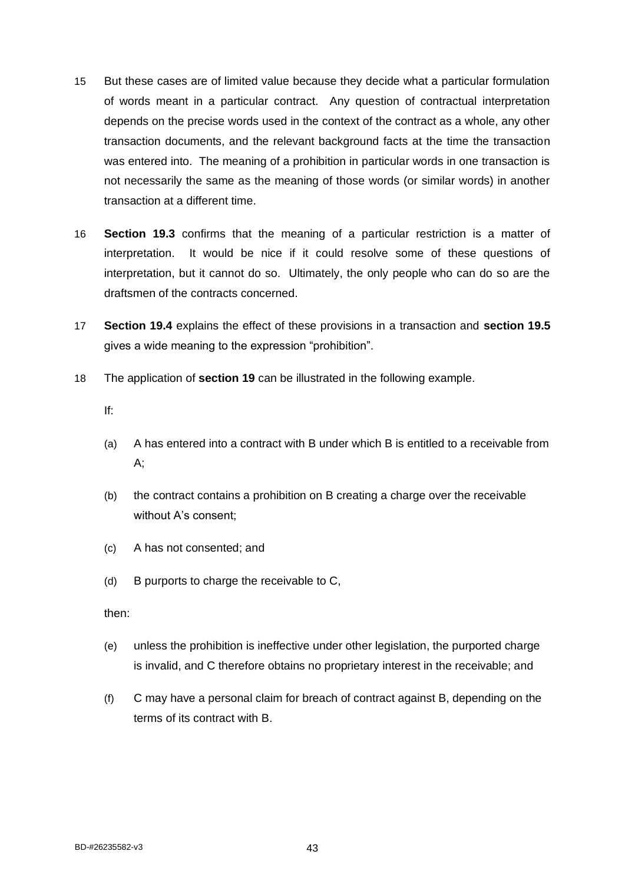- 15 But these cases are of limited value because they decide what a particular formulation of words meant in a particular contract. Any question of contractual interpretation depends on the precise words used in the context of the contract as a whole, any other transaction documents, and the relevant background facts at the time the transaction was entered into. The meaning of a prohibition in particular words in one transaction is not necessarily the same as the meaning of those words (or similar words) in another transaction at a different time.
- 16 **Section 19.3** confirms that the meaning of a particular restriction is a matter of interpretation. It would be nice if it could resolve some of these questions of interpretation, but it cannot do so. Ultimately, the only people who can do so are the draftsmen of the contracts concerned.
- 17 **Section 19.4** explains the effect of these provisions in a transaction and **section 19.5**  gives a wide meaning to the expression "prohibition".
- 18 The application of **section 19** can be illustrated in the following example.

If:

- (a) A has entered into a contract with B under which B is entitled to a receivable from A;
- (b) the contract contains a prohibition on B creating a charge over the receivable without A's consent;
- (c) A has not consented; and
- (d) B purports to charge the receivable to C,

then:

- (e) unless the prohibition is ineffective under other legislation, the purported charge is invalid, and C therefore obtains no proprietary interest in the receivable; and
- (f) C may have a personal claim for breach of contract against B, depending on the terms of its contract with B.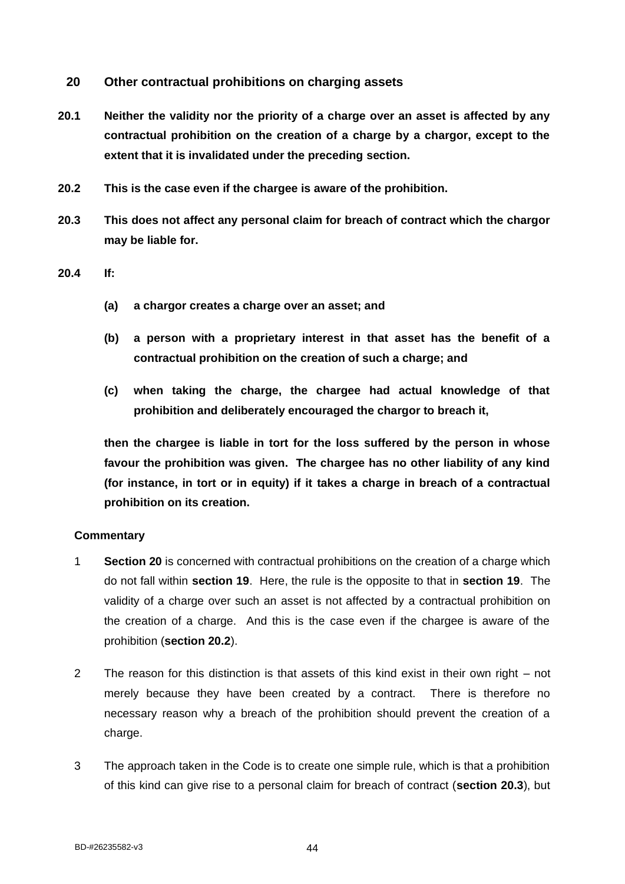- **20 Other contractual prohibitions on charging assets**
- **20.1 Neither the validity nor the priority of a charge over an asset is affected by any contractual prohibition on the creation of a charge by a chargor, except to the extent that it is invalidated under the preceding section.**
- **20.2 This is the case even if the chargee is aware of the prohibition.**
- **20.3 This does not affect any personal claim for breach of contract which the chargor may be liable for.**

**20.4 If:**

- **(a) a chargor creates a charge over an asset; and**
- **(b) a person with a proprietary interest in that asset has the benefit of a contractual prohibition on the creation of such a charge; and**
- **(c) when taking the charge, the chargee had actual knowledge of that prohibition and deliberately encouraged the chargor to breach it,**

**then the chargee is liable in tort for the loss suffered by the person in whose favour the prohibition was given. The chargee has no other liability of any kind (for instance, in tort or in equity) if it takes a charge in breach of a contractual prohibition on its creation.**

- 1 **Section 20** is concerned with contractual prohibitions on the creation of a charge which do not fall within **section 19**. Here, the rule is the opposite to that in **section 19**. The validity of a charge over such an asset is not affected by a contractual prohibition on the creation of a charge. And this is the case even if the chargee is aware of the prohibition (**section 20.2**).
- 2 The reason for this distinction is that assets of this kind exist in their own right not merely because they have been created by a contract. There is therefore no necessary reason why a breach of the prohibition should prevent the creation of a charge.
- 3 The approach taken in the Code is to create one simple rule, which is that a prohibition of this kind can give rise to a personal claim for breach of contract (**section 20.3**), but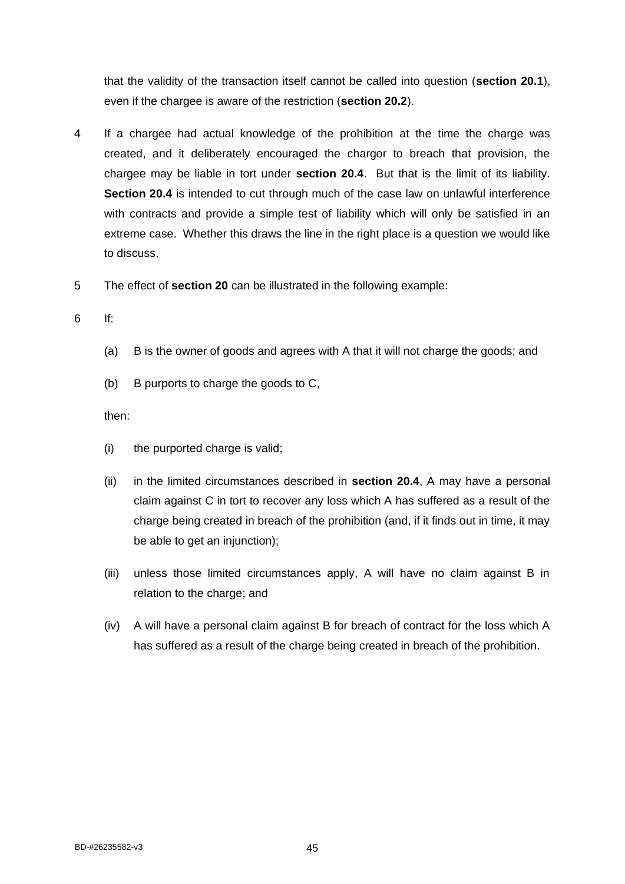that the validity of the transaction itself cannot be called into question (**section 20.1**), even if the chargee is aware of the restriction (**section 20.2**).

- 4 If a chargee had actual knowledge of the prohibition at the time the charge was created, and it deliberately encouraged the chargor to breach that provision, the chargee may be liable in tort under **section 20.4**. But that is the limit of its liability. **Section 20.4** is intended to cut through much of the case law on unlawful interference with contracts and provide a simple test of liability which will only be satisfied in an extreme case. Whether this draws the line in the right place is a question we would like to discuss.
- 5 The effect of **section 20** can be illustrated in the following example:
- 6 If:
	- (a) B is the owner of goods and agrees with A that it will not charge the goods; and
	- (b) B purports to charge the goods to C,

then:

- (i) the purported charge is valid;
- (ii) in the limited circumstances described in **section 20.4**, A may have a personal claim against C in tort to recover any loss which A has suffered as a result of the charge being created in breach of the prohibition (and, if it finds out in time, it may be able to get an injunction);
- (iii) unless those limited circumstances apply, A will have no claim against B in relation to the charge; and
- (iv) A will have a personal claim against B for breach of contract for the loss which A has suffered as a result of the charge being created in breach of the prohibition.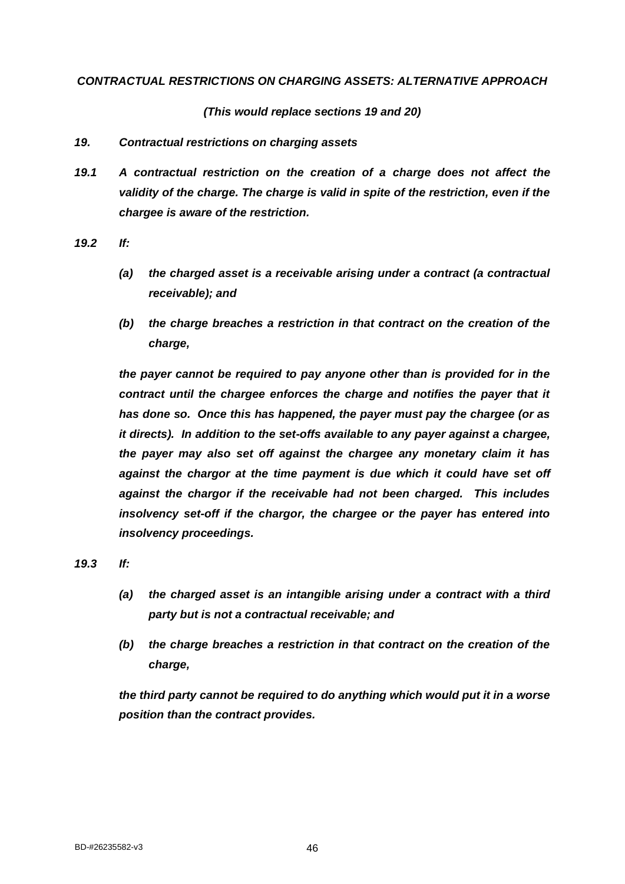### *CONTRACTUAL RESTRICTIONS ON CHARGING ASSETS: ALTERNATIVE APPROACH*

*(This would replace sections 19 and 20)*

### *19. Contractual restrictions on charging assets*

*19.1 A contractual restriction on the creation of a charge does not affect the validity of the charge. The charge is valid in spite of the restriction, even if the chargee is aware of the restriction.*

*19.2 If:* 

- *(a) the charged asset is a receivable arising under a contract (a contractual receivable); and*
- *(b) the charge breaches a restriction in that contract on the creation of the charge,*

*the payer cannot be required to pay anyone other than is provided for in the contract until the chargee enforces the charge and notifies the payer that it has done so. Once this has happened, the payer must pay the chargee (or as it directs). In addition to the set-offs available to any payer against a chargee, the payer may also set off against the chargee any monetary claim it has*  against the chargor at the time payment is due which it could have set off *against the chargor if the receivable had not been charged. This includes insolvency set-off if the chargor, the chargee or the payer has entered into insolvency proceedings.*

*19.3 If:*

- *(a) the charged asset is an intangible arising under a contract with a third party but is not a contractual receivable; and*
- *(b) the charge breaches a restriction in that contract on the creation of the charge,*

*the third party cannot be required to do anything which would put it in a worse position than the contract provides.*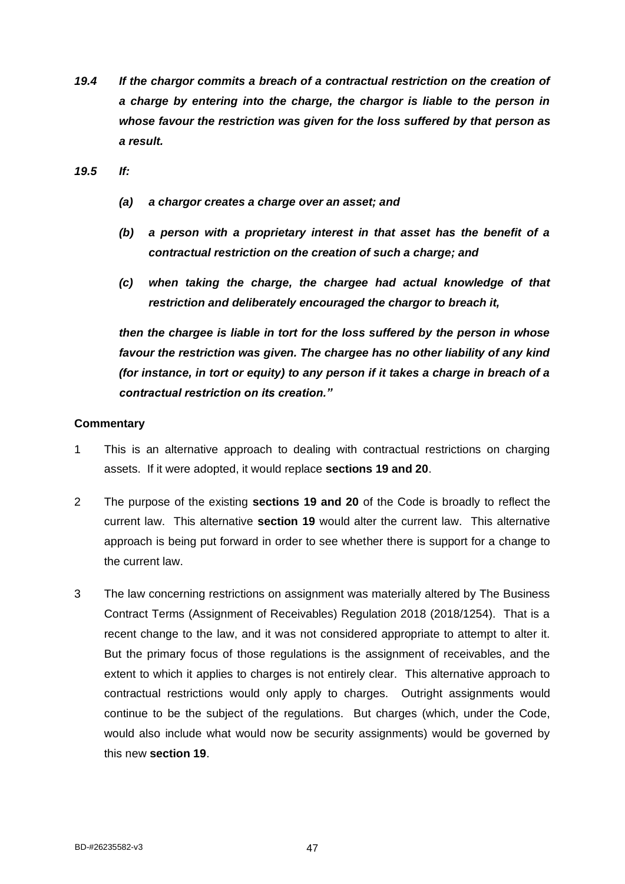- *19.4 If the chargor commits a breach of a contractual restriction on the creation of a charge by entering into the charge, the chargor is liable to the person in whose favour the restriction was given for the loss suffered by that person as a result.*
- *19.5 If:*
	- *(a) a chargor creates a charge over an asset; and*
	- *(b) a person with a proprietary interest in that asset has the benefit of a contractual restriction on the creation of such a charge; and*
	- *(c) when taking the charge, the chargee had actual knowledge of that restriction and deliberately encouraged the chargor to breach it,*

*then the chargee is liable in tort for the loss suffered by the person in whose favour the restriction was given. The chargee has no other liability of any kind (for instance, in tort or equity) to any person if it takes a charge in breach of a contractual restriction on its creation."*

- 1 This is an alternative approach to dealing with contractual restrictions on charging assets. If it were adopted, it would replace **sections 19 and 20**.
- 2 The purpose of the existing **sections 19 and 20** of the Code is broadly to reflect the current law. This alternative **section 19** would alter the current law. This alternative approach is being put forward in order to see whether there is support for a change to the current law.
- 3 The law concerning restrictions on assignment was materially altered by The Business Contract Terms (Assignment of Receivables) Regulation 2018 (2018/1254). That is a recent change to the law, and it was not considered appropriate to attempt to alter it. But the primary focus of those regulations is the assignment of receivables, and the extent to which it applies to charges is not entirely clear. This alternative approach to contractual restrictions would only apply to charges. Outright assignments would continue to be the subject of the regulations. But charges (which, under the Code, would also include what would now be security assignments) would be governed by this new **section 19**.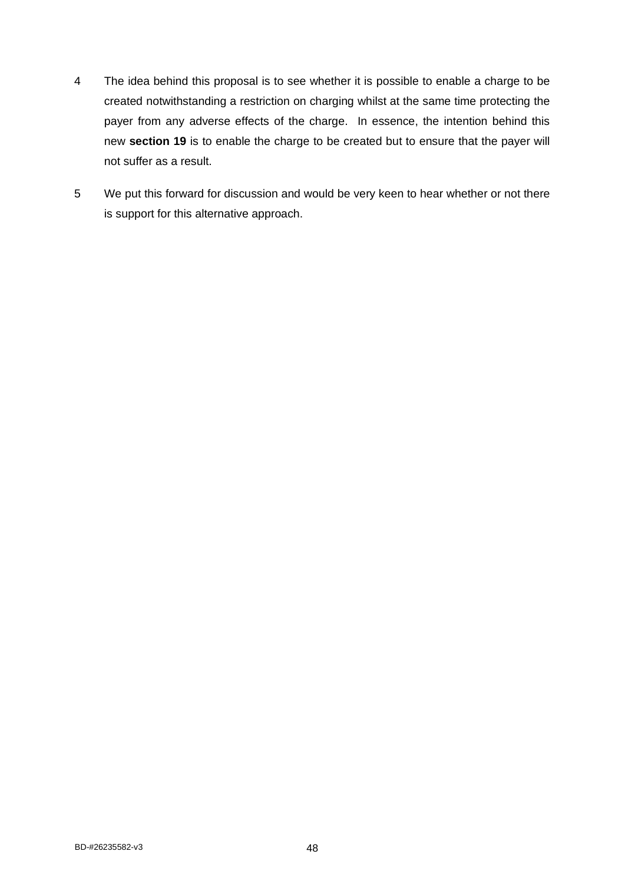- 4 The idea behind this proposal is to see whether it is possible to enable a charge to be created notwithstanding a restriction on charging whilst at the same time protecting the payer from any adverse effects of the charge. In essence, the intention behind this new **section 19** is to enable the charge to be created but to ensure that the payer will not suffer as a result.
- 5 We put this forward for discussion and would be very keen to hear whether or not there is support for this alternative approach.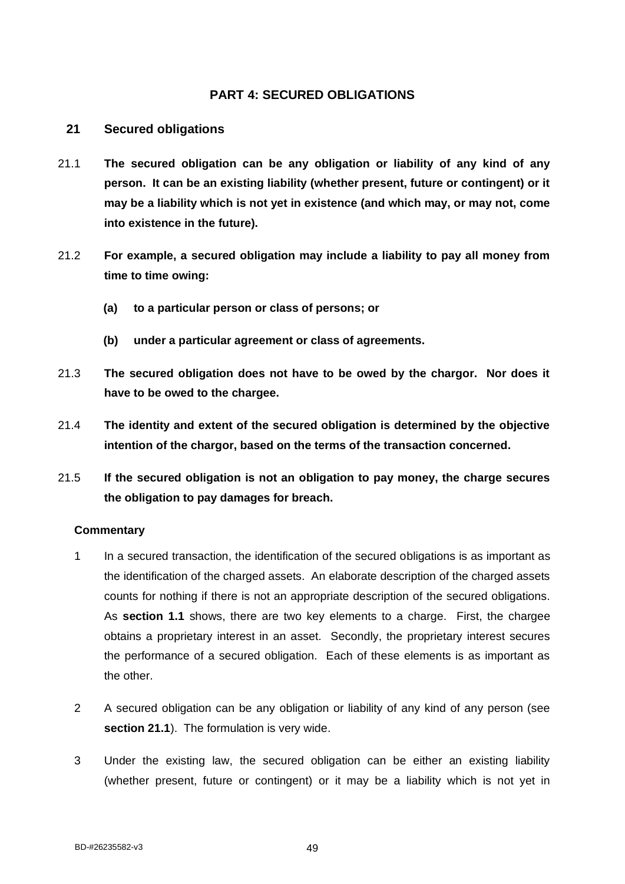# **PART 4: SECURED OBLIGATIONS**

## **21 Secured obligations**

- 21.1 **The secured obligation can be any obligation or liability of any kind of any person. It can be an existing liability (whether present, future or contingent) or it may be a liability which is not yet in existence (and which may, or may not, come into existence in the future).**
- 21.2 **For example, a secured obligation may include a liability to pay all money from time to time owing:**
	- **(a) to a particular person or class of persons; or**
	- **(b) under a particular agreement or class of agreements.**
- 21.3 **The secured obligation does not have to be owed by the chargor. Nor does it have to be owed to the chargee.**
- 21.4 **The identity and extent of the secured obligation is determined by the objective intention of the chargor, based on the terms of the transaction concerned.**
- 21.5 **If the secured obligation is not an obligation to pay money, the charge secures the obligation to pay damages for breach.**

- 1 In a secured transaction, the identification of the secured obligations is as important as the identification of the charged assets. An elaborate description of the charged assets counts for nothing if there is not an appropriate description of the secured obligations. As **section 1.1** shows, there are two key elements to a charge. First, the chargee obtains a proprietary interest in an asset. Secondly, the proprietary interest secures the performance of a secured obligation. Each of these elements is as important as the other.
- 2 A secured obligation can be any obligation or liability of any kind of any person (see **section 21.1**). The formulation is very wide.
- 3 Under the existing law, the secured obligation can be either an existing liability (whether present, future or contingent) or it may be a liability which is not yet in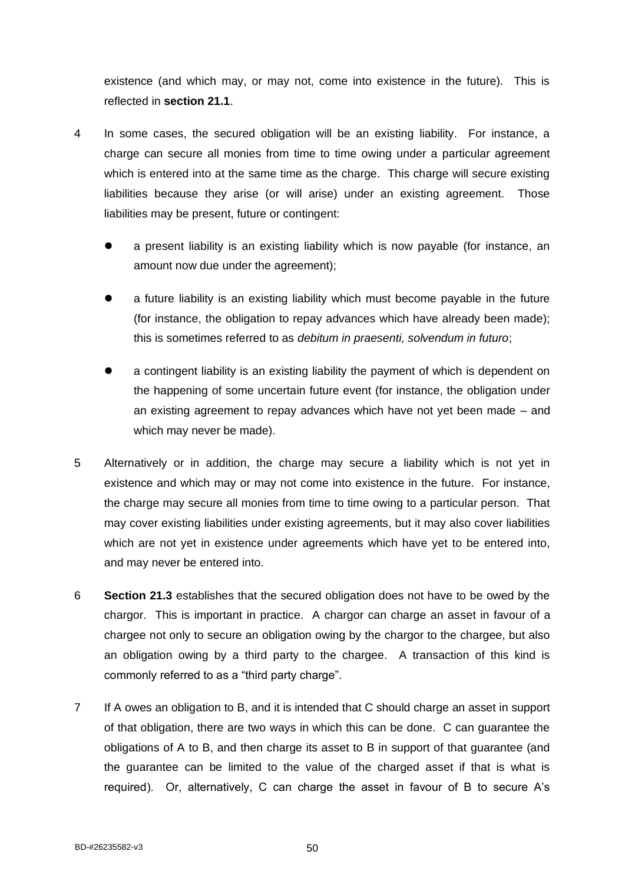existence (and which may, or may not, come into existence in the future). This is reflected in **section 21.1**.

- 4 In some cases, the secured obligation will be an existing liability. For instance, a charge can secure all monies from time to time owing under a particular agreement which is entered into at the same time as the charge. This charge will secure existing liabilities because they arise (or will arise) under an existing agreement. Those liabilities may be present, future or contingent:
	- a present liability is an existing liability which is now payable (for instance, an amount now due under the agreement);
	- ⚫ a future liability is an existing liability which must become payable in the future (for instance, the obligation to repay advances which have already been made); this is sometimes referred to as *debitum in praesenti, solvendum in futuro*;
	- ⚫ a contingent liability is an existing liability the payment of which is dependent on the happening of some uncertain future event (for instance, the obligation under an existing agreement to repay advances which have not yet been made – and which may never be made).
- 5 Alternatively or in addition, the charge may secure a liability which is not yet in existence and which may or may not come into existence in the future. For instance, the charge may secure all monies from time to time owing to a particular person. That may cover existing liabilities under existing agreements, but it may also cover liabilities which are not yet in existence under agreements which have yet to be entered into, and may never be entered into.
- 6 **Section 21.3** establishes that the secured obligation does not have to be owed by the chargor. This is important in practice. A chargor can charge an asset in favour of a chargee not only to secure an obligation owing by the chargor to the chargee, but also an obligation owing by a third party to the chargee. A transaction of this kind is commonly referred to as a "third party charge".
- 7 If A owes an obligation to B, and it is intended that C should charge an asset in support of that obligation, there are two ways in which this can be done. C can guarantee the obligations of A to B, and then charge its asset to B in support of that guarantee (and the guarantee can be limited to the value of the charged asset if that is what is required). Or, alternatively, C can charge the asset in favour of B to secure A's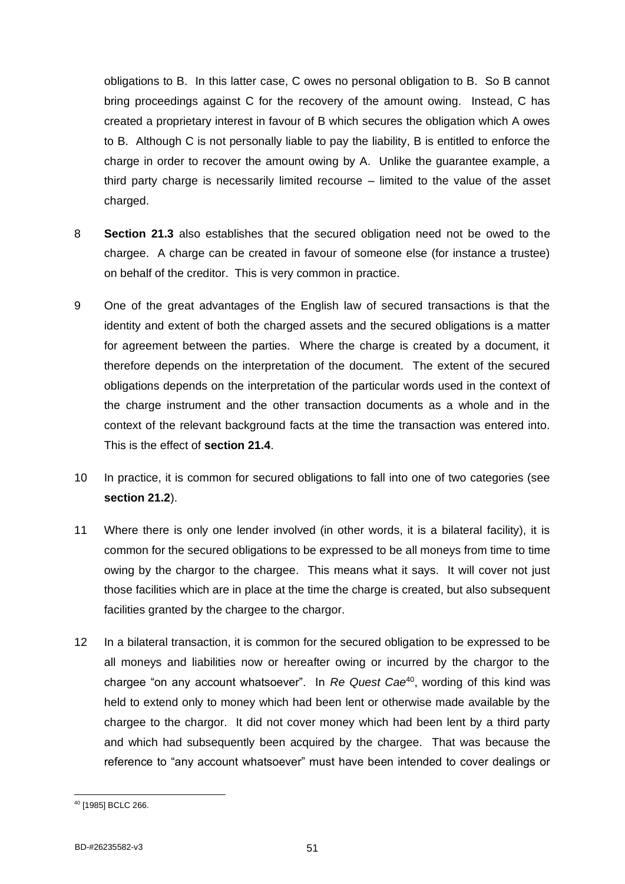obligations to B. In this latter case, C owes no personal obligation to B. So B cannot bring proceedings against C for the recovery of the amount owing. Instead, C has created a proprietary interest in favour of B which secures the obligation which A owes to B. Although C is not personally liable to pay the liability, B is entitled to enforce the charge in order to recover the amount owing by A. Unlike the guarantee example, a third party charge is necessarily limited recourse – limited to the value of the asset charged.

- 8 **Section 21.3** also establishes that the secured obligation need not be owed to the chargee. A charge can be created in favour of someone else (for instance a trustee) on behalf of the creditor. This is very common in practice.
- 9 One of the great advantages of the English law of secured transactions is that the identity and extent of both the charged assets and the secured obligations is a matter for agreement between the parties. Where the charge is created by a document, it therefore depends on the interpretation of the document. The extent of the secured obligations depends on the interpretation of the particular words used in the context of the charge instrument and the other transaction documents as a whole and in the context of the relevant background facts at the time the transaction was entered into. This is the effect of **section 21.4**.
- 10 In practice, it is common for secured obligations to fall into one of two categories (see **section 21.2**).
- 11 Where there is only one lender involved (in other words, it is a bilateral facility), it is common for the secured obligations to be expressed to be all moneys from time to time owing by the chargor to the chargee. This means what it says. It will cover not just those facilities which are in place at the time the charge is created, but also subsequent facilities granted by the chargee to the chargor.
- 12 In a bilateral transaction, it is common for the secured obligation to be expressed to be all moneys and liabilities now or hereafter owing or incurred by the chargor to the chargee "on any account whatsoever". In *Re Quest Cae*<sup>40</sup>, wording of this kind was held to extend only to money which had been lent or otherwise made available by the chargee to the chargor. It did not cover money which had been lent by a third party and which had subsequently been acquired by the chargee. That was because the reference to "any account whatsoever" must have been intended to cover dealings or

<sup>40</sup> [1985] BCLC 266.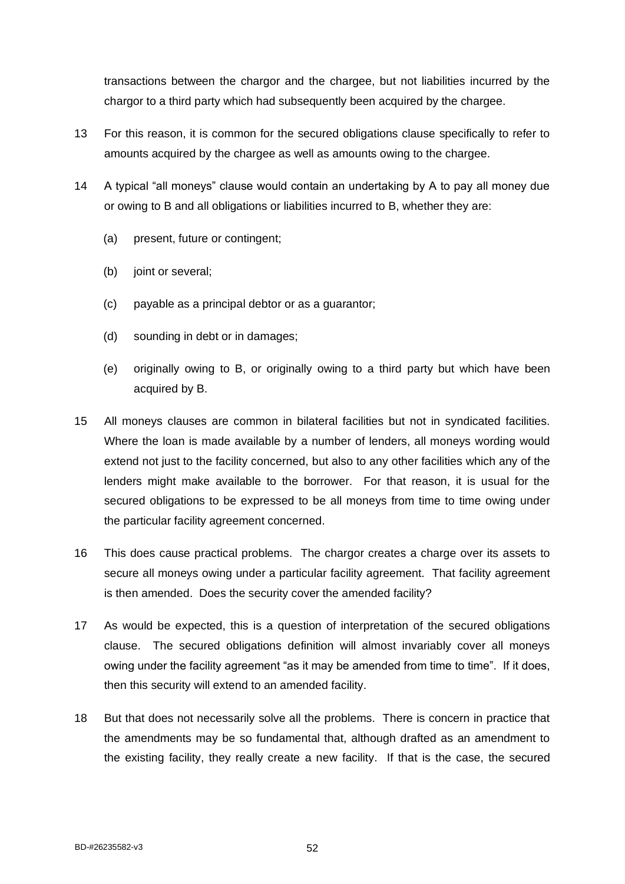transactions between the chargor and the chargee, but not liabilities incurred by the chargor to a third party which had subsequently been acquired by the chargee.

- 13 For this reason, it is common for the secured obligations clause specifically to refer to amounts acquired by the chargee as well as amounts owing to the chargee.
- 14 A typical "all moneys" clause would contain an undertaking by A to pay all money due or owing to B and all obligations or liabilities incurred to B, whether they are:
	- (a) present, future or contingent;
	- (b) joint or several;
	- (c) payable as a principal debtor or as a guarantor;
	- (d) sounding in debt or in damages;
	- (e) originally owing to B, or originally owing to a third party but which have been acquired by B.
- 15 All moneys clauses are common in bilateral facilities but not in syndicated facilities. Where the loan is made available by a number of lenders, all moneys wording would extend not just to the facility concerned, but also to any other facilities which any of the lenders might make available to the borrower. For that reason, it is usual for the secured obligations to be expressed to be all moneys from time to time owing under the particular facility agreement concerned.
- 16 This does cause practical problems. The chargor creates a charge over its assets to secure all moneys owing under a particular facility agreement. That facility agreement is then amended. Does the security cover the amended facility?
- 17 As would be expected, this is a question of interpretation of the secured obligations clause. The secured obligations definition will almost invariably cover all moneys owing under the facility agreement "as it may be amended from time to time". If it does, then this security will extend to an amended facility.
- 18 But that does not necessarily solve all the problems. There is concern in practice that the amendments may be so fundamental that, although drafted as an amendment to the existing facility, they really create a new facility. If that is the case, the secured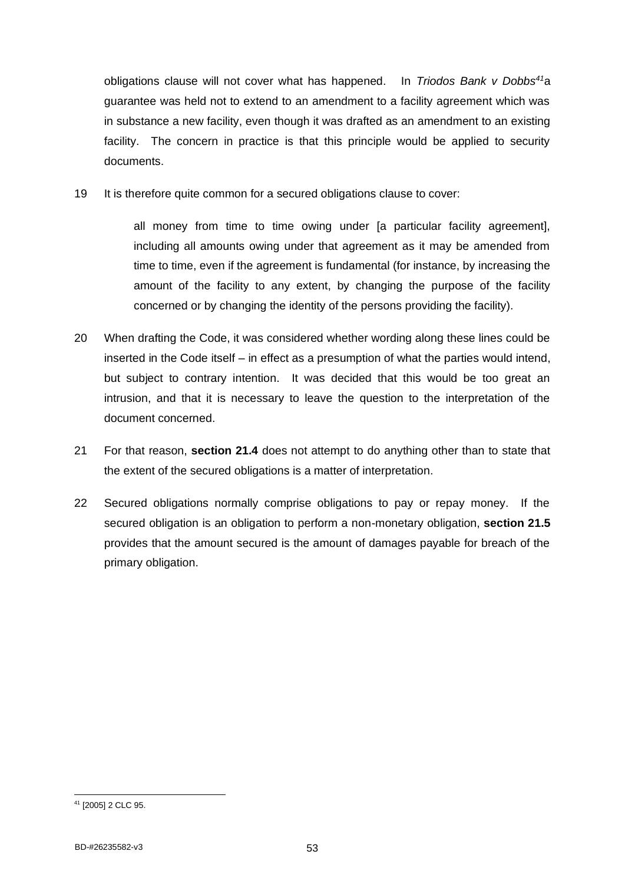obligations clause will not cover what has happened. In *Triodos Bank v Dobbs<sup>41</sup>*a guarantee was held not to extend to an amendment to a facility agreement which was in substance a new facility, even though it was drafted as an amendment to an existing facility. The concern in practice is that this principle would be applied to security documents.

19 It is therefore quite common for a secured obligations clause to cover:

all money from time to time owing under [a particular facility agreement], including all amounts owing under that agreement as it may be amended from time to time, even if the agreement is fundamental (for instance, by increasing the amount of the facility to any extent, by changing the purpose of the facility concerned or by changing the identity of the persons providing the facility).

- 20 When drafting the Code, it was considered whether wording along these lines could be inserted in the Code itself – in effect as a presumption of what the parties would intend, but subject to contrary intention. It was decided that this would be too great an intrusion, and that it is necessary to leave the question to the interpretation of the document concerned.
- 21 For that reason, **section 21.4** does not attempt to do anything other than to state that the extent of the secured obligations is a matter of interpretation.
- 22 Secured obligations normally comprise obligations to pay or repay money. If the secured obligation is an obligation to perform a non-monetary obligation, **section 21.5** provides that the amount secured is the amount of damages payable for breach of the primary obligation.

<sup>41</sup> [2005] 2 CLC 95.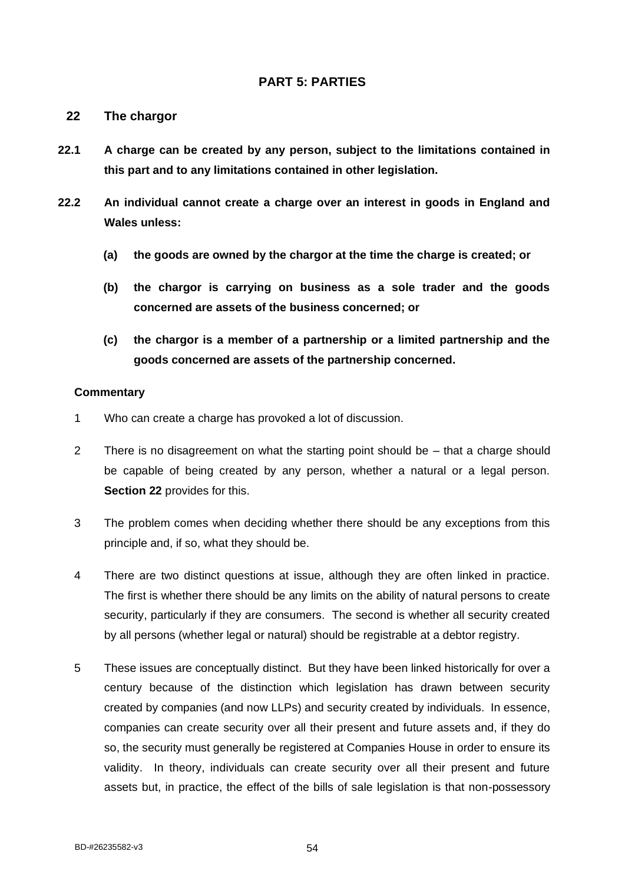# **PART 5: PARTIES**

## **22 The chargor**

- **22.1 A charge can be created by any person, subject to the limitations contained in this part and to any limitations contained in other legislation.**
- **22.2 An individual cannot create a charge over an interest in goods in England and Wales unless:**
	- **(a) the goods are owned by the chargor at the time the charge is created; or**
	- **(b) the chargor is carrying on business as a sole trader and the goods concerned are assets of the business concerned; or**
	- **(c) the chargor is a member of a partnership or a limited partnership and the goods concerned are assets of the partnership concerned.**

- 1 Who can create a charge has provoked a lot of discussion.
- 2 There is no disagreement on what the starting point should be that a charge should be capable of being created by any person, whether a natural or a legal person. **Section 22** provides for this.
- 3 The problem comes when deciding whether there should be any exceptions from this principle and, if so, what they should be.
- 4 There are two distinct questions at issue, although they are often linked in practice. The first is whether there should be any limits on the ability of natural persons to create security, particularly if they are consumers. The second is whether all security created by all persons (whether legal or natural) should be registrable at a debtor registry.
- 5 These issues are conceptually distinct. But they have been linked historically for over a century because of the distinction which legislation has drawn between security created by companies (and now LLPs) and security created by individuals. In essence, companies can create security over all their present and future assets and, if they do so, the security must generally be registered at Companies House in order to ensure its validity. In theory, individuals can create security over all their present and future assets but, in practice, the effect of the bills of sale legislation is that non-possessory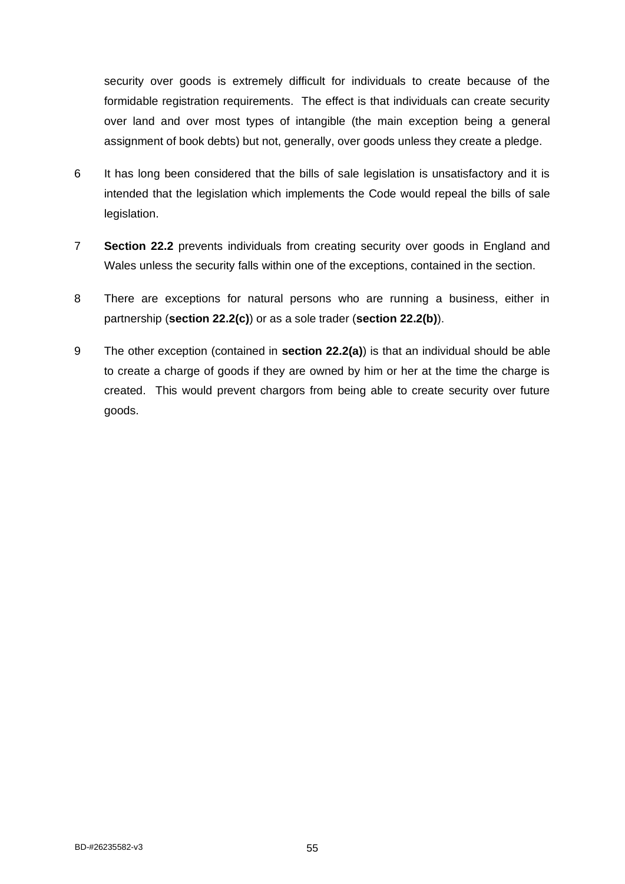security over goods is extremely difficult for individuals to create because of the formidable registration requirements. The effect is that individuals can create security over land and over most types of intangible (the main exception being a general assignment of book debts) but not, generally, over goods unless they create a pledge.

- 6 It has long been considered that the bills of sale legislation is unsatisfactory and it is intended that the legislation which implements the Code would repeal the bills of sale legislation.
- 7 **Section 22.2** prevents individuals from creating security over goods in England and Wales unless the security falls within one of the exceptions, contained in the section.
- 8 There are exceptions for natural persons who are running a business, either in partnership (**section 22.2(c)**) or as a sole trader (**section 22.2(b)**).
- 9 The other exception (contained in **section 22.2(a)**) is that an individual should be able to create a charge of goods if they are owned by him or her at the time the charge is created. This would prevent chargors from being able to create security over future goods.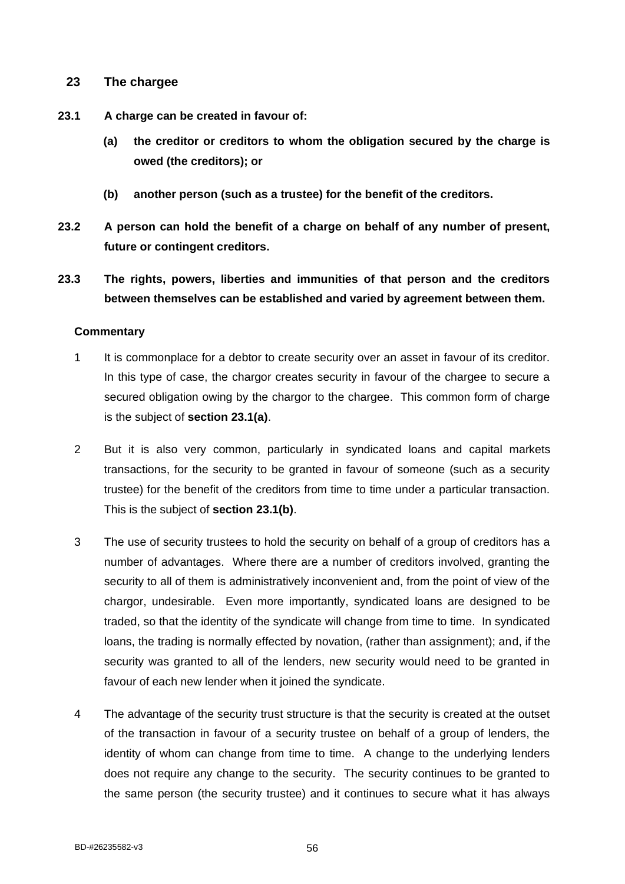# **23 The chargee**

- **23.1 A charge can be created in favour of:**
	- **(a) the creditor or creditors to whom the obligation secured by the charge is owed (the creditors); or**
	- **(b) another person (such as a trustee) for the benefit of the creditors.**
- **23.2 A person can hold the benefit of a charge on behalf of any number of present, future or contingent creditors.**
- **23.3 The rights, powers, liberties and immunities of that person and the creditors between themselves can be established and varied by agreement between them.**

- 1 It is commonplace for a debtor to create security over an asset in favour of its creditor. In this type of case, the chargor creates security in favour of the chargee to secure a secured obligation owing by the chargor to the chargee. This common form of charge is the subject of **section 23.1(a)**.
- 2 But it is also very common, particularly in syndicated loans and capital markets transactions, for the security to be granted in favour of someone (such as a security trustee) for the benefit of the creditors from time to time under a particular transaction. This is the subject of **section 23.1(b)**.
- 3 The use of security trustees to hold the security on behalf of a group of creditors has a number of advantages. Where there are a number of creditors involved, granting the security to all of them is administratively inconvenient and, from the point of view of the chargor, undesirable. Even more importantly, syndicated loans are designed to be traded, so that the identity of the syndicate will change from time to time. In syndicated loans, the trading is normally effected by novation, (rather than assignment); and, if the security was granted to all of the lenders, new security would need to be granted in favour of each new lender when it joined the syndicate.
- 4 The advantage of the security trust structure is that the security is created at the outset of the transaction in favour of a security trustee on behalf of a group of lenders, the identity of whom can change from time to time. A change to the underlying lenders does not require any change to the security. The security continues to be granted to the same person (the security trustee) and it continues to secure what it has always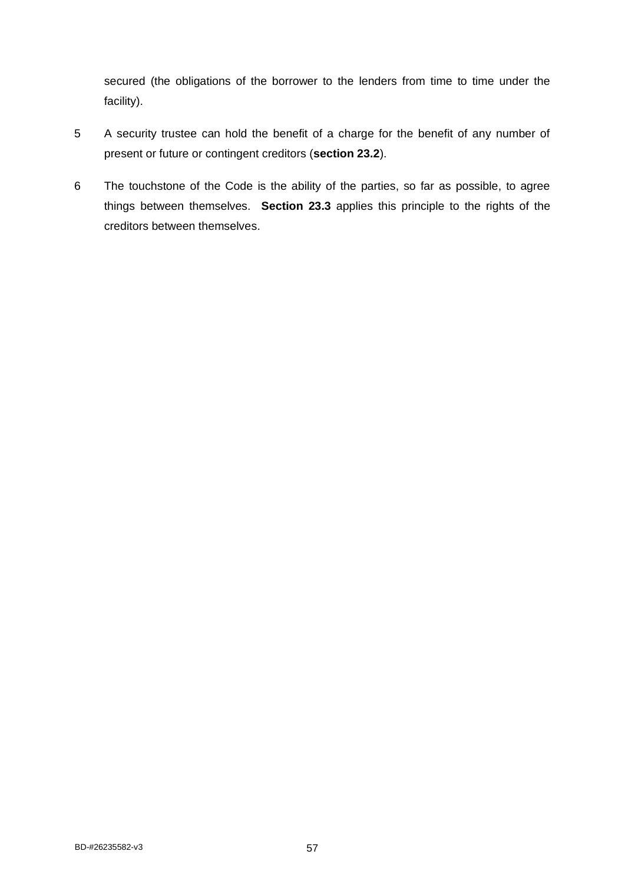secured (the obligations of the borrower to the lenders from time to time under the facility).

- 5 A security trustee can hold the benefit of a charge for the benefit of any number of present or future or contingent creditors (**section 23.2**).
- 6 The touchstone of the Code is the ability of the parties, so far as possible, to agree things between themselves. **Section 23.3** applies this principle to the rights of the creditors between themselves.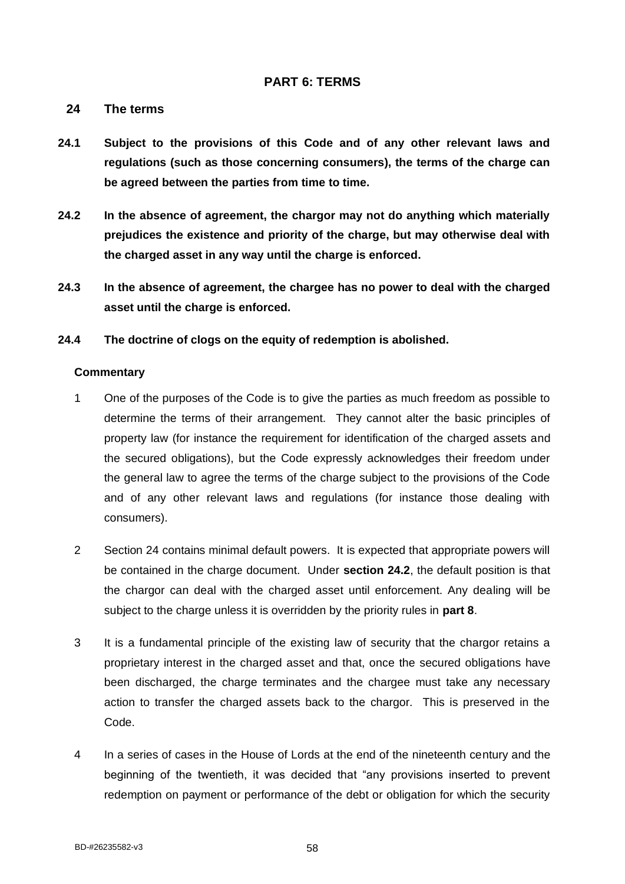# **PART 6: TERMS**

## **24 The terms**

- **24.1 Subject to the provisions of this Code and of any other relevant laws and regulations (such as those concerning consumers), the terms of the charge can be agreed between the parties from time to time.**
- **24.2 In the absence of agreement, the chargor may not do anything which materially prejudices the existence and priority of the charge, but may otherwise deal with the charged asset in any way until the charge is enforced.**
- **24.3 In the absence of agreement, the chargee has no power to deal with the charged asset until the charge is enforced.**
- **24.4 The doctrine of clogs on the equity of redemption is abolished.**

- 1 One of the purposes of the Code is to give the parties as much freedom as possible to determine the terms of their arrangement. They cannot alter the basic principles of property law (for instance the requirement for identification of the charged assets and the secured obligations), but the Code expressly acknowledges their freedom under the general law to agree the terms of the charge subject to the provisions of the Code and of any other relevant laws and regulations (for instance those dealing with consumers).
- 2 Section 24 contains minimal default powers. It is expected that appropriate powers will be contained in the charge document. Under **section 24.2**, the default position is that the chargor can deal with the charged asset until enforcement. Any dealing will be subject to the charge unless it is overridden by the priority rules in **part 8**.
- 3 It is a fundamental principle of the existing law of security that the chargor retains a proprietary interest in the charged asset and that, once the secured obligations have been discharged, the charge terminates and the chargee must take any necessary action to transfer the charged assets back to the chargor. This is preserved in the Code.
- 4 In a series of cases in the House of Lords at the end of the nineteenth century and the beginning of the twentieth, it was decided that "any provisions inserted to prevent redemption on payment or performance of the debt or obligation for which the security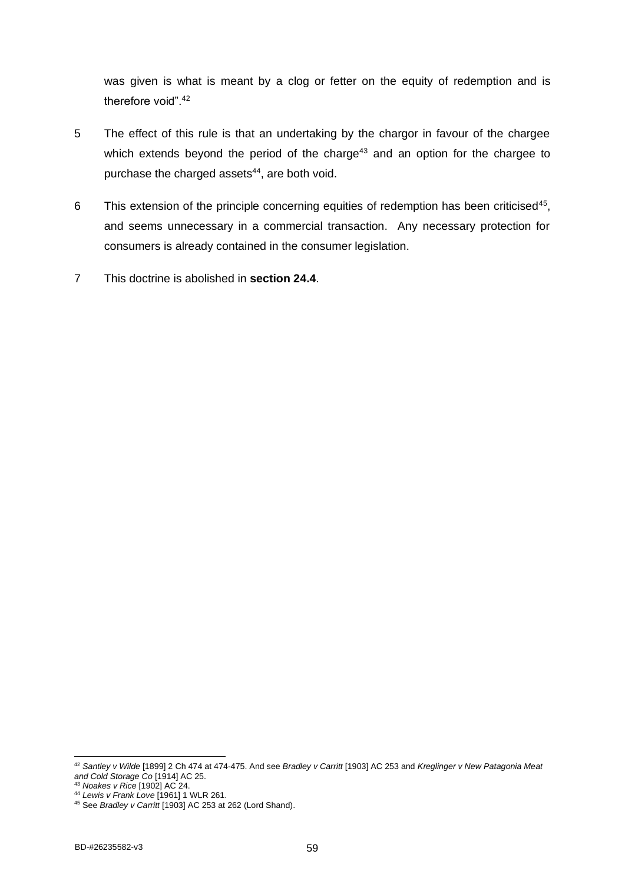was given is what is meant by a clog or fetter on the equity of redemption and is therefore void".<sup>42</sup>

- 5 The effect of this rule is that an undertaking by the chargor in favour of the chargee which extends beyond the period of the charge<sup>43</sup> and an option for the chargee to purchase the charged assets<sup>44</sup>, are both void.
- 6 This extension of the principle concerning equities of redemption has been criticised<sup>45</sup>, and seems unnecessary in a commercial transaction. Any necessary protection for consumers is already contained in the consumer legislation.
- 7 This doctrine is abolished in **section 24.4**.

<sup>42</sup> *Santley v Wilde* [1899] 2 Ch 474 at 474-475. And see *Bradley v Carritt* [1903] AC 253 and *Kreglinger v New Patagonia Meat and Cold Storage Co* [1914] AC 25.

<sup>43</sup> *Noakes v Rice* [1902] AC 24.

<sup>44</sup> *Lewis v Frank Love* [1961] 1 WLR 261.

<sup>45</sup> See *Bradley v Carritt* [1903] AC 253 at 262 (Lord Shand).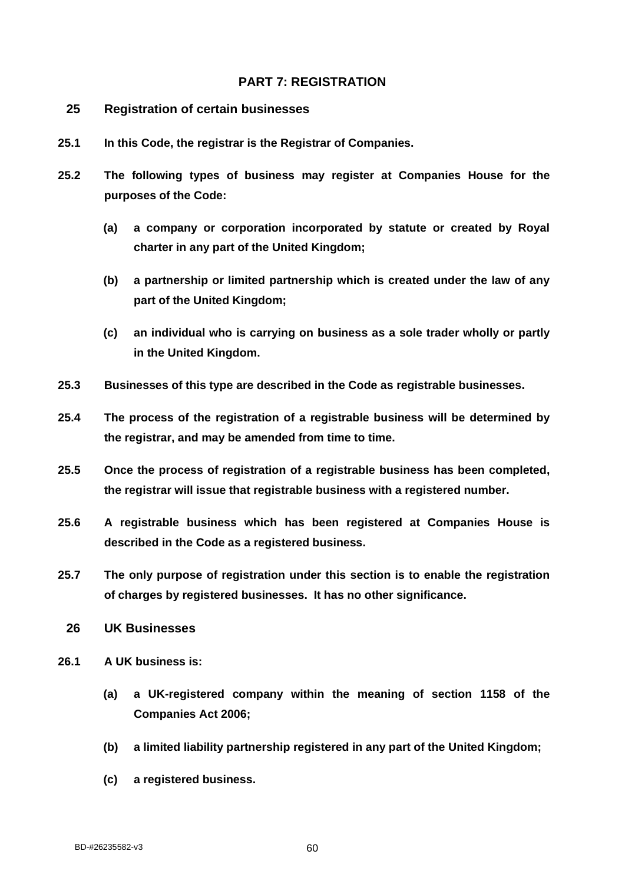# **PART 7: REGISTRATION**

- **25 Registration of certain businesses**
- **25.1 In this Code, the registrar is the Registrar of Companies.**
- **25.2 The following types of business may register at Companies House for the purposes of the Code:**
	- **(a) a company or corporation incorporated by statute or created by Royal charter in any part of the United Kingdom;**
	- **(b) a partnership or limited partnership which is created under the law of any part of the United Kingdom;**
	- **(c) an individual who is carrying on business as a sole trader wholly or partly in the United Kingdom.**
- **25.3 Businesses of this type are described in the Code as registrable businesses.**
- **25.4 The process of the registration of a registrable business will be determined by the registrar, and may be amended from time to time.**
- **25.5 Once the process of registration of a registrable business has been completed, the registrar will issue that registrable business with a registered number.**
- **25.6 A registrable business which has been registered at Companies House is described in the Code as a registered business.**
- **25.7 The only purpose of registration under this section is to enable the registration of charges by registered businesses. It has no other significance.**
- **26 UK Businesses**
- **26.1 A UK business is:**
	- **(a) a UK-registered company within the meaning of section 1158 of the Companies Act 2006;**
	- **(b) a limited liability partnership registered in any part of the United Kingdom;**
	- **(c) a registered business.**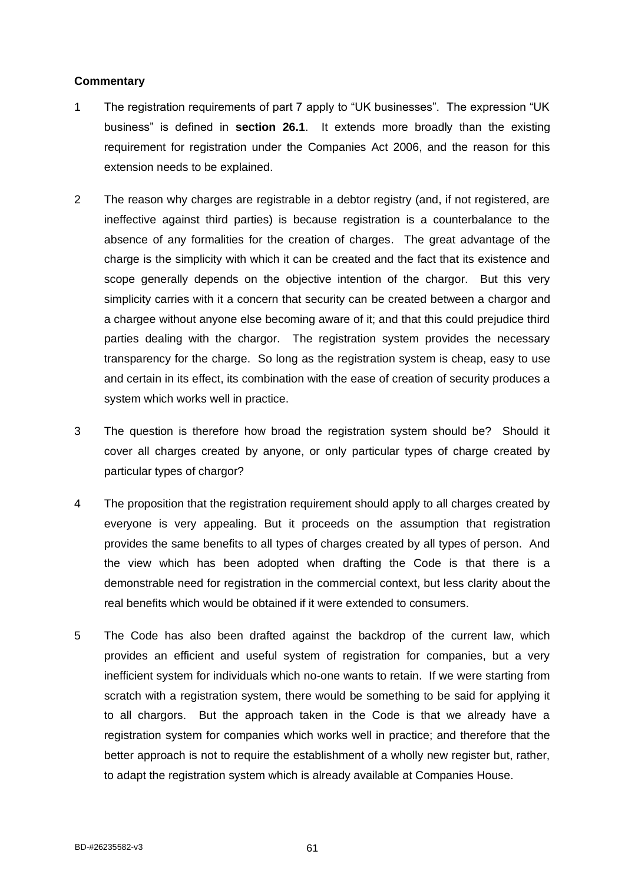- 1 The registration requirements of part 7 apply to "UK businesses". The expression "UK business" is defined in **section 26.1**. It extends more broadly than the existing requirement for registration under the Companies Act 2006, and the reason for this extension needs to be explained.
- 2 The reason why charges are registrable in a debtor registry (and, if not registered, are ineffective against third parties) is because registration is a counterbalance to the absence of any formalities for the creation of charges. The great advantage of the charge is the simplicity with which it can be created and the fact that its existence and scope generally depends on the objective intention of the chargor. But this very simplicity carries with it a concern that security can be created between a chargor and a chargee without anyone else becoming aware of it; and that this could prejudice third parties dealing with the chargor. The registration system provides the necessary transparency for the charge. So long as the registration system is cheap, easy to use and certain in its effect, its combination with the ease of creation of security produces a system which works well in practice.
- 3 The question is therefore how broad the registration system should be? Should it cover all charges created by anyone, or only particular types of charge created by particular types of chargor?
- 4 The proposition that the registration requirement should apply to all charges created by everyone is very appealing. But it proceeds on the assumption that registration provides the same benefits to all types of charges created by all types of person. And the view which has been adopted when drafting the Code is that there is a demonstrable need for registration in the commercial context, but less clarity about the real benefits which would be obtained if it were extended to consumers.
- 5 The Code has also been drafted against the backdrop of the current law, which provides an efficient and useful system of registration for companies, but a very inefficient system for individuals which no-one wants to retain. If we were starting from scratch with a registration system, there would be something to be said for applying it to all chargors. But the approach taken in the Code is that we already have a registration system for companies which works well in practice; and therefore that the better approach is not to require the establishment of a wholly new register but, rather, to adapt the registration system which is already available at Companies House.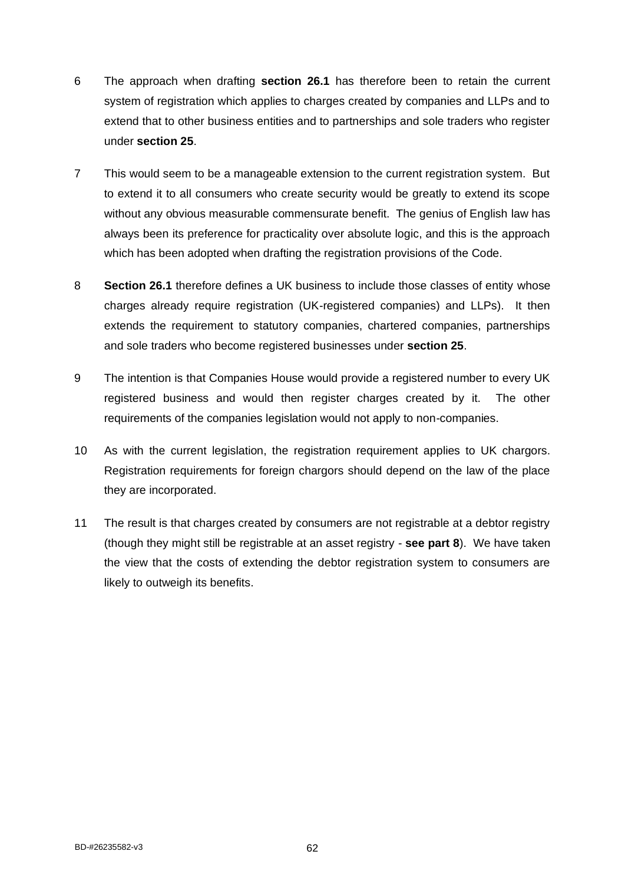- 6 The approach when drafting **section 26.1** has therefore been to retain the current system of registration which applies to charges created by companies and LLPs and to extend that to other business entities and to partnerships and sole traders who register under **section 25**.
- 7 This would seem to be a manageable extension to the current registration system. But to extend it to all consumers who create security would be greatly to extend its scope without any obvious measurable commensurate benefit. The genius of English law has always been its preference for practicality over absolute logic, and this is the approach which has been adopted when drafting the registration provisions of the Code.
- 8 **Section 26.1** therefore defines a UK business to include those classes of entity whose charges already require registration (UK-registered companies) and LLPs). It then extends the requirement to statutory companies, chartered companies, partnerships and sole traders who become registered businesses under **section 25**.
- 9 The intention is that Companies House would provide a registered number to every UK registered business and would then register charges created by it. The other requirements of the companies legislation would not apply to non-companies.
- 10 As with the current legislation, the registration requirement applies to UK chargors. Registration requirements for foreign chargors should depend on the law of the place they are incorporated.
- 11 The result is that charges created by consumers are not registrable at a debtor registry (though they might still be registrable at an asset registry - **see part 8**). We have taken the view that the costs of extending the debtor registration system to consumers are likely to outweigh its benefits.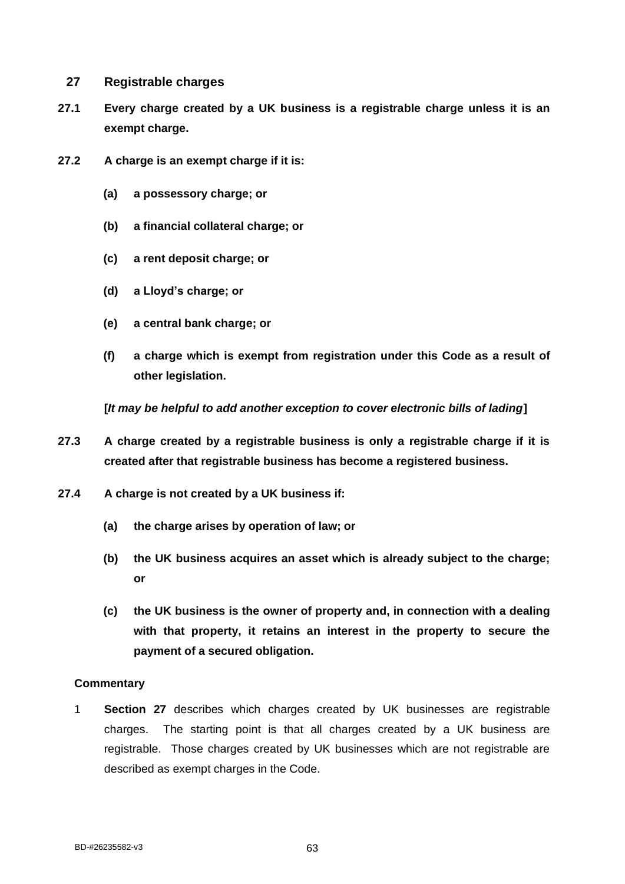## **27 Registrable charges**

- **27.1 Every charge created by a UK business is a registrable charge unless it is an exempt charge.**
- **27.2 A charge is an exempt charge if it is:**
	- **(a) a possessory charge; or**
	- **(b) a financial collateral charge; or**
	- **(c) a rent deposit charge; or**
	- **(d) a Lloyd's charge; or**
	- **(e) a central bank charge; or**
	- **(f) a charge which is exempt from registration under this Code as a result of other legislation.**

**[***It may be helpful to add another exception to cover electronic bills of lading***]**

- **27.3 A charge created by a registrable business is only a registrable charge if it is created after that registrable business has become a registered business.**
- **27.4 A charge is not created by a UK business if:**
	- **(a) the charge arises by operation of law; or**
	- **(b) the UK business acquires an asset which is already subject to the charge; or**
	- **(c) the UK business is the owner of property and, in connection with a dealing with that property, it retains an interest in the property to secure the payment of a secured obligation.**

#### **Commentary**

1 **Section 27** describes which charges created by UK businesses are registrable charges. The starting point is that all charges created by a UK business are registrable. Those charges created by UK businesses which are not registrable are described as exempt charges in the Code.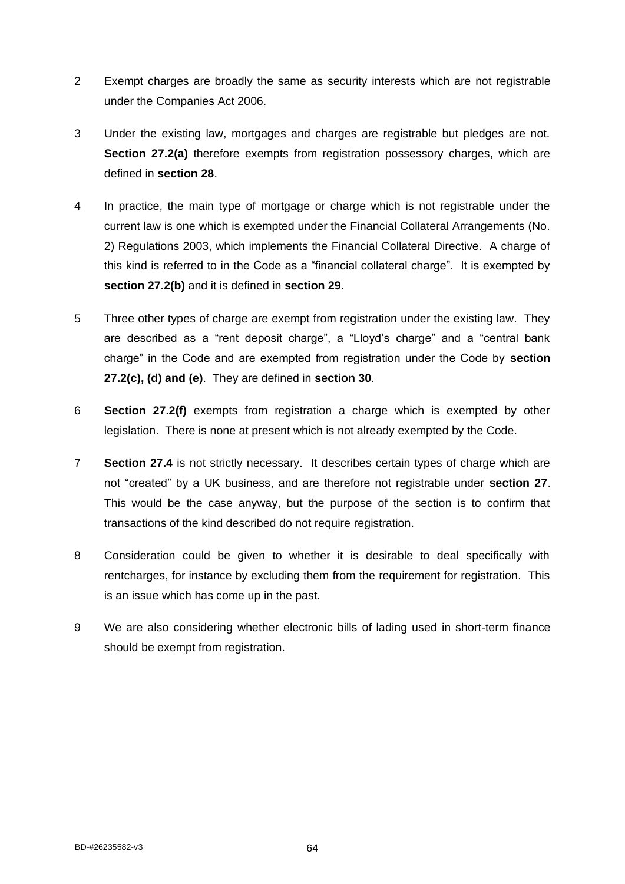- 2 Exempt charges are broadly the same as security interests which are not registrable under the Companies Act 2006.
- 3 Under the existing law, mortgages and charges are registrable but pledges are not. **Section 27.2(a)** therefore exempts from registration possessory charges, which are defined in **section 28**.
- 4 In practice, the main type of mortgage or charge which is not registrable under the current law is one which is exempted under the Financial Collateral Arrangements (No. 2) Regulations 2003, which implements the Financial Collateral Directive. A charge of this kind is referred to in the Code as a "financial collateral charge". It is exempted by **section 27.2(b)** and it is defined in **section 29**.
- 5 Three other types of charge are exempt from registration under the existing law. They are described as a "rent deposit charge", a "Lloyd's charge" and a "central bank charge" in the Code and are exempted from registration under the Code by **section 27.2(c), (d) and (e)**. They are defined in **section 30**.
- 6 **Section 27.2(f)** exempts from registration a charge which is exempted by other legislation. There is none at present which is not already exempted by the Code.
- 7 **Section 27.4** is not strictly necessary. It describes certain types of charge which are not "created" by a UK business, and are therefore not registrable under **section 27**. This would be the case anyway, but the purpose of the section is to confirm that transactions of the kind described do not require registration.
- 8 Consideration could be given to whether it is desirable to deal specifically with rentcharges, for instance by excluding them from the requirement for registration. This is an issue which has come up in the past.
- 9 We are also considering whether electronic bills of lading used in short-term finance should be exempt from registration.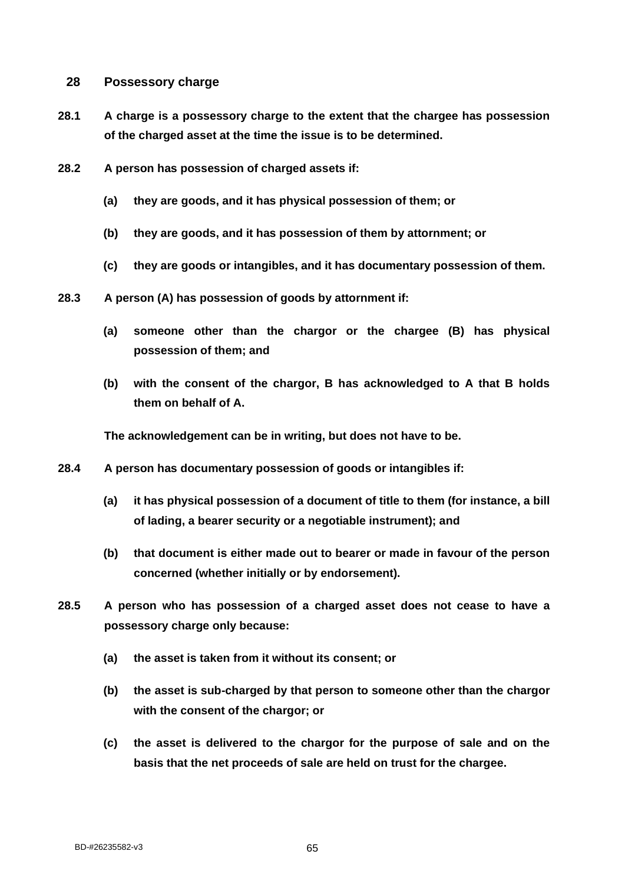## **28 Possessory charge**

- **28.1 A charge is a possessory charge to the extent that the chargee has possession of the charged asset at the time the issue is to be determined.**
- **28.2 A person has possession of charged assets if:**
	- **(a) they are goods, and it has physical possession of them; or**
	- **(b) they are goods, and it has possession of them by attornment; or**
	- **(c) they are goods or intangibles, and it has documentary possession of them.**
- **28.3 A person (A) has possession of goods by attornment if:**
	- **(a) someone other than the chargor or the chargee (B) has physical possession of them; and**
	- **(b) with the consent of the chargor, B has acknowledged to A that B holds them on behalf of A.**

**The acknowledgement can be in writing, but does not have to be.**

- **28.4 A person has documentary possession of goods or intangibles if:**
	- **(a) it has physical possession of a document of title to them (for instance, a bill of lading, a bearer security or a negotiable instrument); and**
	- **(b) that document is either made out to bearer or made in favour of the person concerned (whether initially or by endorsement).**
- **28.5 A person who has possession of a charged asset does not cease to have a possessory charge only because:**
	- **(a) the asset is taken from it without its consent; or**
	- **(b) the asset is sub-charged by that person to someone other than the chargor with the consent of the chargor; or**
	- **(c) the asset is delivered to the chargor for the purpose of sale and on the basis that the net proceeds of sale are held on trust for the chargee.**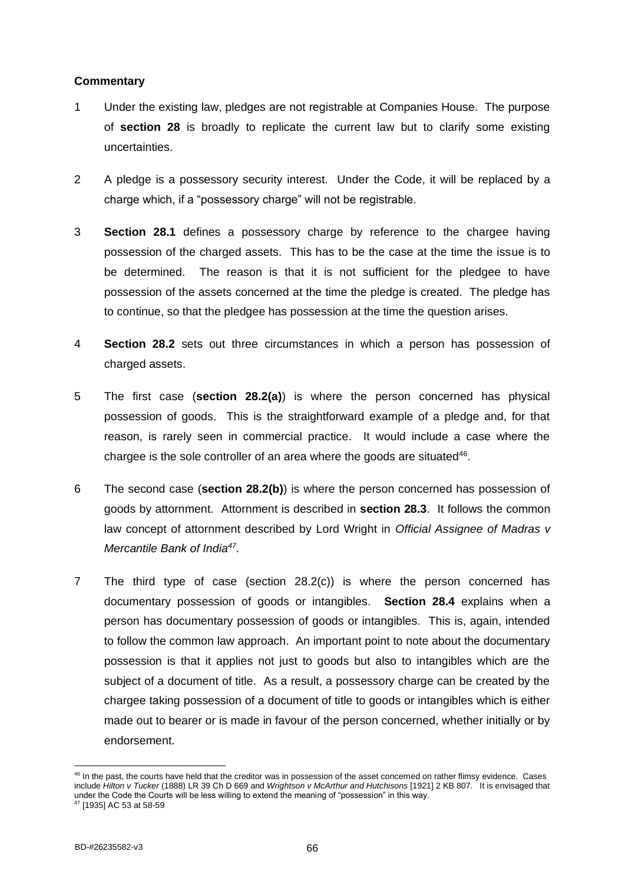- 1 Under the existing law, pledges are not registrable at Companies House. The purpose of **section 28** is broadly to replicate the current law but to clarify some existing uncertainties.
- 2 A pledge is a possessory security interest. Under the Code, it will be replaced by a charge which, if a "possessory charge" will not be registrable.
- 3 **Section 28.1** defines a possessory charge by reference to the chargee having possession of the charged assets. This has to be the case at the time the issue is to be determined. The reason is that it is not sufficient for the pledgee to have possession of the assets concerned at the time the pledge is created. The pledge has to continue, so that the pledgee has possession at the time the question arises.
- 4 **Section 28.2** sets out three circumstances in which a person has possession of charged assets.
- 5 The first case (**section 28.2(a)**) is where the person concerned has physical possession of goods. This is the straightforward example of a pledge and, for that reason, is rarely seen in commercial practice. It would include a case where the chargee is the sole controller of an area where the goods are situated $46$ .
- 6 The second case (**section 28.2(b)**) is where the person concerned has possession of goods by attornment. Attornment is described in **section 28.3**. It follows the common law concept of attornment described by Lord Wright in *Official Assignee of Madras v Mercantile Bank of India<sup>47</sup> .*
- 7 The third type of case (section 28.2(c)) is where the person concerned has documentary possession of goods or intangibles. **Section 28.4** explains when a person has documentary possession of goods or intangibles. This is, again, intended to follow the common law approach. An important point to note about the documentary possession is that it applies not just to goods but also to intangibles which are the subject of a document of title. As a result, a possessory charge can be created by the chargee taking possession of a document of title to goods or intangibles which is either made out to bearer or is made in favour of the person concerned, whether initially or by endorsement.

<sup>&</sup>lt;sup>46</sup> In the past, the courts have held that the creditor was in possession of the asset concerned on rather flimsy evidence. Cases include *Hilton v Tucker* (1888) LR 39 Ch D 669 and *Wrightson v McArthur and Hutchisons* [1921] 2 KB 807. It is envisaged that under the Code the Courts will be less willing to extend the meaning of "possession" in this way.

<sup>47</sup> [1935] AC 53 at 58-59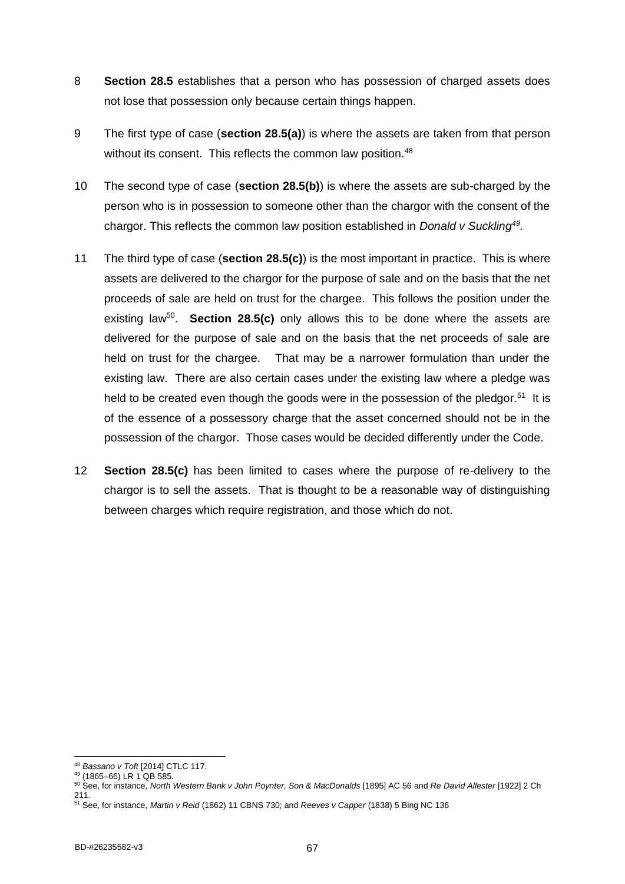- 8 **Section 28.5** establishes that a person who has possession of charged assets does not lose that possession only because certain things happen.
- 9 The first type of case (**section 28.5(a)**) is where the assets are taken from that person without its consent. This reflects the common law position.<sup>48</sup>
- 10 The second type of case (**section 28.5(b)**) is where the assets are sub-charged by the person who is in possession to someone other than the chargor with the consent of the chargor. This reflects the common law position established in *Donald v Suckling<sup>49</sup> .*
- 11 The third type of case (**section 28.5(c)**) is the most important in practice. This is where assets are delivered to the chargor for the purpose of sale and on the basis that the net proceeds of sale are held on trust for the chargee. This follows the position under the existing law<sup>50</sup>. Section 28.5(c) only allows this to be done where the assets are delivered for the purpose of sale and on the basis that the net proceeds of sale are held on trust for the chargee. That may be a narrower formulation than under the existing law. There are also certain cases under the existing law where a pledge was held to be created even though the goods were in the possession of the pledgor.<sup>51</sup> It is of the essence of a possessory charge that the asset concerned should not be in the possession of the chargor. Those cases would be decided differently under the Code.
- 12 **Section 28.5(c)** has been limited to cases where the purpose of re-delivery to the chargor is to sell the assets. That is thought to be a reasonable way of distinguishing between charges which require registration, and those which do not.

<sup>48</sup> *Bassano v Toft* [2014] CTLC 117.

<sup>49</sup> (1865–66) LR 1 QB 585.

<sup>50</sup> See, for instance, *North Western Bank v John Poynter, Son & MacDonalds* [1895] AC 56 and *Re David Allester* [1922] 2 Ch 211.

<sup>51</sup> See, for instance, *Martin v Reid* (1862) 11 CBNS 730; and *Reeves v Capper* (1838) 5 Bing NC 136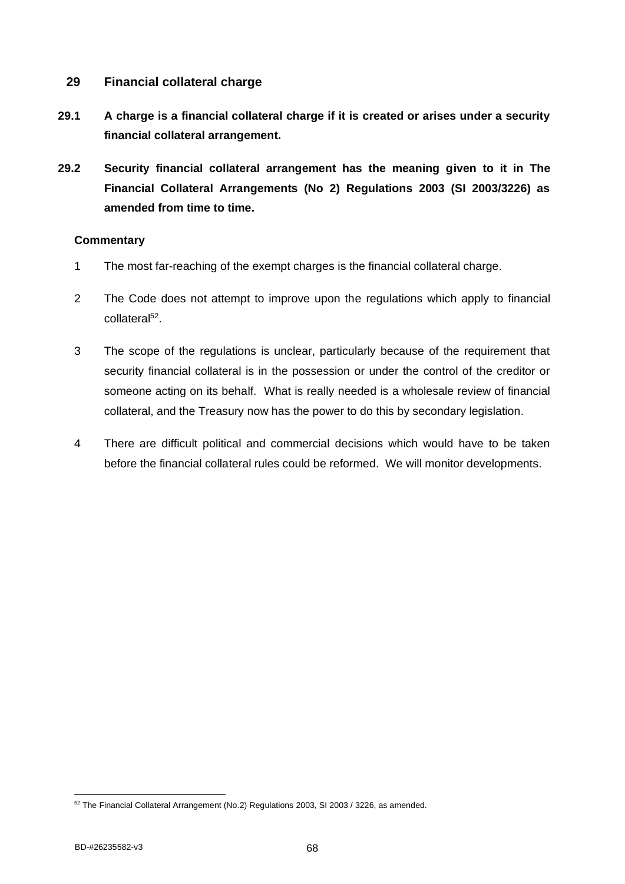# **29 Financial collateral charge**

- **29.1 A charge is a financial collateral charge if it is created or arises under a security financial collateral arrangement.**
- **29.2 Security financial collateral arrangement has the meaning given to it in The Financial Collateral Arrangements (No 2) Regulations 2003 (SI 2003/3226) as amended from time to time.**

- 1 The most far-reaching of the exempt charges is the financial collateral charge.
- 2 The Code does not attempt to improve upon the regulations which apply to financial collateral<sup>52</sup>.
- 3 The scope of the regulations is unclear, particularly because of the requirement that security financial collateral is in the possession or under the control of the creditor or someone acting on its behalf. What is really needed is a wholesale review of financial collateral, and the Treasury now has the power to do this by secondary legislation.
- 4 There are difficult political and commercial decisions which would have to be taken before the financial collateral rules could be reformed. We will monitor developments.

<sup>52</sup> The Financial Collateral Arrangement (No.2) Regulations 2003, SI 2003 / 3226, as amended.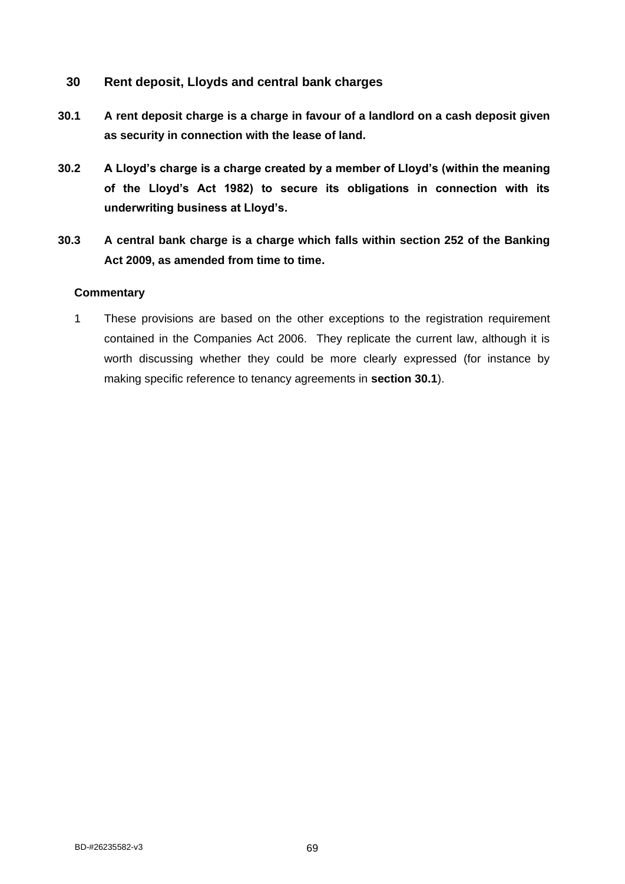# **30 Rent deposit, Lloyds and central bank charges**

- **30.1 A rent deposit charge is a charge in favour of a landlord on a cash deposit given as security in connection with the lease of land.**
- **30.2 A Lloyd's charge is a charge created by a member of Lloyd's (within the meaning of the Lloyd's Act 1982) to secure its obligations in connection with its underwriting business at Lloyd's.**
- **30.3 A central bank charge is a charge which falls within section 252 of the Banking Act 2009, as amended from time to time.**

#### **Commentary**

1 These provisions are based on the other exceptions to the registration requirement contained in the Companies Act 2006. They replicate the current law, although it is worth discussing whether they could be more clearly expressed (for instance by making specific reference to tenancy agreements in **section 30.1**).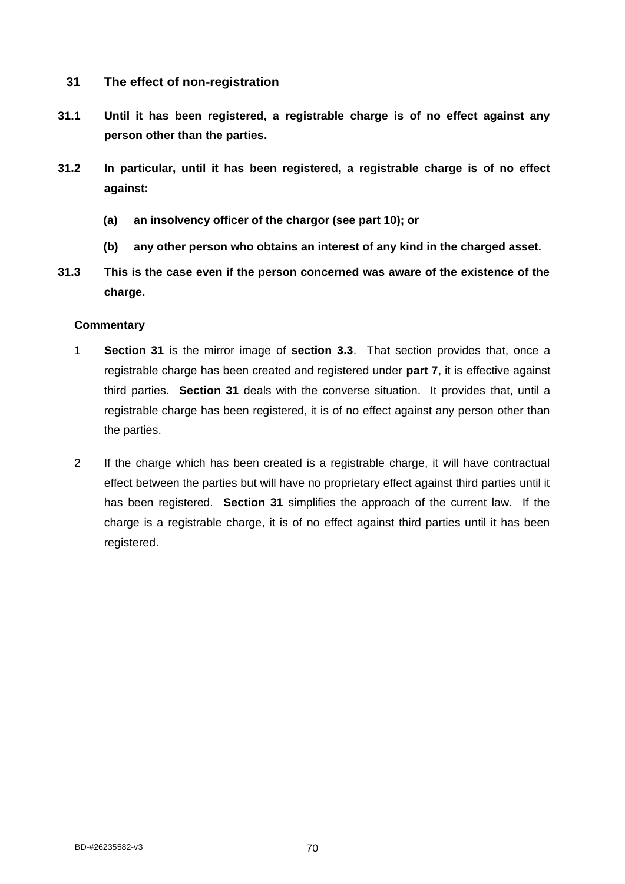- **31 The effect of non-registration**
- **31.1 Until it has been registered, a registrable charge is of no effect against any person other than the parties.**
- **31.2 In particular, until it has been registered, a registrable charge is of no effect against:**
	- **(a) an insolvency officer of the chargor (see part 10); or**
	- **(b) any other person who obtains an interest of any kind in the charged asset.**
- **31.3 This is the case even if the person concerned was aware of the existence of the charge.**

- 1 **Section 31** is the mirror image of **section 3.3**. That section provides that, once a registrable charge has been created and registered under **part 7**, it is effective against third parties. **Section 31** deals with the converse situation. It provides that, until a registrable charge has been registered, it is of no effect against any person other than the parties.
- 2 If the charge which has been created is a registrable charge, it will have contractual effect between the parties but will have no proprietary effect against third parties until it has been registered. **Section 31** simplifies the approach of the current law. If the charge is a registrable charge, it is of no effect against third parties until it has been registered.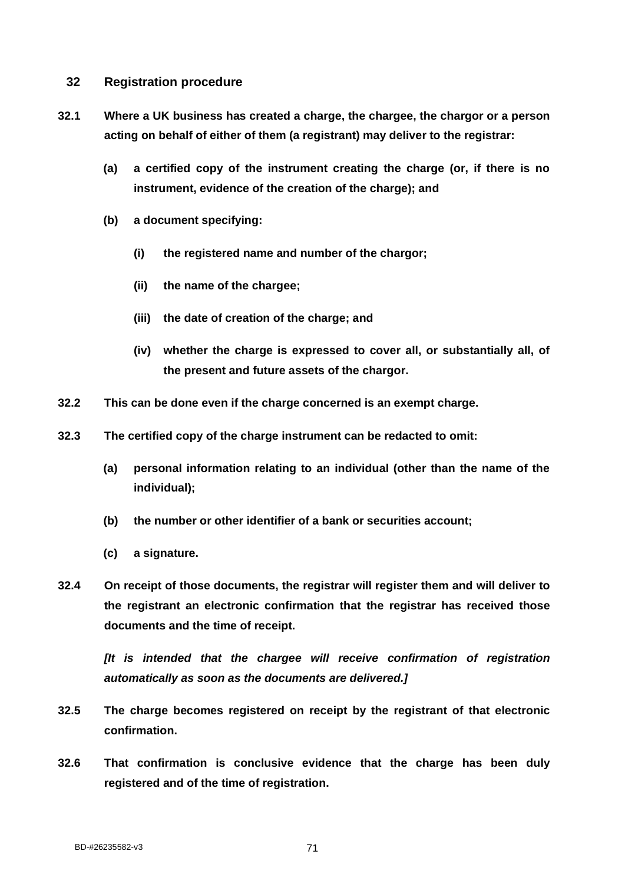# **32 Registration procedure**

- **32.1 Where a UK business has created a charge, the chargee, the chargor or a person acting on behalf of either of them (a registrant) may deliver to the registrar:**
	- **(a) a certified copy of the instrument creating the charge (or, if there is no instrument, evidence of the creation of the charge); and**
	- **(b) a document specifying:**
		- **(i) the registered name and number of the chargor;**
		- **(ii) the name of the chargee;**
		- **(iii) the date of creation of the charge; and**
		- **(iv) whether the charge is expressed to cover all, or substantially all, of the present and future assets of the chargor.**
- **32.2 This can be done even if the charge concerned is an exempt charge.**
- **32.3 The certified copy of the charge instrument can be redacted to omit:**
	- **(a) personal information relating to an individual (other than the name of the individual);**
	- **(b) the number or other identifier of a bank or securities account;**
	- **(c) a signature.**
- **32.4 On receipt of those documents, the registrar will register them and will deliver to the registrant an electronic confirmation that the registrar has received those documents and the time of receipt.**

*[It is intended that the chargee will receive confirmation of registration automatically as soon as the documents are delivered.]*

- **32.5 The charge becomes registered on receipt by the registrant of that electronic confirmation.**
- **32.6 That confirmation is conclusive evidence that the charge has been duly registered and of the time of registration.**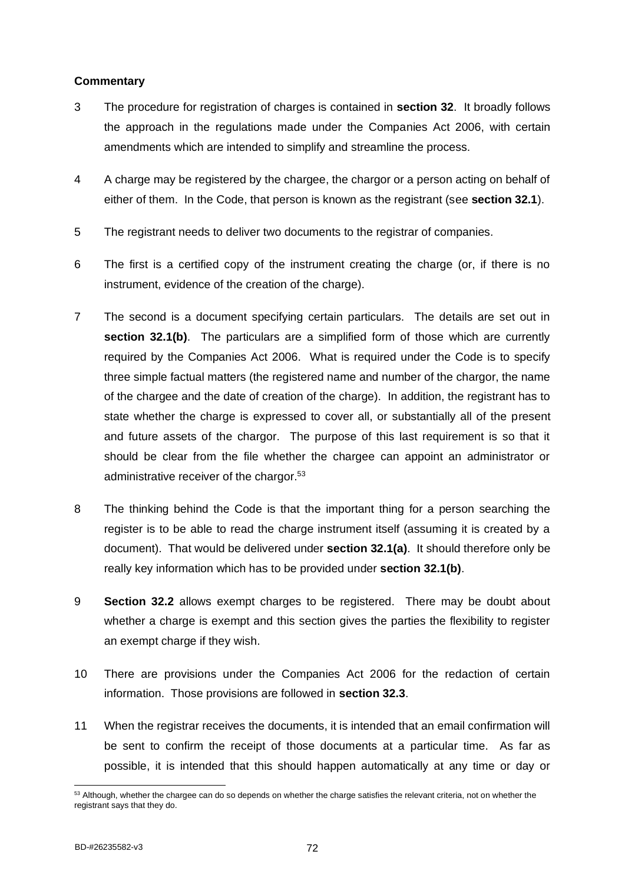- 3 The procedure for registration of charges is contained in **section 32**. It broadly follows the approach in the regulations made under the Companies Act 2006, with certain amendments which are intended to simplify and streamline the process.
- 4 A charge may be registered by the chargee, the chargor or a person acting on behalf of either of them. In the Code, that person is known as the registrant (see **section 32.1**).
- 5 The registrant needs to deliver two documents to the registrar of companies.
- 6 The first is a certified copy of the instrument creating the charge (or, if there is no instrument, evidence of the creation of the charge).
- 7 The second is a document specifying certain particulars. The details are set out in **section 32.1(b)**. The particulars are a simplified form of those which are currently required by the Companies Act 2006. What is required under the Code is to specify three simple factual matters (the registered name and number of the chargor, the name of the chargee and the date of creation of the charge). In addition, the registrant has to state whether the charge is expressed to cover all, or substantially all of the present and future assets of the chargor. The purpose of this last requirement is so that it should be clear from the file whether the chargee can appoint an administrator or administrative receiver of the chargor.<sup>53</sup>
- 8 The thinking behind the Code is that the important thing for a person searching the register is to be able to read the charge instrument itself (assuming it is created by a document). That would be delivered under **section 32.1(a)**. It should therefore only be really key information which has to be provided under **section 32.1(b)**.
- 9 **Section 32.2** allows exempt charges to be registered. There may be doubt about whether a charge is exempt and this section gives the parties the flexibility to register an exempt charge if they wish.
- 10 There are provisions under the Companies Act 2006 for the redaction of certain information. Those provisions are followed in **section 32.3**.
- 11 When the registrar receives the documents, it is intended that an email confirmation will be sent to confirm the receipt of those documents at a particular time. As far as possible, it is intended that this should happen automatically at any time or day or

<sup>&</sup>lt;sup>53</sup> Although, whether the chargee can do so depends on whether the charge satisfies the relevant criteria, not on whether the registrant says that they do.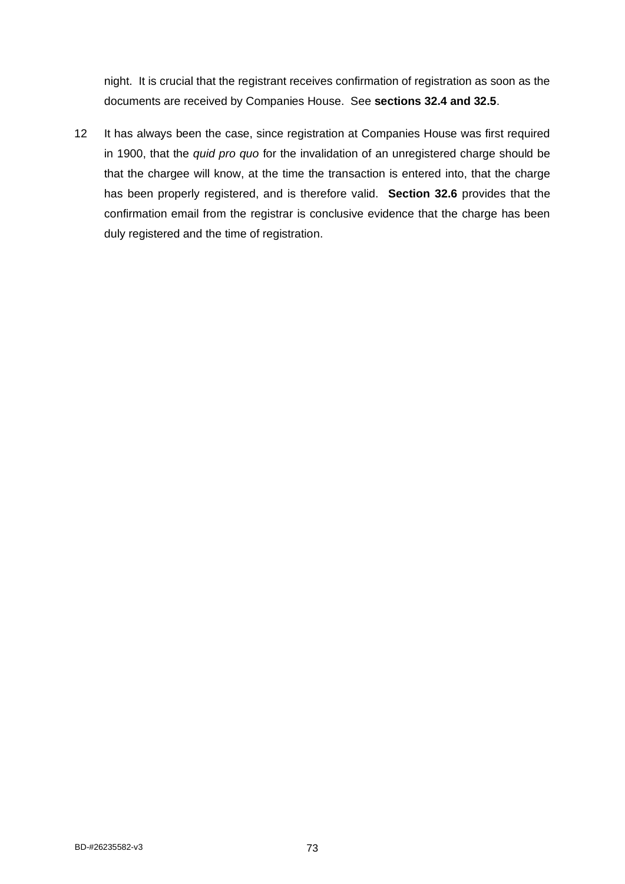night. It is crucial that the registrant receives confirmation of registration as soon as the documents are received by Companies House. See **sections 32.4 and 32.5**.

12 It has always been the case, since registration at Companies House was first required in 1900, that the *quid pro quo* for the invalidation of an unregistered charge should be that the chargee will know, at the time the transaction is entered into, that the charge has been properly registered, and is therefore valid. **Section 32.6** provides that the confirmation email from the registrar is conclusive evidence that the charge has been duly registered and the time of registration.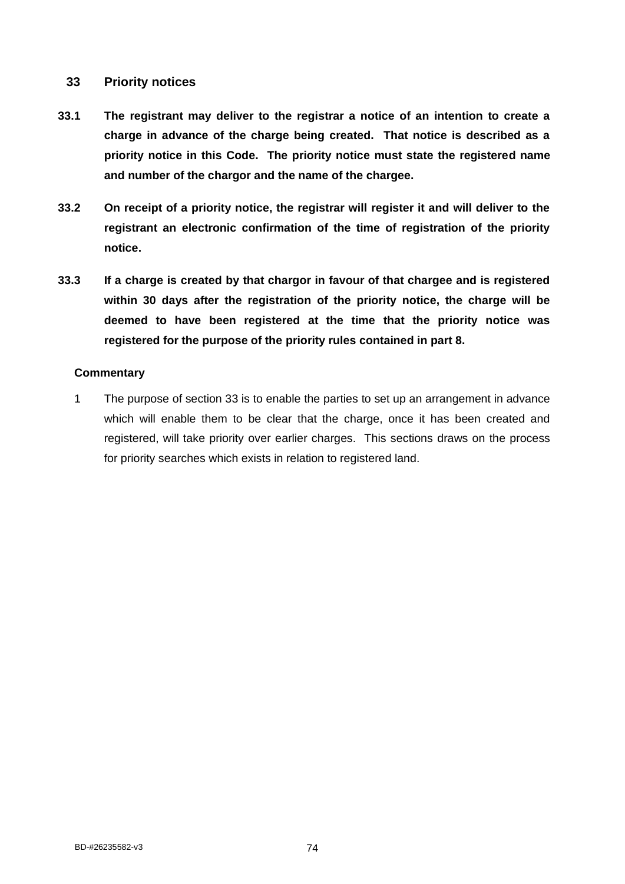# **33 Priority notices**

- **33.1 The registrant may deliver to the registrar a notice of an intention to create a charge in advance of the charge being created. That notice is described as a priority notice in this Code. The priority notice must state the registered name and number of the chargor and the name of the chargee.**
- **33.2 On receipt of a priority notice, the registrar will register it and will deliver to the registrant an electronic confirmation of the time of registration of the priority notice.**
- **33.3 If a charge is created by that chargor in favour of that chargee and is registered within 30 days after the registration of the priority notice, the charge will be deemed to have been registered at the time that the priority notice was registered for the purpose of the priority rules contained in part 8.**

### **Commentary**

1 The purpose of section 33 is to enable the parties to set up an arrangement in advance which will enable them to be clear that the charge, once it has been created and registered, will take priority over earlier charges. This sections draws on the process for priority searches which exists in relation to registered land.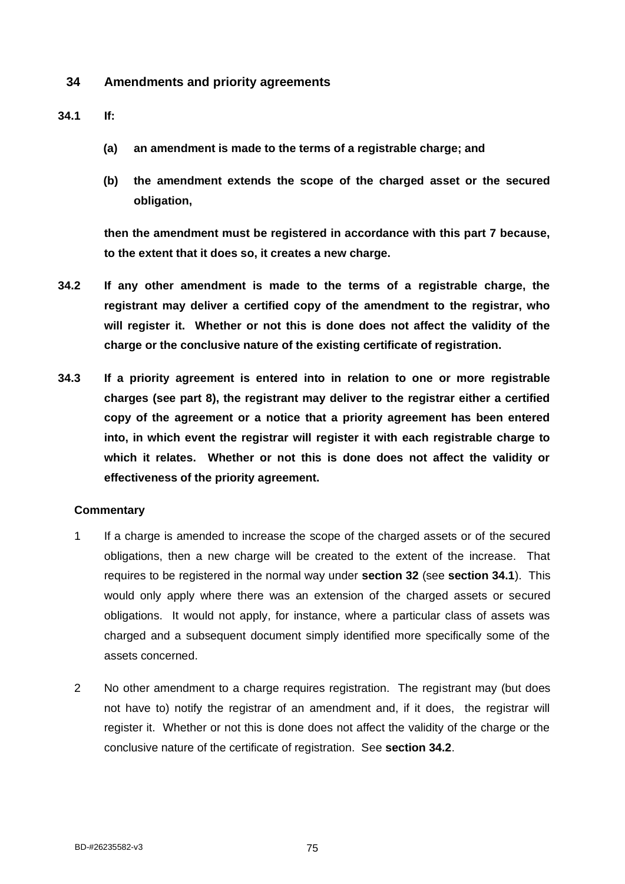# **34 Amendments and priority agreements**

### **34.1 If:**

- **(a) an amendment is made to the terms of a registrable charge; and**
- **(b) the amendment extends the scope of the charged asset or the secured obligation,**

**then the amendment must be registered in accordance with this part 7 because, to the extent that it does so, it creates a new charge.**

- **34.2 If any other amendment is made to the terms of a registrable charge, the registrant may deliver a certified copy of the amendment to the registrar, who will register it. Whether or not this is done does not affect the validity of the charge or the conclusive nature of the existing certificate of registration.**
- **34.3 If a priority agreement is entered into in relation to one or more registrable charges (see part 8), the registrant may deliver to the registrar either a certified copy of the agreement or a notice that a priority agreement has been entered into, in which event the registrar will register it with each registrable charge to which it relates. Whether or not this is done does not affect the validity or effectiveness of the priority agreement.**

- 1 If a charge is amended to increase the scope of the charged assets or of the secured obligations, then a new charge will be created to the extent of the increase. That requires to be registered in the normal way under **section 32** (see **section 34.1**). This would only apply where there was an extension of the charged assets or secured obligations. It would not apply, for instance, where a particular class of assets was charged and a subsequent document simply identified more specifically some of the assets concerned.
- 2 No other amendment to a charge requires registration. The registrant may (but does not have to) notify the registrar of an amendment and, if it does, the registrar will register it. Whether or not this is done does not affect the validity of the charge or the conclusive nature of the certificate of registration. See **section 34.2**.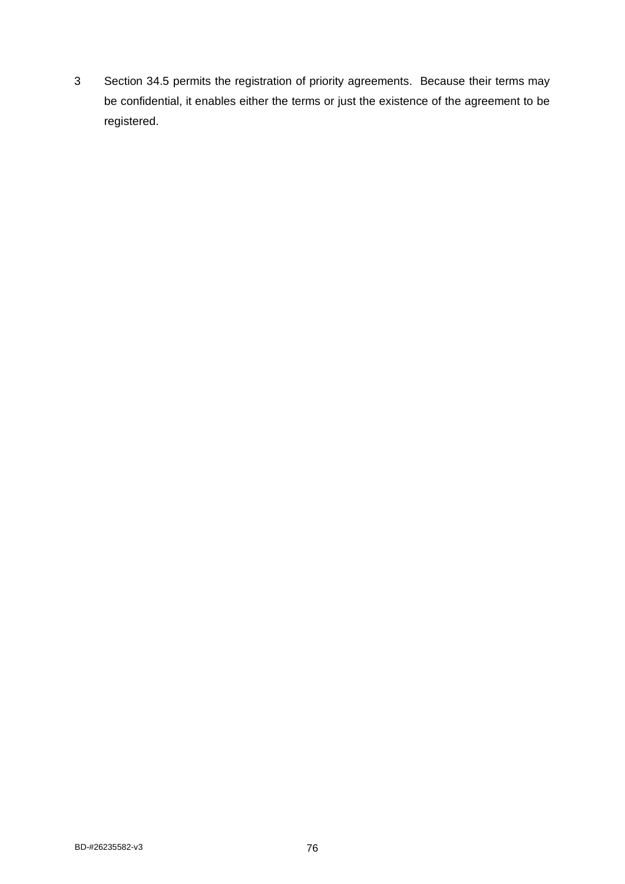3 Section 34.5 permits the registration of priority agreements. Because their terms may be confidential, it enables either the terms or just the existence of the agreement to be registered.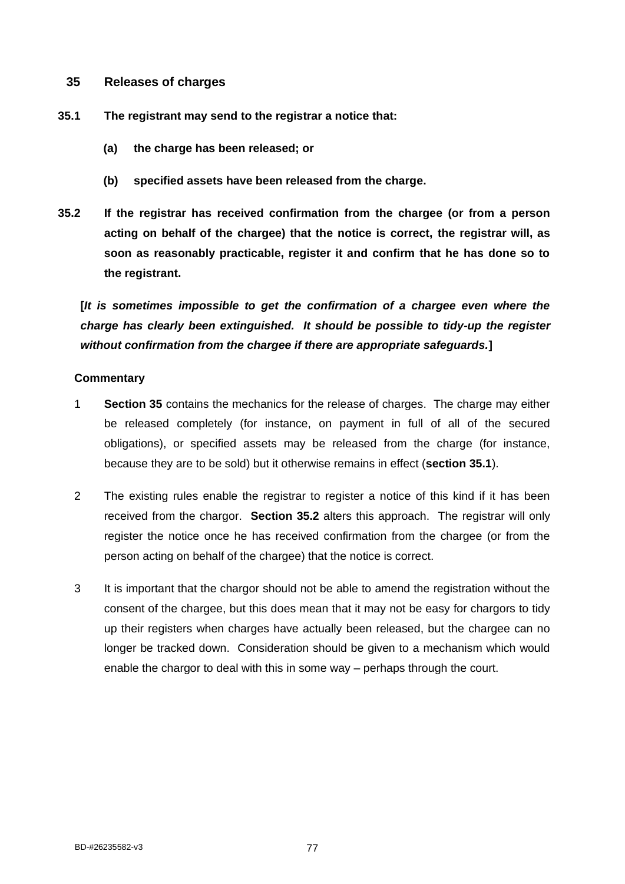# **35 Releases of charges**

- **35.1 The registrant may send to the registrar a notice that:**
	- **(a) the charge has been released; or**
	- **(b) specified assets have been released from the charge.**
- **35.2 If the registrar has received confirmation from the chargee (or from a person acting on behalf of the chargee) that the notice is correct, the registrar will, as soon as reasonably practicable, register it and confirm that he has done so to the registrant.**

**[***It is sometimes impossible to get the confirmation of a chargee even where the charge has clearly been extinguished. It should be possible to tidy-up the register without confirmation from the chargee if there are appropriate safeguards.***]**

- 1 **Section 35** contains the mechanics for the release of charges. The charge may either be released completely (for instance, on payment in full of all of the secured obligations), or specified assets may be released from the charge (for instance, because they are to be sold) but it otherwise remains in effect (**section 35.1**).
- 2 The existing rules enable the registrar to register a notice of this kind if it has been received from the chargor. **Section 35.2** alters this approach. The registrar will only register the notice once he has received confirmation from the chargee (or from the person acting on behalf of the chargee) that the notice is correct.
- 3 It is important that the chargor should not be able to amend the registration without the consent of the chargee, but this does mean that it may not be easy for chargors to tidy up their registers when charges have actually been released, but the chargee can no longer be tracked down. Consideration should be given to a mechanism which would enable the chargor to deal with this in some way – perhaps through the court.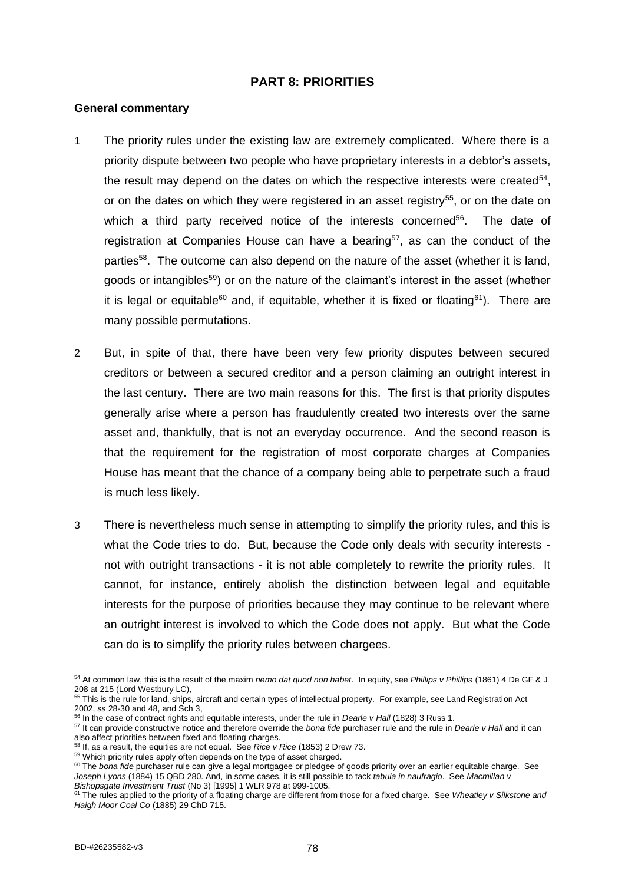# **PART 8: PRIORITIES**

#### **General commentary**

- 1 The priority rules under the existing law are extremely complicated. Where there is a priority dispute between two people who have proprietary interests in a debtor's assets, the result may depend on the dates on which the respective interests were created<sup>54</sup>, or on the dates on which they were registered in an asset registry<sup>55</sup>, or on the date on which a third party received notice of the interests concerned<sup>56</sup>. The date of registration at Companies House can have a bearing<sup>57</sup>, as can the conduct of the parties<sup>58</sup>. The outcome can also depend on the nature of the asset (whether it is land, goods or intangibles<sup>59</sup>) or on the nature of the claimant's interest in the asset (whether it is legal or equitable<sup>60</sup> and, if equitable, whether it is fixed or floating<sup>61</sup>). There are many possible permutations.
- 2 But, in spite of that, there have been very few priority disputes between secured creditors or between a secured creditor and a person claiming an outright interest in the last century. There are two main reasons for this. The first is that priority disputes generally arise where a person has fraudulently created two interests over the same asset and, thankfully, that is not an everyday occurrence. And the second reason is that the requirement for the registration of most corporate charges at Companies House has meant that the chance of a company being able to perpetrate such a fraud is much less likely.
- 3 There is nevertheless much sense in attempting to simplify the priority rules, and this is what the Code tries to do. But, because the Code only deals with security interests not with outright transactions - it is not able completely to rewrite the priority rules. It cannot, for instance, entirely abolish the distinction between legal and equitable interests for the purpose of priorities because they may continue to be relevant where an outright interest is involved to which the Code does not apply. But what the Code can do is to simplify the priority rules between chargees.

<sup>54</sup> At common law, this is the result of the maxim *nemo dat quod non habet*. In equity, see *Phillips v Phillips* (1861) 4 De GF & J 208 at 215 (Lord Westbury LC),

<sup>&</sup>lt;sup>55</sup> This is the rule for land, ships, aircraft and certain types of intellectual property. For example, see Land Registration Act 2002, ss 28-30 and 48, and Sch 3,

<sup>56</sup> In the case of contract rights and equitable interests, under the rule in *Dearle v Hall* (1828) 3 Russ 1.

<sup>57</sup> It can provide constructive notice and therefore override the *bona fide* purchaser rule and the rule in *Dearle v Hall* and it can also affect priorities between fixed and floating charges.

<sup>58</sup> If, as a result, the equities are not equal. See *Rice v Rice* (1853) 2 Drew 73.

<sup>&</sup>lt;sup>59</sup> Which priority rules apply often depends on the type of asset charged.

<sup>&</sup>lt;sup>60</sup> The *bona fide* purchaser rule can give a legal mortgagee or pledgee of goods priority over an earlier equitable charge. See *Joseph Lyons* (1884) 15 QBD 280. And, in some cases, it is still possible to tack *tabula in naufragio*. See *Macmillan v Bishopsgate Investment Trust* (No 3) [1995] 1 WLR 978 at 999-1005.

<sup>61</sup> The rules applied to the priority of a floating charge are different from those for a fixed charge. See *Wheatley v Silkstone and Haigh Moor Coal Co* (1885) 29 ChD 715.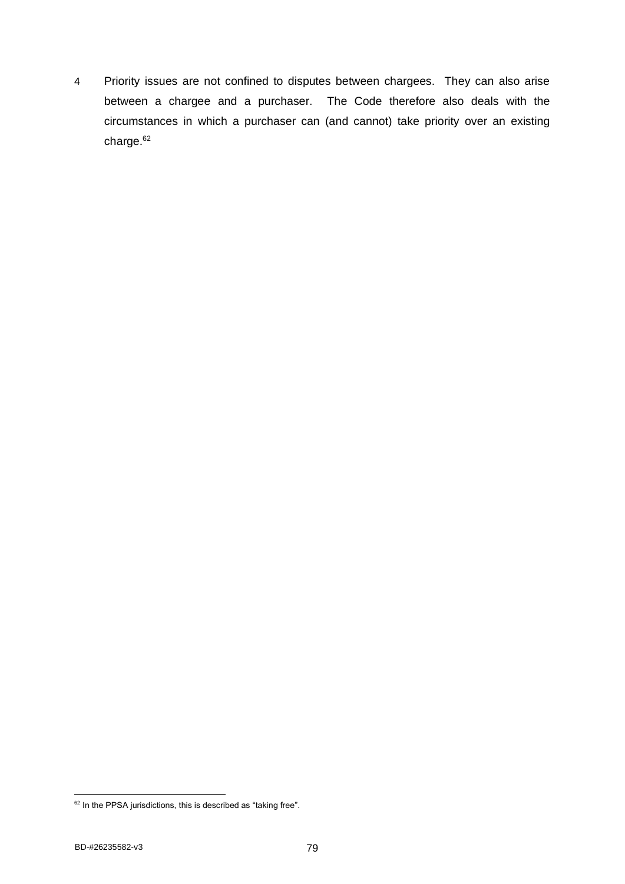4 Priority issues are not confined to disputes between chargees. They can also arise between a chargee and a purchaser. The Code therefore also deals with the circumstances in which a purchaser can (and cannot) take priority over an existing charge.<sup>62</sup>

 $62$  In the PPSA jurisdictions, this is described as "taking free".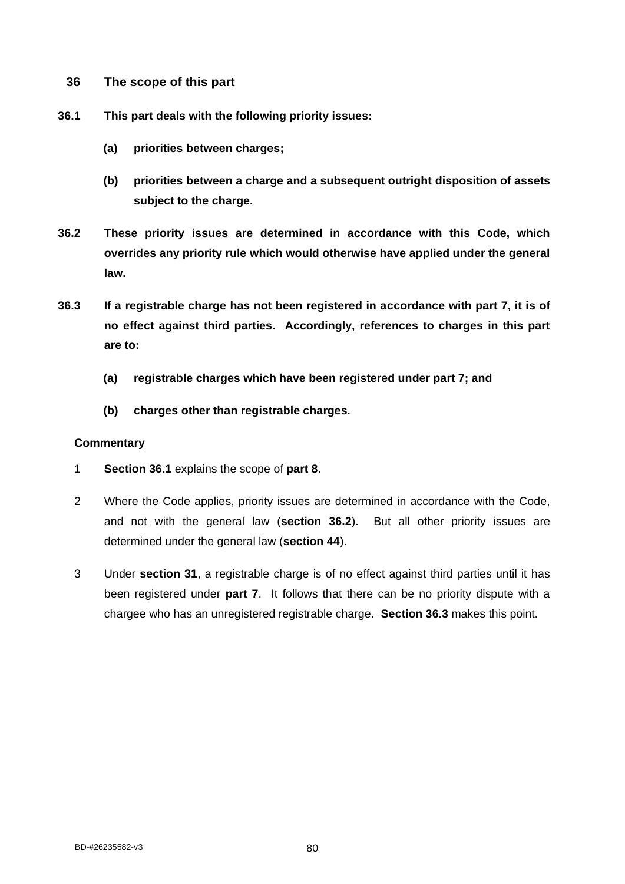- **36 The scope of this part**
- **36.1 This part deals with the following priority issues:**
	- **(a) priorities between charges;**
	- **(b) priorities between a charge and a subsequent outright disposition of assets subject to the charge.**
- **36.2 These priority issues are determined in accordance with this Code, which overrides any priority rule which would otherwise have applied under the general law.**
- **36.3 If a registrable charge has not been registered in accordance with part 7, it is of no effect against third parties. Accordingly, references to charges in this part are to:**
	- **(a) registrable charges which have been registered under part 7; and**
	- **(b) charges other than registrable charges.**

- 1 **Section 36.1** explains the scope of **part 8**.
- 2 Where the Code applies, priority issues are determined in accordance with the Code, and not with the general law (**section 36.2**). But all other priority issues are determined under the general law (**section 44**).
- 3 Under **section 31**, a registrable charge is of no effect against third parties until it has been registered under **part 7**. It follows that there can be no priority dispute with a chargee who has an unregistered registrable charge. **Section 36.3** makes this point.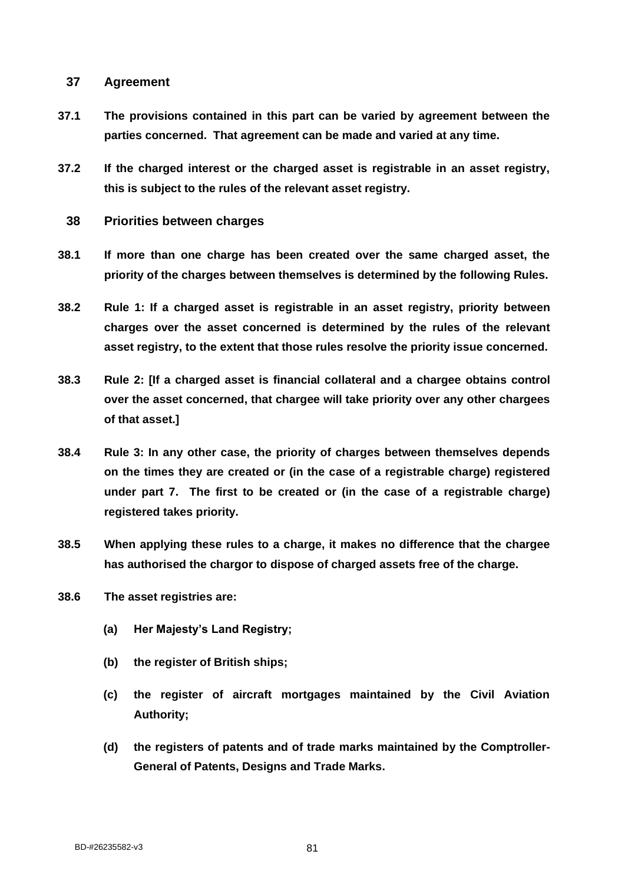# **37 Agreement**

- **37.1 The provisions contained in this part can be varied by agreement between the parties concerned. That agreement can be made and varied at any time.**
- **37.2 If the charged interest or the charged asset is registrable in an asset registry, this is subject to the rules of the relevant asset registry.**
	- **38 Priorities between charges**
- **38.1 If more than one charge has been created over the same charged asset, the priority of the charges between themselves is determined by the following Rules.**
- **38.2 Rule 1: If a charged asset is registrable in an asset registry, priority between charges over the asset concerned is determined by the rules of the relevant asset registry, to the extent that those rules resolve the priority issue concerned.**
- **38.3 Rule 2: [If a charged asset is financial collateral and a chargee obtains control over the asset concerned, that chargee will take priority over any other chargees of that asset.]**
- **38.4 Rule 3: In any other case, the priority of charges between themselves depends on the times they are created or (in the case of a registrable charge) registered under part 7. The first to be created or (in the case of a registrable charge) registered takes priority.**
- **38.5 When applying these rules to a charge, it makes no difference that the chargee has authorised the chargor to dispose of charged assets free of the charge.**
- **38.6 The asset registries are:**
	- **(a) Her Majesty's Land Registry;**
	- **(b) the register of British ships;**
	- **(c) the register of aircraft mortgages maintained by the Civil Aviation Authority;**
	- **(d) the registers of patents and of trade marks maintained by the Comptroller-General of Patents, Designs and Trade Marks.**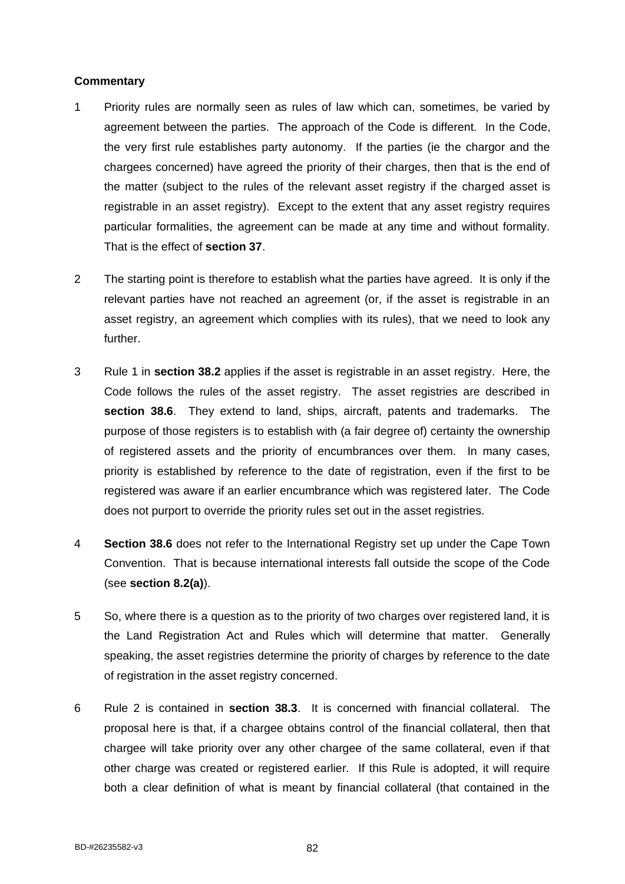- 1 Priority rules are normally seen as rules of law which can, sometimes, be varied by agreement between the parties. The approach of the Code is different. In the Code, the very first rule establishes party autonomy. If the parties (ie the chargor and the chargees concerned) have agreed the priority of their charges, then that is the end of the matter (subject to the rules of the relevant asset registry if the charged asset is registrable in an asset registry). Except to the extent that any asset registry requires particular formalities, the agreement can be made at any time and without formality. That is the effect of **section 37**.
- 2 The starting point is therefore to establish what the parties have agreed. It is only if the relevant parties have not reached an agreement (or, if the asset is registrable in an asset registry, an agreement which complies with its rules), that we need to look any further.
- 3 Rule 1 in **section 38.2** applies if the asset is registrable in an asset registry. Here, the Code follows the rules of the asset registry. The asset registries are described in **section 38.6**. They extend to land, ships, aircraft, patents and trademarks. The purpose of those registers is to establish with (a fair degree of) certainty the ownership of registered assets and the priority of encumbrances over them. In many cases, priority is established by reference to the date of registration, even if the first to be registered was aware if an earlier encumbrance which was registered later. The Code does not purport to override the priority rules set out in the asset registries.
- 4 **Section 38.6** does not refer to the International Registry set up under the Cape Town Convention. That is because international interests fall outside the scope of the Code (see **section 8.2(a)**).
- 5 So, where there is a question as to the priority of two charges over registered land, it is the Land Registration Act and Rules which will determine that matter. Generally speaking, the asset registries determine the priority of charges by reference to the date of registration in the asset registry concerned.
- 6 Rule 2 is contained in **section 38.3**. It is concerned with financial collateral. The proposal here is that, if a chargee obtains control of the financial collateral, then that chargee will take priority over any other chargee of the same collateral, even if that other charge was created or registered earlier. If this Rule is adopted, it will require both a clear definition of what is meant by financial collateral (that contained in the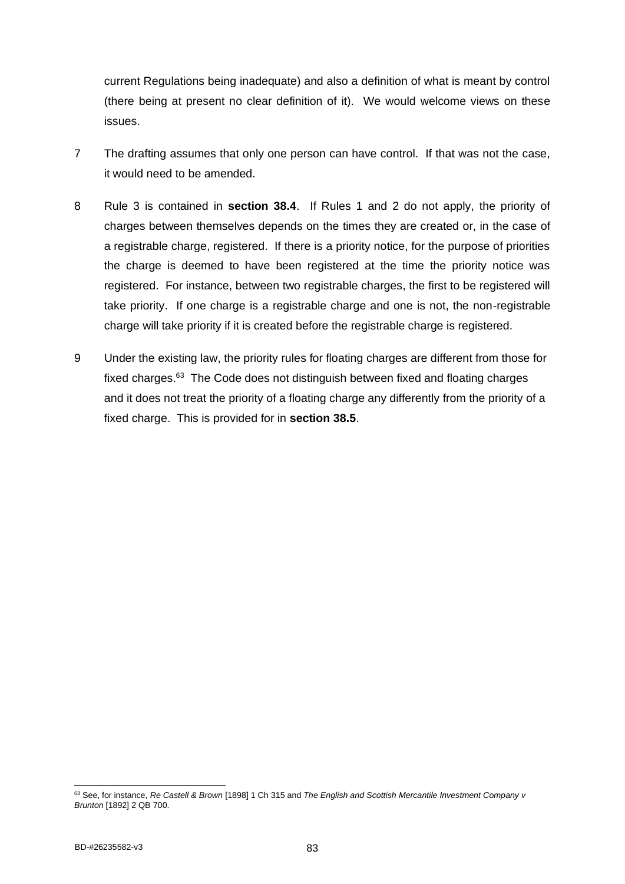current Regulations being inadequate) and also a definition of what is meant by control (there being at present no clear definition of it). We would welcome views on these issues.

- 7 The drafting assumes that only one person can have control. If that was not the case, it would need to be amended.
- 8 Rule 3 is contained in **section 38.4**. If Rules 1 and 2 do not apply, the priority of charges between themselves depends on the times they are created or, in the case of a registrable charge, registered. If there is a priority notice, for the purpose of priorities the charge is deemed to have been registered at the time the priority notice was registered. For instance, between two registrable charges, the first to be registered will take priority. If one charge is a registrable charge and one is not, the non-registrable charge will take priority if it is created before the registrable charge is registered.
- 9 Under the existing law, the priority rules for floating charges are different from those for fixed charges.<sup>63</sup> The Code does not distinguish between fixed and floating charges and it does not treat the priority of a floating charge any differently from the priority of a fixed charge. This is provided for in **section 38.5**.

<sup>63</sup> See, for instance, *Re Castell & Brown* [1898] 1 Ch 315 and *The English and Scottish Mercantile Investment Company v Brunton* [1892] 2 QB 700.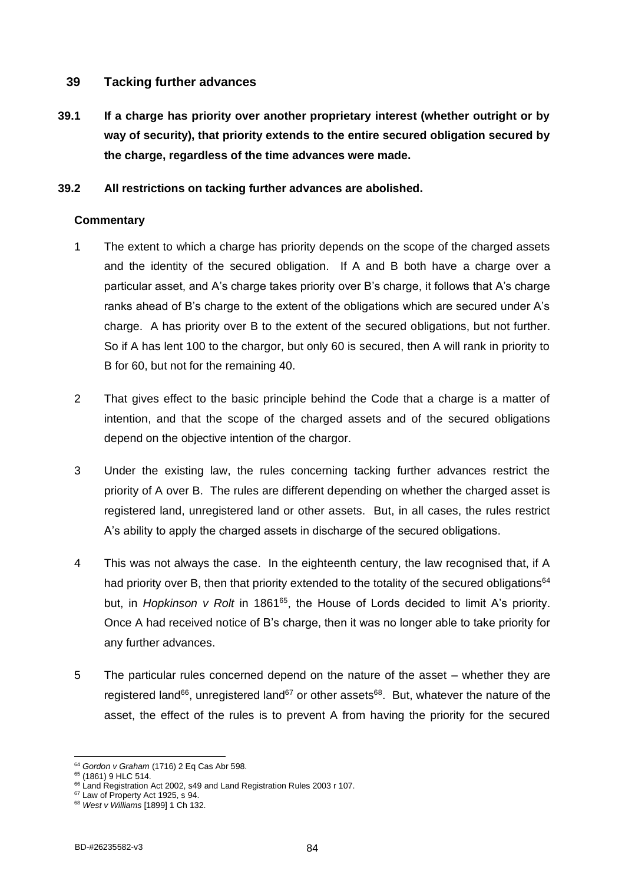# **39 Tacking further advances**

**39.1 If a charge has priority over another proprietary interest (whether outright or by way of security), that priority extends to the entire secured obligation secured by the charge, regardless of the time advances were made.**

# **39.2 All restrictions on tacking further advances are abolished.**

- 1 The extent to which a charge has priority depends on the scope of the charged assets and the identity of the secured obligation. If A and B both have a charge over a particular asset, and A's charge takes priority over B's charge, it follows that A's charge ranks ahead of B's charge to the extent of the obligations which are secured under A's charge. A has priority over B to the extent of the secured obligations, but not further. So if A has lent 100 to the chargor, but only 60 is secured, then A will rank in priority to B for 60, but not for the remaining 40.
- 2 That gives effect to the basic principle behind the Code that a charge is a matter of intention, and that the scope of the charged assets and of the secured obligations depend on the objective intention of the chargor.
- 3 Under the existing law, the rules concerning tacking further advances restrict the priority of A over B. The rules are different depending on whether the charged asset is registered land, unregistered land or other assets. But, in all cases, the rules restrict A's ability to apply the charged assets in discharge of the secured obligations.
- 4 This was not always the case. In the eighteenth century, the law recognised that, if A had priority over B, then that priority extended to the totality of the secured obligations<sup>64</sup> but, in *Hopkinson v Rolt* in 1861<sup>65</sup>, the House of Lords decided to limit A's priority. Once A had received notice of B's charge, then it was no longer able to take priority for any further advances.
- 5 The particular rules concerned depend on the nature of the asset whether they are registered land<sup>66</sup>, unregistered land<sup>67</sup> or other assets<sup>68</sup>. But, whatever the nature of the asset, the effect of the rules is to prevent A from having the priority for the secured

<sup>64</sup> *Gordon v Graham* (1716) 2 Eq Cas Abr 598.

<sup>&</sup>lt;sup>65</sup> (1861) 9 HLC 514.

<sup>&</sup>lt;sup>66</sup> Land Registration Act 2002, s49 and Land Registration Rules 2003 r 107.

<sup>&</sup>lt;sup>67</sup> Law of Property Act 1925, s 94.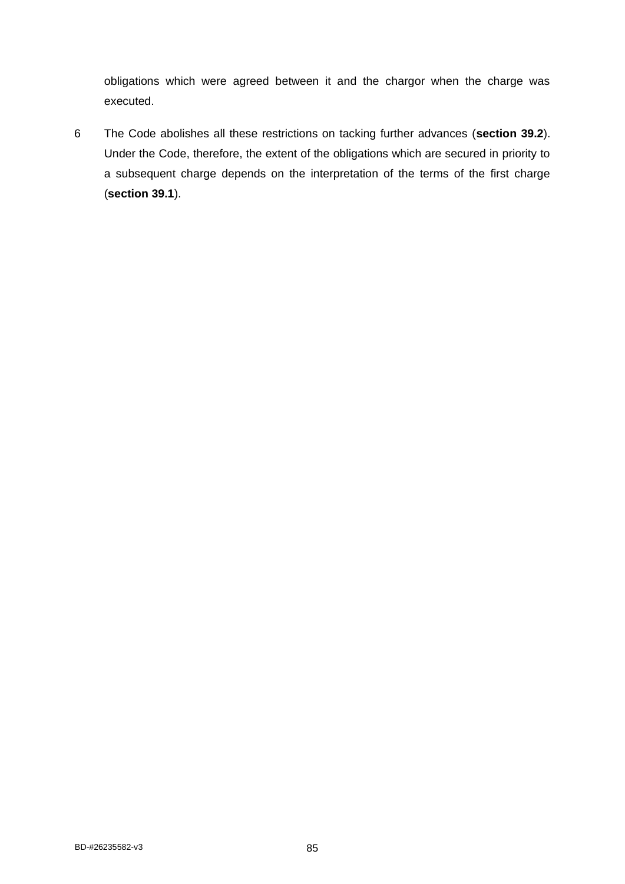obligations which were agreed between it and the chargor when the charge was executed.

6 The Code abolishes all these restrictions on tacking further advances (**section 39.2**). Under the Code, therefore, the extent of the obligations which are secured in priority to a subsequent charge depends on the interpretation of the terms of the first charge (**section 39.1**).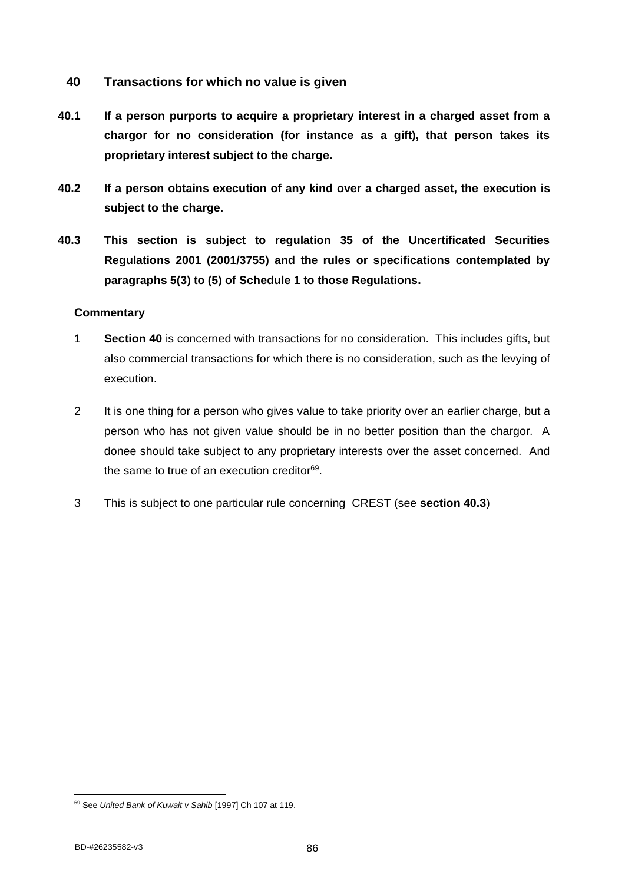- **40 Transactions for which no value is given**
- **40.1 If a person purports to acquire a proprietary interest in a charged asset from a chargor for no consideration (for instance as a gift), that person takes its proprietary interest subject to the charge.**
- **40.2 If a person obtains execution of any kind over a charged asset, the execution is subject to the charge.**
- **40.3 This section is subject to regulation 35 of the Uncertificated Securities Regulations 2001 (2001/3755) and the rules or specifications contemplated by paragraphs 5(3) to (5) of Schedule 1 to those Regulations.**

- 1 **Section 40** is concerned with transactions for no consideration. This includes gifts, but also commercial transactions for which there is no consideration, such as the levying of execution.
- 2 It is one thing for a person who gives value to take priority over an earlier charge, but a person who has not given value should be in no better position than the chargor. A donee should take subject to any proprietary interests over the asset concerned. And the same to true of an execution creditor<sup>69</sup>.
- 3 This is subject to one particular rule concerning CREST (see **section 40.3**)

<sup>69</sup> See *United Bank of Kuwait v Sahib* [1997] Ch 107 at 119.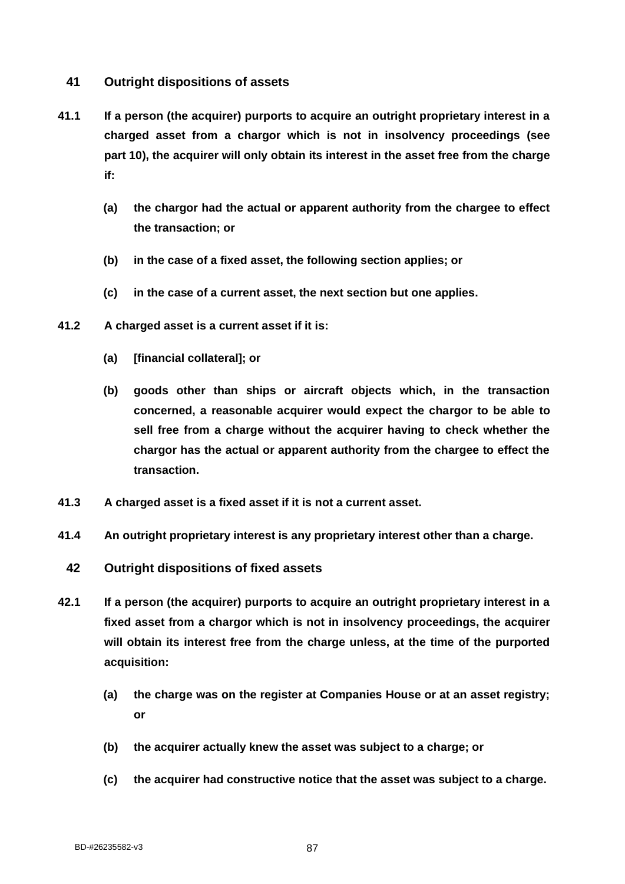# **41 Outright dispositions of assets**

- **41.1 If a person (the acquirer) purports to acquire an outright proprietary interest in a charged asset from a chargor which is not in insolvency proceedings (see part 10), the acquirer will only obtain its interest in the asset free from the charge if:**
	- **(a) the chargor had the actual or apparent authority from the chargee to effect the transaction; or**
	- **(b) in the case of a fixed asset, the following section applies; or**
	- **(c) in the case of a current asset, the next section but one applies.**
- **41.2 A charged asset is a current asset if it is:**
	- **(a) [financial collateral]; or**
	- **(b) goods other than ships or aircraft objects which, in the transaction concerned, a reasonable acquirer would expect the chargor to be able to sell free from a charge without the acquirer having to check whether the chargor has the actual or apparent authority from the chargee to effect the transaction.**
- **41.3 A charged asset is a fixed asset if it is not a current asset.**
- **41.4 An outright proprietary interest is any proprietary interest other than a charge.**
- **42 Outright dispositions of fixed assets**
- **42.1 If a person (the acquirer) purports to acquire an outright proprietary interest in a fixed asset from a chargor which is not in insolvency proceedings, the acquirer will obtain its interest free from the charge unless, at the time of the purported acquisition:**
	- **(a) the charge was on the register at Companies House or at an asset registry; or**
	- **(b) the acquirer actually knew the asset was subject to a charge; or**
	- **(c) the acquirer had constructive notice that the asset was subject to a charge.**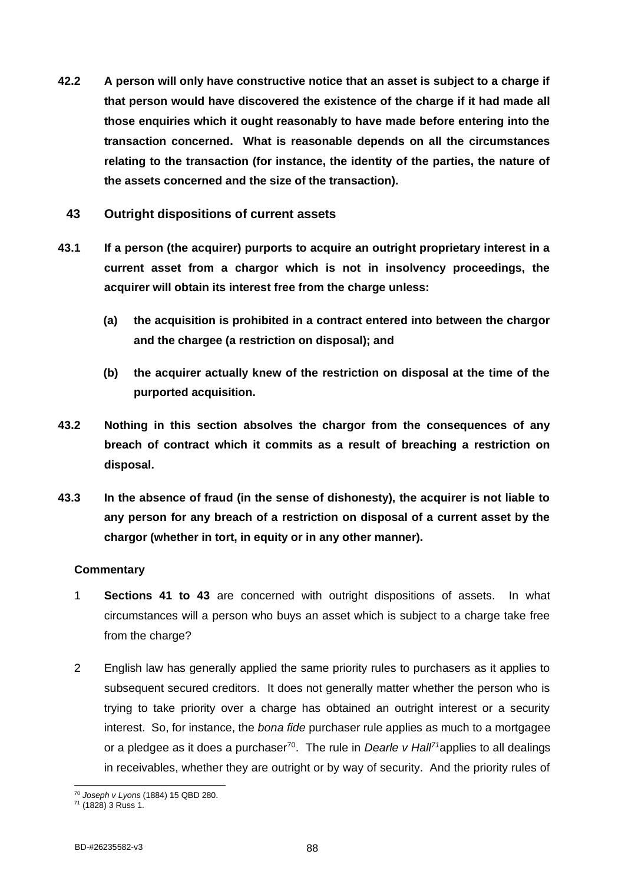- **42.2 A person will only have constructive notice that an asset is subject to a charge if that person would have discovered the existence of the charge if it had made all those enquiries which it ought reasonably to have made before entering into the transaction concerned. What is reasonable depends on all the circumstances relating to the transaction (for instance, the identity of the parties, the nature of the assets concerned and the size of the transaction).**
	- **43 Outright dispositions of current assets**
- **43.1 If a person (the acquirer) purports to acquire an outright proprietary interest in a current asset from a chargor which is not in insolvency proceedings, the acquirer will obtain its interest free from the charge unless:**
	- **(a) the acquisition is prohibited in a contract entered into between the chargor and the chargee (a restriction on disposal); and**
	- **(b) the acquirer actually knew of the restriction on disposal at the time of the purported acquisition.**
- **43.2 Nothing in this section absolves the chargor from the consequences of any breach of contract which it commits as a result of breaching a restriction on disposal.**
- **43.3 In the absence of fraud (in the sense of dishonesty), the acquirer is not liable to any person for any breach of a restriction on disposal of a current asset by the chargor (whether in tort, in equity or in any other manner).**

- 1 **Sections 41 to 43** are concerned with outright dispositions of assets. In what circumstances will a person who buys an asset which is subject to a charge take free from the charge?
- 2 English law has generally applied the same priority rules to purchasers as it applies to subsequent secured creditors. It does not generally matter whether the person who is trying to take priority over a charge has obtained an outright interest or a security interest. So, for instance, the *bona fide* purchaser rule applies as much to a mortgagee or a pledgee as it does a purchaser<sup>70</sup>. The rule in *Dearle v Hall<sup>71</sup>*applies to all dealings in receivables, whether they are outright or by way of security. And the priority rules of

<sup>70</sup> *Joseph v Lyons* (1884) 15 QBD 280.

 $71$  (1828) 3 Russ 1.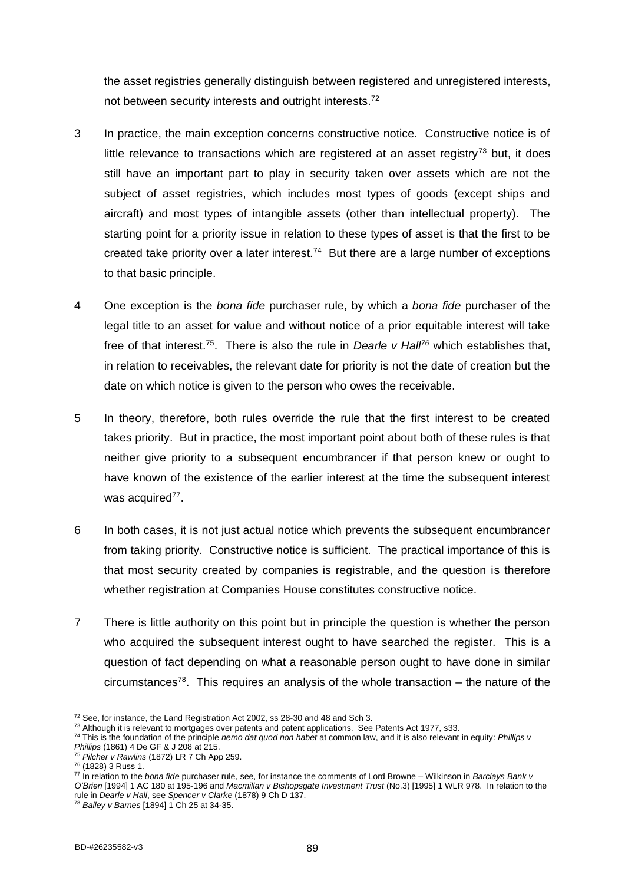the asset registries generally distinguish between registered and unregistered interests, not between security interests and outright interests.<sup>72</sup>

- 3 In practice, the main exception concerns constructive notice. Constructive notice is of little relevance to transactions which are registered at an asset registry<sup>73</sup> but, it does still have an important part to play in security taken over assets which are not the subject of asset registries, which includes most types of goods (except ships and aircraft) and most types of intangible assets (other than intellectual property). The starting point for a priority issue in relation to these types of asset is that the first to be created take priority over a later interest.<sup>74</sup> But there are a large number of exceptions to that basic principle.
- 4 One exception is the *bona fide* purchaser rule, by which a *bona fide* purchaser of the legal title to an asset for value and without notice of a prior equitable interest will take free of that interest.<sup>75</sup>. There is also the rule in *Dearle v Hall<sup>76</sup>* which establishes that, in relation to receivables, the relevant date for priority is not the date of creation but the date on which notice is given to the person who owes the receivable.
- 5 In theory, therefore, both rules override the rule that the first interest to be created takes priority. But in practice, the most important point about both of these rules is that neither give priority to a subsequent encumbrancer if that person knew or ought to have known of the existence of the earlier interest at the time the subsequent interest was acquired<sup>77</sup>.
- 6 In both cases, it is not just actual notice which prevents the subsequent encumbrancer from taking priority. Constructive notice is sufficient. The practical importance of this is that most security created by companies is registrable, and the question is therefore whether registration at Companies House constitutes constructive notice.
- 7 There is little authority on this point but in principle the question is whether the person who acquired the subsequent interest ought to have searched the register. This is a question of fact depending on what a reasonable person ought to have done in similar circumstances<sup>78</sup>. This requires an analysis of the whole transaction – the nature of the

<sup>72</sup> See, for instance, the Land Registration Act 2002, ss 28-30 and 48 and Sch 3.

<sup>&</sup>lt;sup>73</sup> Although it is relevant to mortgages over patents and patent applications. See Patents Act 1977, s33.

<sup>74</sup> This is the foundation of the principle *nemo dat quod non habet* at common law, and it is also relevant in equity: *Phillips v Phillips* (1861) 4 De GF & J 208 at 215.

<sup>75</sup> *Pilcher v Rawlins* (1872) LR 7 Ch App 259.

<sup>76</sup> (1828) 3 Russ 1.

<sup>77</sup> In relation to the *bona fide* purchaser rule, see, for instance the comments of Lord Browne – Wilkinson in *Barclays Bank v O'Brien* [1994] 1 AC 180 at 195-196 and *Macmillan v Bishopsgate Investment Trust* (No.3) [1995] 1 WLR 978. In relation to the rule in *Dearle v Hall*, see *Spencer v Clarke* (1878) 9 Ch D 137.

<sup>78</sup> *Bailey v Barnes* [1894] 1 Ch 25 at 34-35.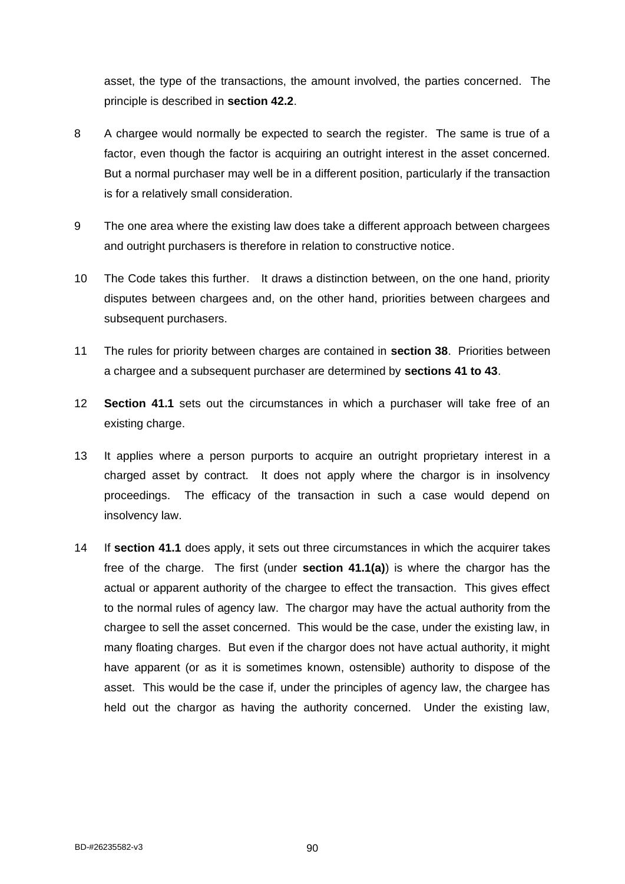asset, the type of the transactions, the amount involved, the parties concerned. The principle is described in **section 42.2**.

- 8 A chargee would normally be expected to search the register. The same is true of a factor, even though the factor is acquiring an outright interest in the asset concerned. But a normal purchaser may well be in a different position, particularly if the transaction is for a relatively small consideration.
- 9 The one area where the existing law does take a different approach between chargees and outright purchasers is therefore in relation to constructive notice.
- 10 The Code takes this further. It draws a distinction between, on the one hand, priority disputes between chargees and, on the other hand, priorities between chargees and subsequent purchasers.
- 11 The rules for priority between charges are contained in **section 38**. Priorities between a chargee and a subsequent purchaser are determined by **sections 41 to 43**.
- 12 **Section 41.1** sets out the circumstances in which a purchaser will take free of an existing charge.
- 13 It applies where a person purports to acquire an outright proprietary interest in a charged asset by contract. It does not apply where the chargor is in insolvency proceedings. The efficacy of the transaction in such a case would depend on insolvency law.
- 14 If **section 41.1** does apply, it sets out three circumstances in which the acquirer takes free of the charge. The first (under **section 41.1(a)**) is where the chargor has the actual or apparent authority of the chargee to effect the transaction. This gives effect to the normal rules of agency law. The chargor may have the actual authority from the chargee to sell the asset concerned. This would be the case, under the existing law, in many floating charges. But even if the chargor does not have actual authority, it might have apparent (or as it is sometimes known, ostensible) authority to dispose of the asset. This would be the case if, under the principles of agency law, the chargee has held out the chargor as having the authority concerned. Under the existing law,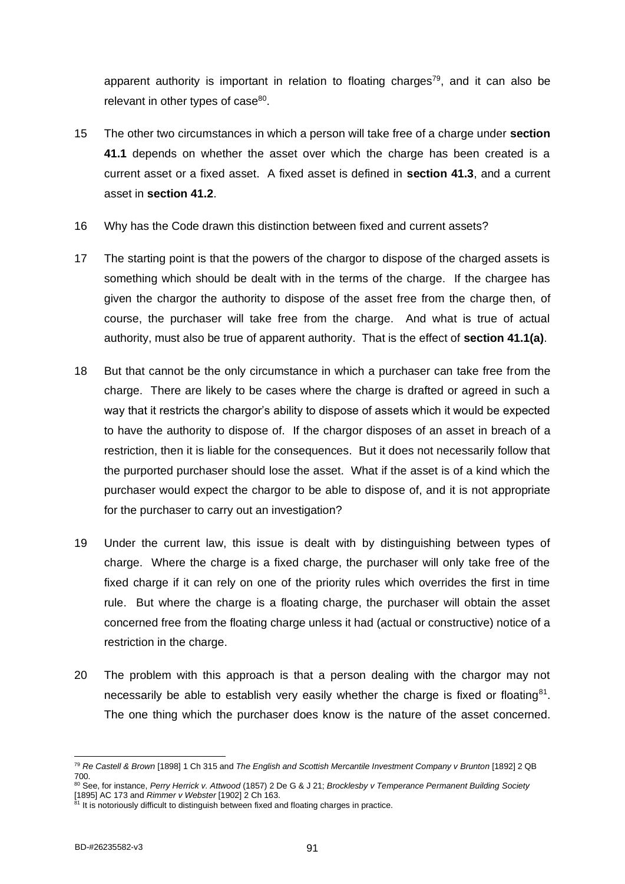apparent authority is important in relation to floating charges<sup>79</sup>, and it can also be relevant in other types of case<sup>80</sup>.

- 15 The other two circumstances in which a person will take free of a charge under **section 41.1** depends on whether the asset over which the charge has been created is a current asset or a fixed asset. A fixed asset is defined in **section 41.3**, and a current asset in **section 41.2**.
- 16 Why has the Code drawn this distinction between fixed and current assets?
- 17 The starting point is that the powers of the chargor to dispose of the charged assets is something which should be dealt with in the terms of the charge. If the chargee has given the chargor the authority to dispose of the asset free from the charge then, of course, the purchaser will take free from the charge. And what is true of actual authority, must also be true of apparent authority. That is the effect of **section 41.1(a)**.
- 18 But that cannot be the only circumstance in which a purchaser can take free from the charge. There are likely to be cases where the charge is drafted or agreed in such a way that it restricts the chargor's ability to dispose of assets which it would be expected to have the authority to dispose of. If the chargor disposes of an asset in breach of a restriction, then it is liable for the consequences. But it does not necessarily follow that the purported purchaser should lose the asset. What if the asset is of a kind which the purchaser would expect the chargor to be able to dispose of, and it is not appropriate for the purchaser to carry out an investigation?
- 19 Under the current law, this issue is dealt with by distinguishing between types of charge. Where the charge is a fixed charge, the purchaser will only take free of the fixed charge if it can rely on one of the priority rules which overrides the first in time rule. But where the charge is a floating charge, the purchaser will obtain the asset concerned free from the floating charge unless it had (actual or constructive) notice of a restriction in the charge.
- 20 The problem with this approach is that a person dealing with the chargor may not necessarily be able to establish very easily whether the charge is fixed or floating $81$ . The one thing which the purchaser does know is the nature of the asset concerned.

<sup>79</sup> *Re Castell & Brown* [1898] 1 Ch 315 and *The English and Scottish Mercantile Investment Company v Brunton* [1892] 2 QB 700.

<sup>80</sup> See, for instance, *Perry Herrick v. Attwood* (1857) 2 De G & J 21; *Brocklesby v Temperance Permanent Building Society* [1895] AC 173 and *Rimmer v Webster* [1902] 2 Ch 163.

<sup>&</sup>lt;sup>81</sup> It is notoriously difficult to distinguish between fixed and floating charges in practice.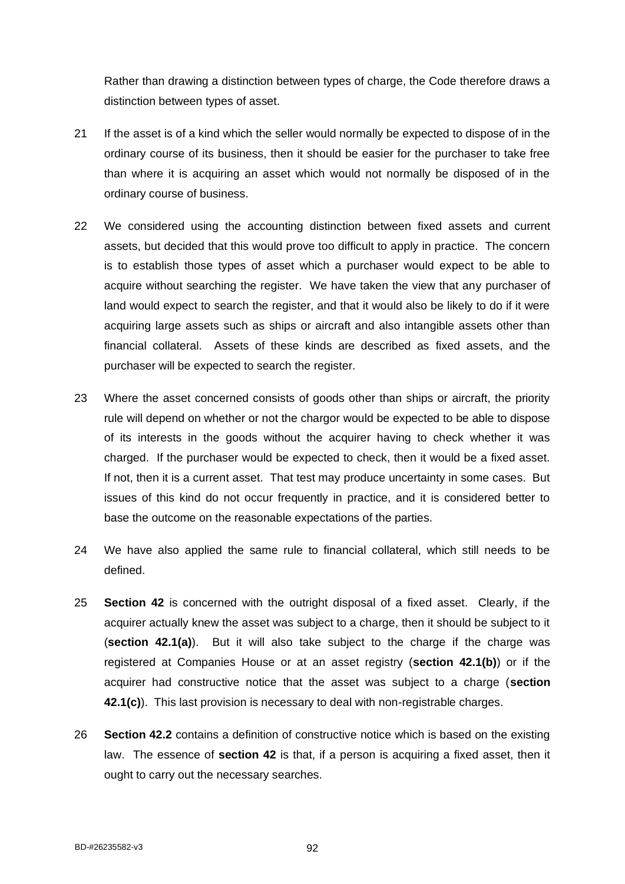Rather than drawing a distinction between types of charge, the Code therefore draws a distinction between types of asset.

- 21 If the asset is of a kind which the seller would normally be expected to dispose of in the ordinary course of its business, then it should be easier for the purchaser to take free than where it is acquiring an asset which would not normally be disposed of in the ordinary course of business.
- 22 We considered using the accounting distinction between fixed assets and current assets, but decided that this would prove too difficult to apply in practice. The concern is to establish those types of asset which a purchaser would expect to be able to acquire without searching the register. We have taken the view that any purchaser of land would expect to search the register, and that it would also be likely to do if it were acquiring large assets such as ships or aircraft and also intangible assets other than financial collateral. Assets of these kinds are described as fixed assets, and the purchaser will be expected to search the register.
- 23 Where the asset concerned consists of goods other than ships or aircraft, the priority rule will depend on whether or not the chargor would be expected to be able to dispose of its interests in the goods without the acquirer having to check whether it was charged. If the purchaser would be expected to check, then it would be a fixed asset. If not, then it is a current asset. That test may produce uncertainty in some cases. But issues of this kind do not occur frequently in practice, and it is considered better to base the outcome on the reasonable expectations of the parties.
- 24 We have also applied the same rule to financial collateral, which still needs to be defined.
- 25 **Section 42** is concerned with the outright disposal of a fixed asset. Clearly, if the acquirer actually knew the asset was subject to a charge, then it should be subject to it (**section 42.1(a)**). But it will also take subject to the charge if the charge was registered at Companies House or at an asset registry (**section 42.1(b)**) or if the acquirer had constructive notice that the asset was subject to a charge (**section 42.1(c)**). This last provision is necessary to deal with non-registrable charges.
- 26 **Section 42.2** contains a definition of constructive notice which is based on the existing law. The essence of **section 42** is that, if a person is acquiring a fixed asset, then it ought to carry out the necessary searches.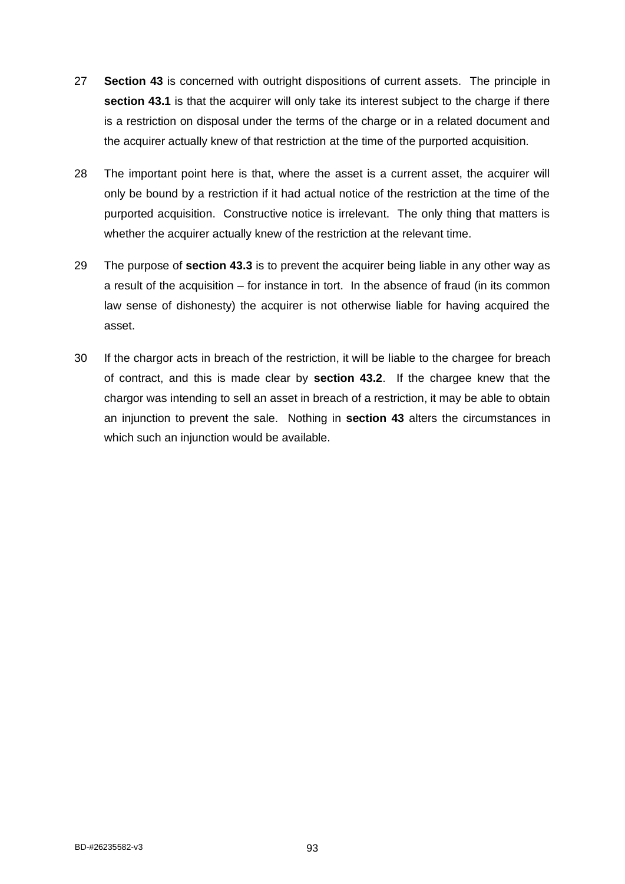- 27 **Section 43** is concerned with outright dispositions of current assets. The principle in **section 43.1** is that the acquirer will only take its interest subject to the charge if there is a restriction on disposal under the terms of the charge or in a related document and the acquirer actually knew of that restriction at the time of the purported acquisition.
- 28 The important point here is that, where the asset is a current asset, the acquirer will only be bound by a restriction if it had actual notice of the restriction at the time of the purported acquisition. Constructive notice is irrelevant. The only thing that matters is whether the acquirer actually knew of the restriction at the relevant time.
- 29 The purpose of **section 43.3** is to prevent the acquirer being liable in any other way as a result of the acquisition – for instance in tort. In the absence of fraud (in its common law sense of dishonesty) the acquirer is not otherwise liable for having acquired the asset.
- 30 If the chargor acts in breach of the restriction, it will be liable to the chargee for breach of contract, and this is made clear by **section 43.2**. If the chargee knew that the chargor was intending to sell an asset in breach of a restriction, it may be able to obtain an injunction to prevent the sale. Nothing in **section 43** alters the circumstances in which such an injunction would be available.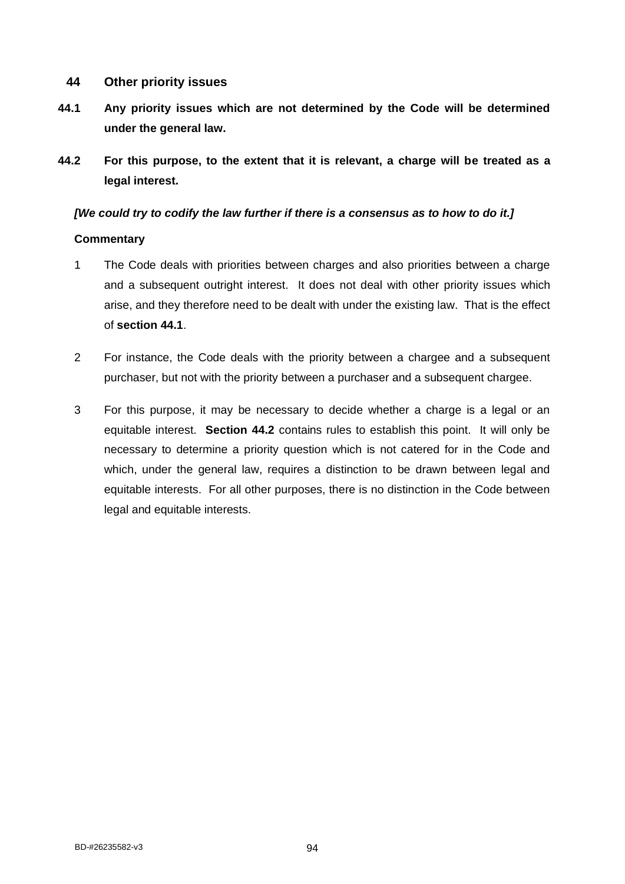# **44 Other priority issues**

- **44.1 Any priority issues which are not determined by the Code will be determined under the general law.**
- **44.2 For this purpose, to the extent that it is relevant, a charge will be treated as a legal interest.**

# *[We could try to codify the law further if there is a consensus as to how to do it.]*

- 1 The Code deals with priorities between charges and also priorities between a charge and a subsequent outright interest. It does not deal with other priority issues which arise, and they therefore need to be dealt with under the existing law. That is the effect of **section 44.1**.
- 2 For instance, the Code deals with the priority between a chargee and a subsequent purchaser, but not with the priority between a purchaser and a subsequent chargee.
- 3 For this purpose, it may be necessary to decide whether a charge is a legal or an equitable interest. **Section 44.2** contains rules to establish this point. It will only be necessary to determine a priority question which is not catered for in the Code and which, under the general law, requires a distinction to be drawn between legal and equitable interests. For all other purposes, there is no distinction in the Code between legal and equitable interests.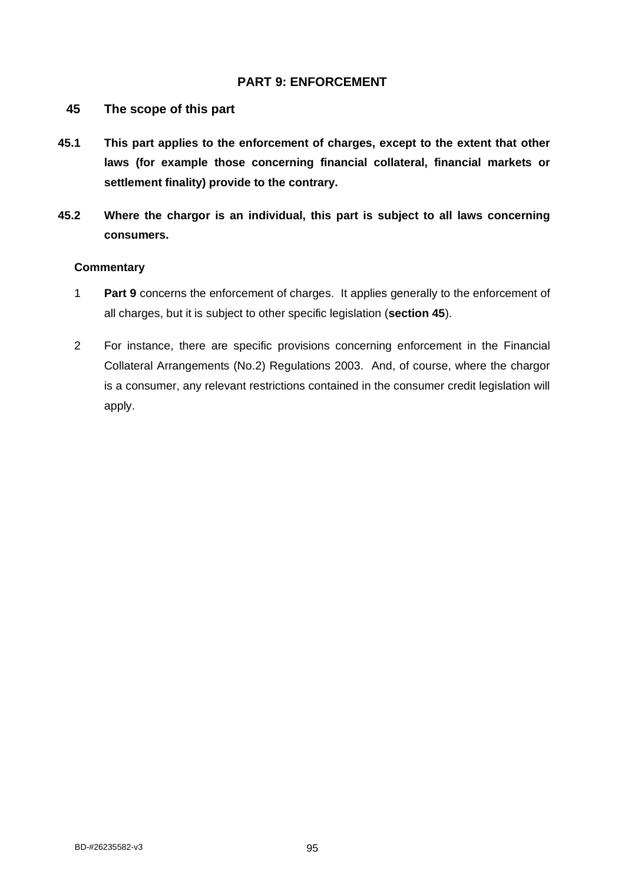# **PART 9: ENFORCEMENT**

- **45 The scope of this part**
- **45.1 This part applies to the enforcement of charges, except to the extent that other laws (for example those concerning financial collateral, financial markets or settlement finality) provide to the contrary.**
- **45.2 Where the chargor is an individual, this part is subject to all laws concerning consumers.**

- 1 **Part 9** concerns the enforcement of charges. It applies generally to the enforcement of all charges, but it is subject to other specific legislation (**section 45**).
- 2 For instance, there are specific provisions concerning enforcement in the Financial Collateral Arrangements (No.2) Regulations 2003. And, of course, where the chargor is a consumer, any relevant restrictions contained in the consumer credit legislation will apply.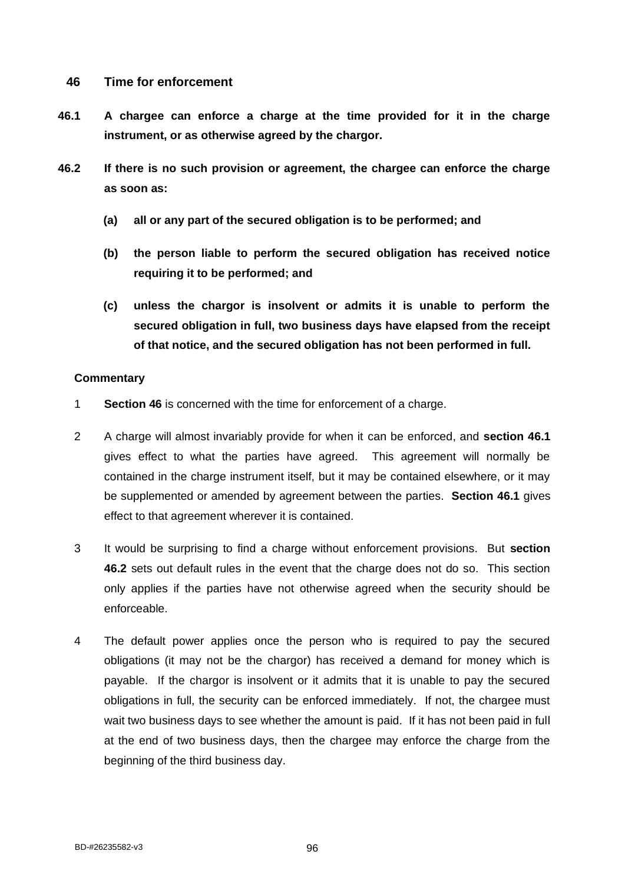## **46 Time for enforcement**

- **46.1 A chargee can enforce a charge at the time provided for it in the charge instrument, or as otherwise agreed by the chargor.**
- **46.2 If there is no such provision or agreement, the chargee can enforce the charge as soon as:**
	- **(a) all or any part of the secured obligation is to be performed; and**
	- **(b) the person liable to perform the secured obligation has received notice requiring it to be performed; and**
	- **(c) unless the chargor is insolvent or admits it is unable to perform the secured obligation in full, two business days have elapsed from the receipt of that notice, and the secured obligation has not been performed in full.**

- 1 **Section 46** is concerned with the time for enforcement of a charge.
- 2 A charge will almost invariably provide for when it can be enforced, and **section 46.1** gives effect to what the parties have agreed. This agreement will normally be contained in the charge instrument itself, but it may be contained elsewhere, or it may be supplemented or amended by agreement between the parties. **Section 46.1** gives effect to that agreement wherever it is contained.
- 3 It would be surprising to find a charge without enforcement provisions. But **section 46.2** sets out default rules in the event that the charge does not do so. This section only applies if the parties have not otherwise agreed when the security should be enforceable.
- 4 The default power applies once the person who is required to pay the secured obligations (it may not be the chargor) has received a demand for money which is payable. If the chargor is insolvent or it admits that it is unable to pay the secured obligations in full, the security can be enforced immediately. If not, the chargee must wait two business days to see whether the amount is paid. If it has not been paid in full at the end of two business days, then the chargee may enforce the charge from the beginning of the third business day.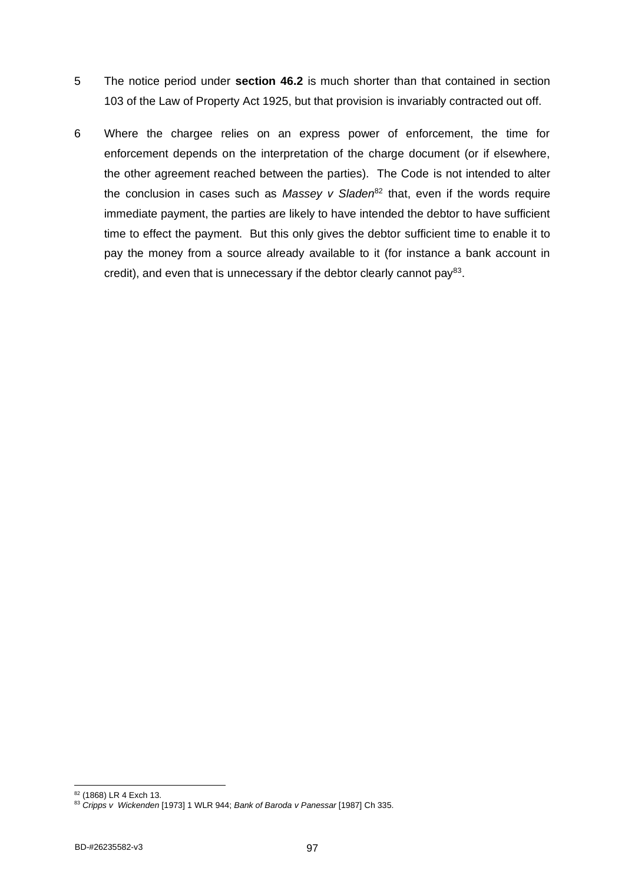- 5 The notice period under **section 46.2** is much shorter than that contained in section 103 of the Law of Property Act 1925, but that provision is invariably contracted out off.
- 6 Where the chargee relies on an express power of enforcement, the time for enforcement depends on the interpretation of the charge document (or if elsewhere, the other agreement reached between the parties). The Code is not intended to alter the conclusion in cases such as *Massey v Sladen*<sup>82</sup> that, even if the words require immediate payment, the parties are likely to have intended the debtor to have sufficient time to effect the payment. But this only gives the debtor sufficient time to enable it to pay the money from a source already available to it (for instance a bank account in credit), and even that is unnecessary if the debtor clearly cannot pay<sup>83</sup>.

<sup>82</sup> (1868) LR 4 Exch 13.

<sup>83</sup> *Cripps v Wickenden* [1973] 1 WLR 944; *Bank of Baroda v Panessar* [1987] Ch 335.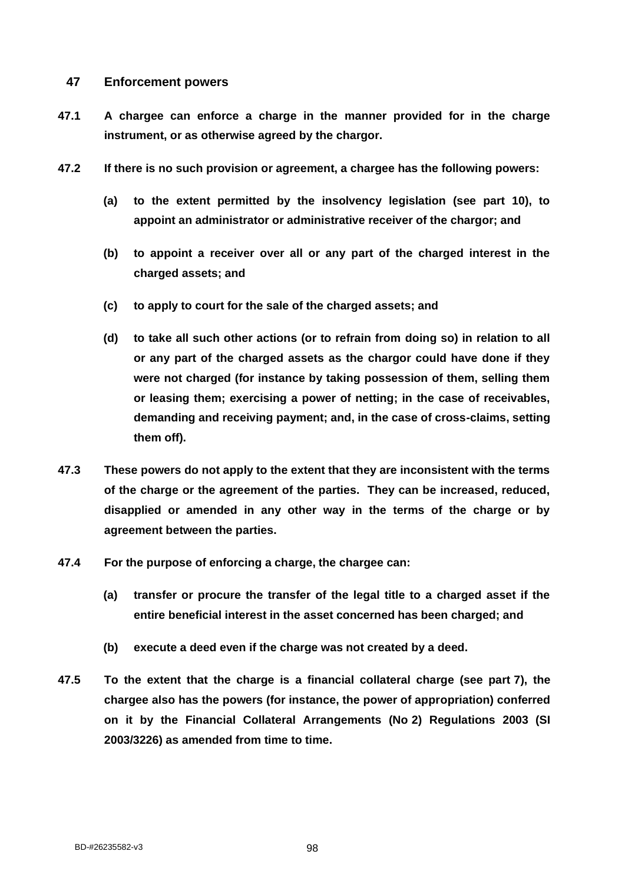### **47 Enforcement powers**

- **47.1 A chargee can enforce a charge in the manner provided for in the charge instrument, or as otherwise agreed by the chargor.**
- **47.2 If there is no such provision or agreement, a chargee has the following powers:**
	- **(a) to the extent permitted by the insolvency legislation (see part 10), to appoint an administrator or administrative receiver of the chargor; and**
	- **(b) to appoint a receiver over all or any part of the charged interest in the charged assets; and**
	- **(c) to apply to court for the sale of the charged assets; and**
	- **(d) to take all such other actions (or to refrain from doing so) in relation to all or any part of the charged assets as the chargor could have done if they were not charged (for instance by taking possession of them, selling them or leasing them; exercising a power of netting; in the case of receivables, demanding and receiving payment; and, in the case of cross-claims, setting them off).**
- **47.3 These powers do not apply to the extent that they are inconsistent with the terms of the charge or the agreement of the parties. They can be increased, reduced, disapplied or amended in any other way in the terms of the charge or by agreement between the parties.**
- **47.4 For the purpose of enforcing a charge, the chargee can:**
	- **(a) transfer or procure the transfer of the legal title to a charged asset if the entire beneficial interest in the asset concerned has been charged; and**
	- **(b) execute a deed even if the charge was not created by a deed.**
- **47.5 To the extent that the charge is a financial collateral charge (see part 7), the chargee also has the powers (for instance, the power of appropriation) conferred on it by the Financial Collateral Arrangements (No 2) Regulations 2003 (SI 2003/3226) as amended from time to time.**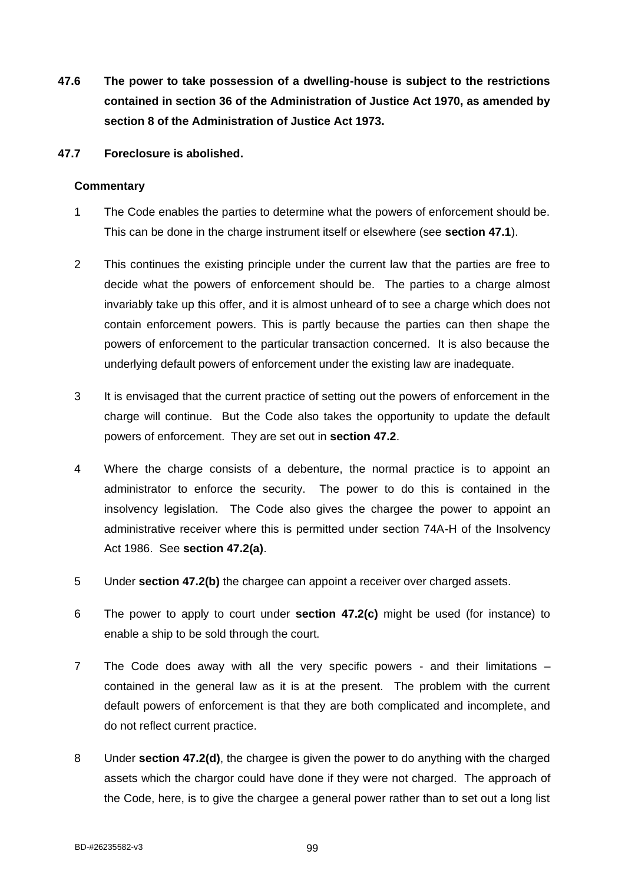**47.6 The power to take possession of a dwelling-house is subject to the restrictions contained in section 36 of the Administration of Justice Act 1970, as amended by section 8 of the Administration of Justice Act 1973.**

#### **47.7 Foreclosure is abolished.**

- 1 The Code enables the parties to determine what the powers of enforcement should be. This can be done in the charge instrument itself or elsewhere (see **section 47.1**).
- 2 This continues the existing principle under the current law that the parties are free to decide what the powers of enforcement should be. The parties to a charge almost invariably take up this offer, and it is almost unheard of to see a charge which does not contain enforcement powers. This is partly because the parties can then shape the powers of enforcement to the particular transaction concerned. It is also because the underlying default powers of enforcement under the existing law are inadequate.
- 3 It is envisaged that the current practice of setting out the powers of enforcement in the charge will continue. But the Code also takes the opportunity to update the default powers of enforcement. They are set out in **section 47.2**.
- 4 Where the charge consists of a debenture, the normal practice is to appoint an administrator to enforce the security. The power to do this is contained in the insolvency legislation. The Code also gives the chargee the power to appoint an administrative receiver where this is permitted under section 74A-H of the Insolvency Act 1986. See **section 47.2(a)**.
- 5 Under **section 47.2(b)** the chargee can appoint a receiver over charged assets.
- 6 The power to apply to court under **section 47.2(c)** might be used (for instance) to enable a ship to be sold through the court.
- 7 The Code does away with all the very specific powers and their limitations contained in the general law as it is at the present. The problem with the current default powers of enforcement is that they are both complicated and incomplete, and do not reflect current practice.
- 8 Under **section 47.2(d)**, the chargee is given the power to do anything with the charged assets which the chargor could have done if they were not charged. The approach of the Code, here, is to give the chargee a general power rather than to set out a long list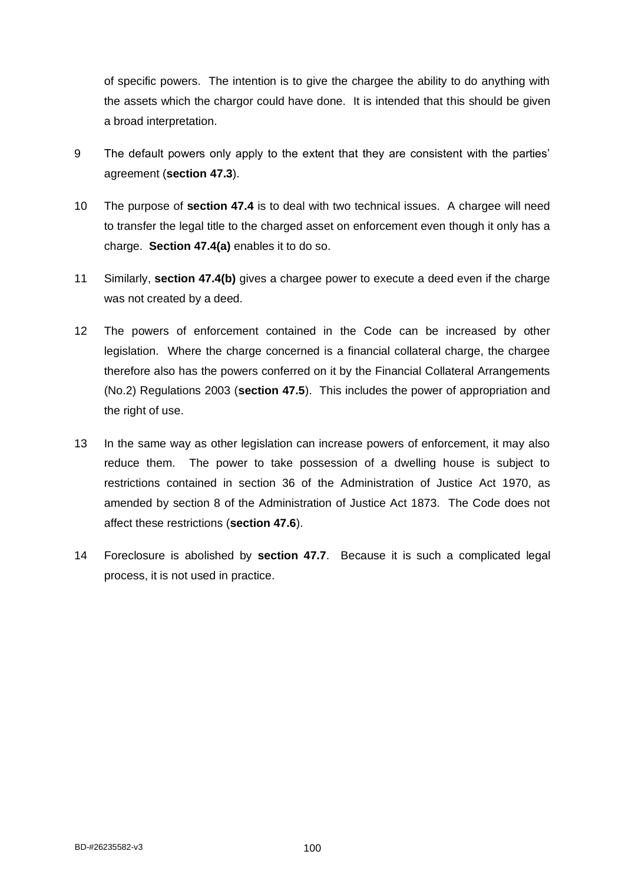of specific powers. The intention is to give the chargee the ability to do anything with the assets which the chargor could have done. It is intended that this should be given a broad interpretation.

- 9 The default powers only apply to the extent that they are consistent with the parties' agreement (**section 47.3**).
- 10 The purpose of **section 47.4** is to deal with two technical issues. A chargee will need to transfer the legal title to the charged asset on enforcement even though it only has a charge. **Section 47.4(a)** enables it to do so.
- 11 Similarly, **section 47.4(b)** gives a chargee power to execute a deed even if the charge was not created by a deed.
- 12 The powers of enforcement contained in the Code can be increased by other legislation. Where the charge concerned is a financial collateral charge, the chargee therefore also has the powers conferred on it by the Financial Collateral Arrangements (No.2) Regulations 2003 (**section 47.5**). This includes the power of appropriation and the right of use.
- 13 In the same way as other legislation can increase powers of enforcement, it may also reduce them. The power to take possession of a dwelling house is subject to restrictions contained in section 36 of the Administration of Justice Act 1970, as amended by section 8 of the Administration of Justice Act 1873. The Code does not affect these restrictions (**section 47.6**).
- 14 Foreclosure is abolished by **section 47.7**. Because it is such a complicated legal process, it is not used in practice.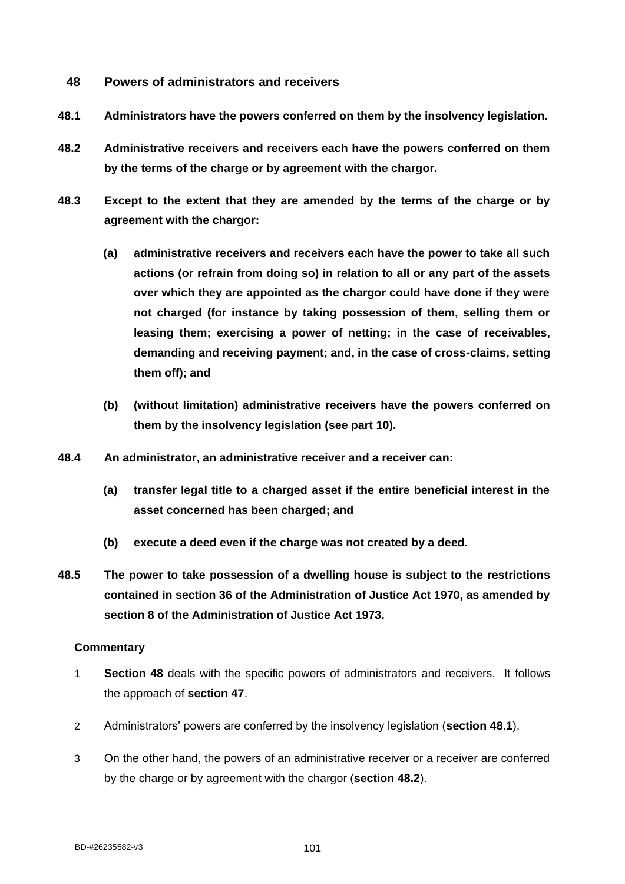- **48 Powers of administrators and receivers**
- **48.1 Administrators have the powers conferred on them by the insolvency legislation.**
- **48.2 Administrative receivers and receivers each have the powers conferred on them by the terms of the charge or by agreement with the chargor.**
- **48.3 Except to the extent that they are amended by the terms of the charge or by agreement with the chargor:**
	- **(a) administrative receivers and receivers each have the power to take all such actions (or refrain from doing so) in relation to all or any part of the assets over which they are appointed as the chargor could have done if they were not charged (for instance by taking possession of them, selling them or leasing them; exercising a power of netting; in the case of receivables, demanding and receiving payment; and, in the case of cross-claims, setting them off); and**
	- **(b) (without limitation) administrative receivers have the powers conferred on them by the insolvency legislation (see part 10).**
- **48.4 An administrator, an administrative receiver and a receiver can:**
	- **(a) transfer legal title to a charged asset if the entire beneficial interest in the asset concerned has been charged; and**
	- **(b) execute a deed even if the charge was not created by a deed.**
- **48.5 The power to take possession of a dwelling house is subject to the restrictions contained in section 36 of the Administration of Justice Act 1970, as amended by section 8 of the Administration of Justice Act 1973.**

- 1 **Section 48** deals with the specific powers of administrators and receivers. It follows the approach of **section 47**.
- 2 Administrators' powers are conferred by the insolvency legislation (**section 48.1**).
- 3 On the other hand, the powers of an administrative receiver or a receiver are conferred by the charge or by agreement with the chargor (**section 48.2**).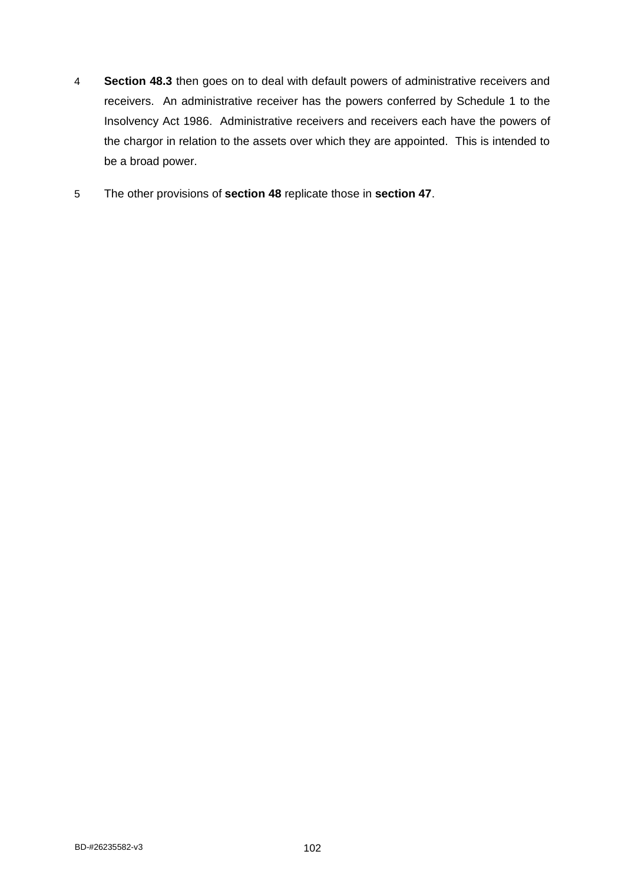- 4 **Section 48.3** then goes on to deal with default powers of administrative receivers and receivers. An administrative receiver has the powers conferred by Schedule 1 to the Insolvency Act 1986. Administrative receivers and receivers each have the powers of the chargor in relation to the assets over which they are appointed. This is intended to be a broad power.
- 5 The other provisions of **section 48** replicate those in **section 47**.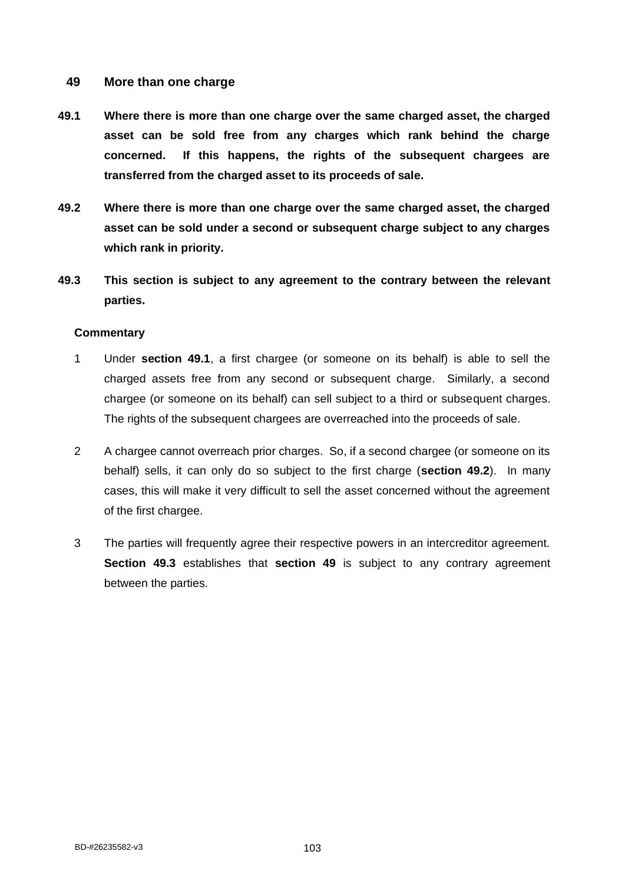# **49 More than one charge**

- **49.1 Where there is more than one charge over the same charged asset, the charged asset can be sold free from any charges which rank behind the charge concerned. If this happens, the rights of the subsequent chargees are transferred from the charged asset to its proceeds of sale.**
- **49.2 Where there is more than one charge over the same charged asset, the charged asset can be sold under a second or subsequent charge subject to any charges which rank in priority.**
- **49.3 This section is subject to any agreement to the contrary between the relevant parties.**

- 1 Under **section 49.1**, a first chargee (or someone on its behalf) is able to sell the charged assets free from any second or subsequent charge. Similarly, a second chargee (or someone on its behalf) can sell subject to a third or subsequent charges. The rights of the subsequent chargees are overreached into the proceeds of sale.
- 2 A chargee cannot overreach prior charges. So, if a second chargee (or someone on its behalf) sells, it can only do so subject to the first charge (**section 49.2**). In many cases, this will make it very difficult to sell the asset concerned without the agreement of the first chargee.
- 3 The parties will frequently agree their respective powers in an intercreditor agreement. **Section 49.3** establishes that **section 49** is subject to any contrary agreement between the parties.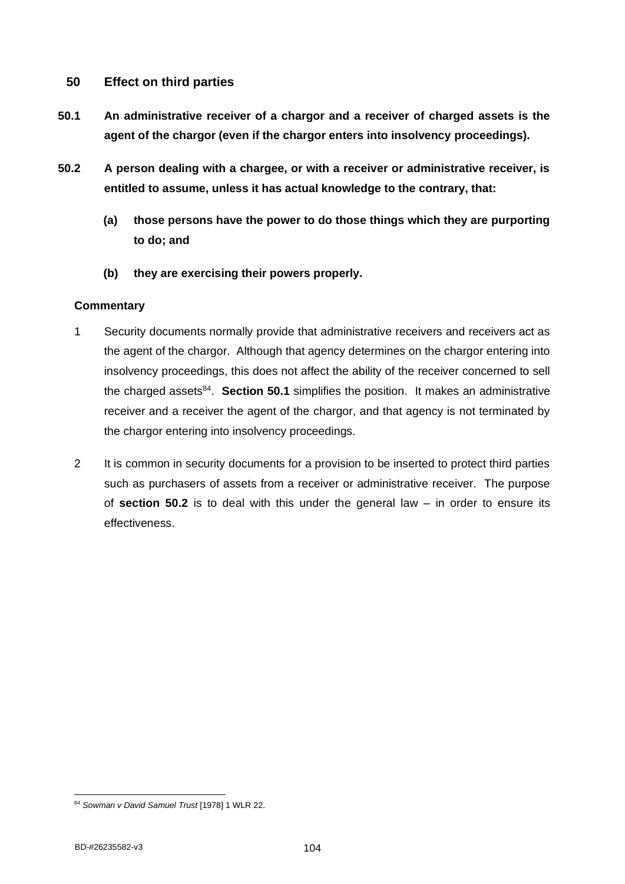# **50 Effect on third parties**

- **50.1 An administrative receiver of a chargor and a receiver of charged assets is the agent of the chargor (even if the chargor enters into insolvency proceedings).**
- **50.2 A person dealing with a chargee, or with a receiver or administrative receiver, is entitled to assume, unless it has actual knowledge to the contrary, that:**
	- **(a) those persons have the power to do those things which they are purporting to do; and**
	- **(b) they are exercising their powers properly.**

- 1 Security documents normally provide that administrative receivers and receivers act as the agent of the chargor. Although that agency determines on the chargor entering into insolvency proceedings, this does not affect the ability of the receiver concerned to sell the charged assets<sup>84</sup>. Section 50.1 simplifies the position. It makes an administrative receiver and a receiver the agent of the chargor, and that agency is not terminated by the chargor entering into insolvency proceedings.
- 2 It is common in security documents for a provision to be inserted to protect third parties such as purchasers of assets from a receiver or administrative receiver. The purpose of **section 50.2** is to deal with this under the general law – in order to ensure its effectiveness.

<sup>84</sup> *Sowman v David Samuel Trust* [1978] 1 WLR 22.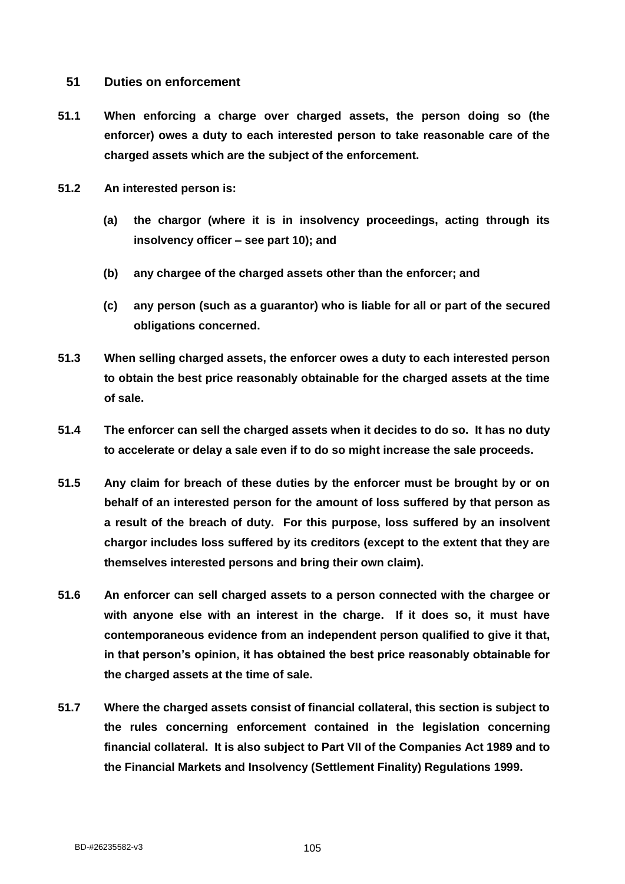## **51 Duties on enforcement**

- **51.1 When enforcing a charge over charged assets, the person doing so (the enforcer) owes a duty to each interested person to take reasonable care of the charged assets which are the subject of the enforcement.**
- **51.2 An interested person is:**
	- **(a) the chargor (where it is in insolvency proceedings, acting through its insolvency officer – see part 10); and**
	- **(b) any chargee of the charged assets other than the enforcer; and**
	- **(c) any person (such as a guarantor) who is liable for all or part of the secured obligations concerned.**
- **51.3 When selling charged assets, the enforcer owes a duty to each interested person to obtain the best price reasonably obtainable for the charged assets at the time of sale.**
- **51.4 The enforcer can sell the charged assets when it decides to do so. It has no duty to accelerate or delay a sale even if to do so might increase the sale proceeds.**
- **51.5 Any claim for breach of these duties by the enforcer must be brought by or on behalf of an interested person for the amount of loss suffered by that person as a result of the breach of duty. For this purpose, loss suffered by an insolvent chargor includes loss suffered by its creditors (except to the extent that they are themselves interested persons and bring their own claim).**
- **51.6 An enforcer can sell charged assets to a person connected with the chargee or with anyone else with an interest in the charge. If it does so, it must have contemporaneous evidence from an independent person qualified to give it that, in that person's opinion, it has obtained the best price reasonably obtainable for the charged assets at the time of sale.**
- **51.7 Where the charged assets consist of financial collateral, this section is subject to the rules concerning enforcement contained in the legislation concerning financial collateral. It is also subject to Part VII of the Companies Act 1989 and to the Financial Markets and Insolvency (Settlement Finality) Regulations 1999.**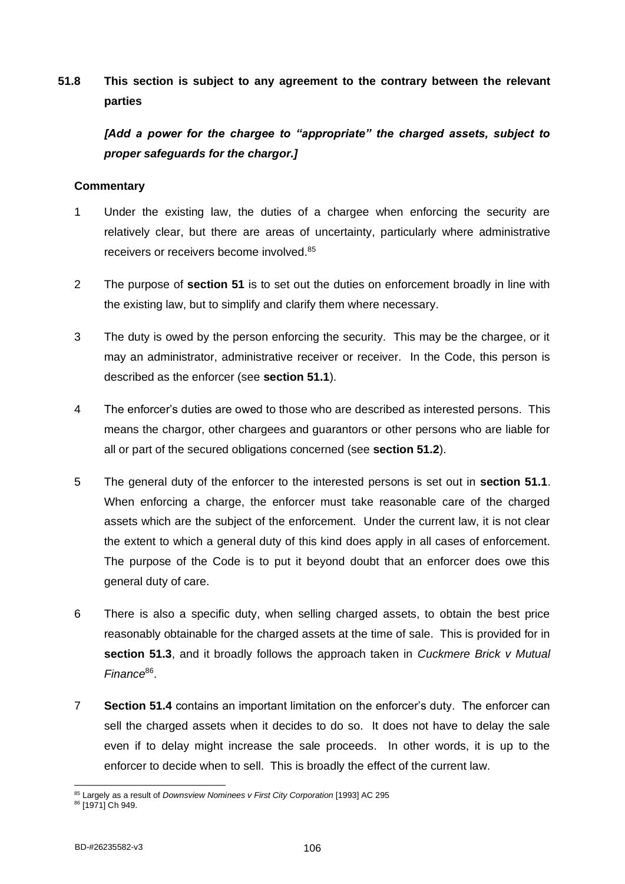# **51.8 This section is subject to any agreement to the contrary between the relevant parties**

*[Add a power for the chargee to "appropriate" the charged assets, subject to proper safeguards for the chargor.]*

- 1 Under the existing law, the duties of a chargee when enforcing the security are relatively clear, but there are areas of uncertainty, particularly where administrative receivers or receivers become involved.<sup>85</sup>
- 2 The purpose of **section 51** is to set out the duties on enforcement broadly in line with the existing law, but to simplify and clarify them where necessary.
- 3 The duty is owed by the person enforcing the security. This may be the chargee, or it may an administrator, administrative receiver or receiver. In the Code, this person is described as the enforcer (see **section 51.1**).
- 4 The enforcer's duties are owed to those who are described as interested persons. This means the chargor, other chargees and guarantors or other persons who are liable for all or part of the secured obligations concerned (see **section 51.2**).
- 5 The general duty of the enforcer to the interested persons is set out in **section 51.1**. When enforcing a charge, the enforcer must take reasonable care of the charged assets which are the subject of the enforcement. Under the current law, it is not clear the extent to which a general duty of this kind does apply in all cases of enforcement. The purpose of the Code is to put it beyond doubt that an enforcer does owe this general duty of care.
- 6 There is also a specific duty, when selling charged assets, to obtain the best price reasonably obtainable for the charged assets at the time of sale. This is provided for in **section 51.3**, and it broadly follows the approach taken in *Cuckmere Brick v Mutual*  Finance<sup>86</sup>.
- 7 **Section 51.4** contains an important limitation on the enforcer's duty. The enforcer can sell the charged assets when it decides to do so. It does not have to delay the sale even if to delay might increase the sale proceeds. In other words, it is up to the enforcer to decide when to sell. This is broadly the effect of the current law.

<sup>85</sup> Largely as a result of *Downsview Nominees v First City Corporation* [1993] AC 295

<sup>86 [1971]</sup> Ch 949.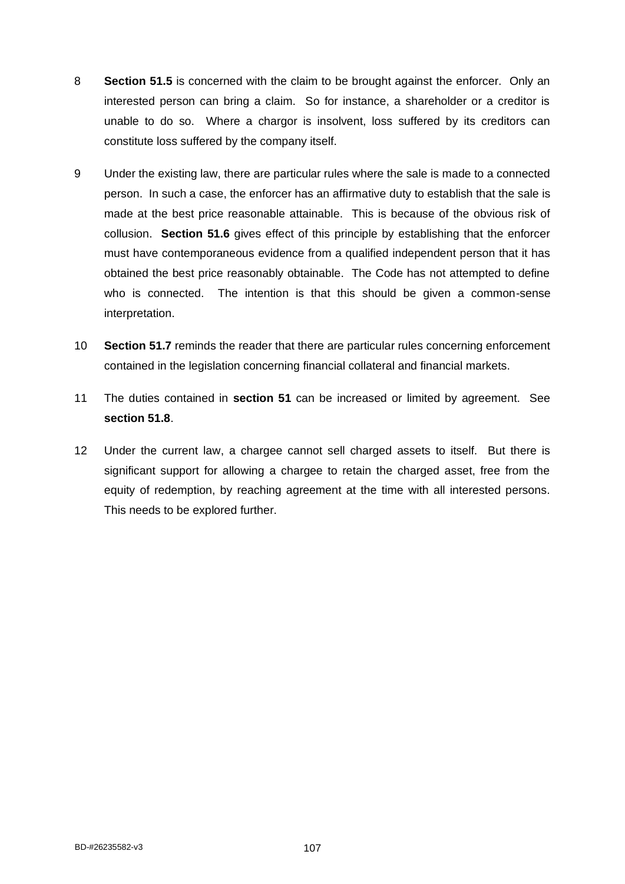- 8 **Section 51.5** is concerned with the claim to be brought against the enforcer. Only an interested person can bring a claim. So for instance, a shareholder or a creditor is unable to do so. Where a chargor is insolvent, loss suffered by its creditors can constitute loss suffered by the company itself.
- 9 Under the existing law, there are particular rules where the sale is made to a connected person. In such a case, the enforcer has an affirmative duty to establish that the sale is made at the best price reasonable attainable. This is because of the obvious risk of collusion. **Section 51.6** gives effect of this principle by establishing that the enforcer must have contemporaneous evidence from a qualified independent person that it has obtained the best price reasonably obtainable. The Code has not attempted to define who is connected. The intention is that this should be given a common-sense interpretation.
- 10 **Section 51.7** reminds the reader that there are particular rules concerning enforcement contained in the legislation concerning financial collateral and financial markets.
- 11 The duties contained in **section 51** can be increased or limited by agreement. See **section 51.8**.
- 12 Under the current law, a chargee cannot sell charged assets to itself. But there is significant support for allowing a chargee to retain the charged asset, free from the equity of redemption, by reaching agreement at the time with all interested persons. This needs to be explored further.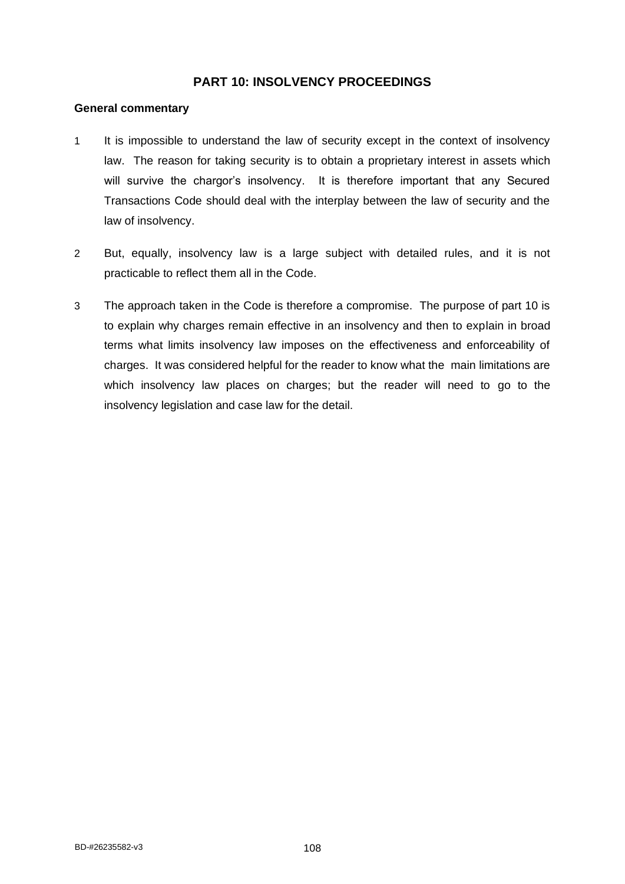# **PART 10: INSOLVENCY PROCEEDINGS**

#### **General commentary**

- 1 It is impossible to understand the law of security except in the context of insolvency law. The reason for taking security is to obtain a proprietary interest in assets which will survive the chargor's insolvency. It is therefore important that any Secured Transactions Code should deal with the interplay between the law of security and the law of insolvency.
- 2 But, equally, insolvency law is a large subject with detailed rules, and it is not practicable to reflect them all in the Code.
- 3 The approach taken in the Code is therefore a compromise. The purpose of part 10 is to explain why charges remain effective in an insolvency and then to explain in broad terms what limits insolvency law imposes on the effectiveness and enforceability of charges. It was considered helpful for the reader to know what the main limitations are which insolvency law places on charges; but the reader will need to go to the insolvency legislation and case law for the detail.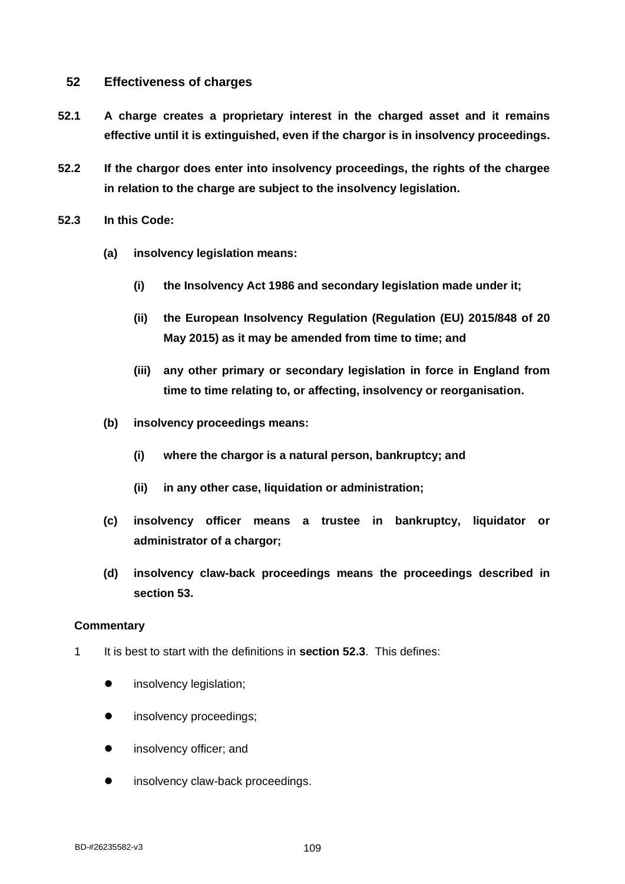# **52 Effectiveness of charges**

- **52.1 A charge creates a proprietary interest in the charged asset and it remains effective until it is extinguished, even if the chargor is in insolvency proceedings.**
- **52.2 If the chargor does enter into insolvency proceedings, the rights of the chargee in relation to the charge are subject to the insolvency legislation.**
- **52.3 In this Code:**
	- **(a) insolvency legislation means:**
		- **(i) the Insolvency Act 1986 and secondary legislation made under it;**
		- **(ii) the European Insolvency Regulation (Regulation (EU) 2015/848 of 20 May 2015) as it may be amended from time to time; and**
		- **(iii) any other primary or secondary legislation in force in England from time to time relating to, or affecting, insolvency or reorganisation.**
	- **(b) insolvency proceedings means:**
		- **(i) where the chargor is a natural person, bankruptcy; and**
		- **(ii) in any other case, liquidation or administration;**
	- **(c) insolvency officer means a trustee in bankruptcy, liquidator or administrator of a chargor;**
	- **(d) insolvency claw-back proceedings means the proceedings described in section 53.**

- 1 It is best to start with the definitions in **section 52.3**. This defines:
	- $\bullet$  insolvency legislation;
	- insolvency proceedings;
	- insolvency officer; and
	- insolvency claw-back proceedings.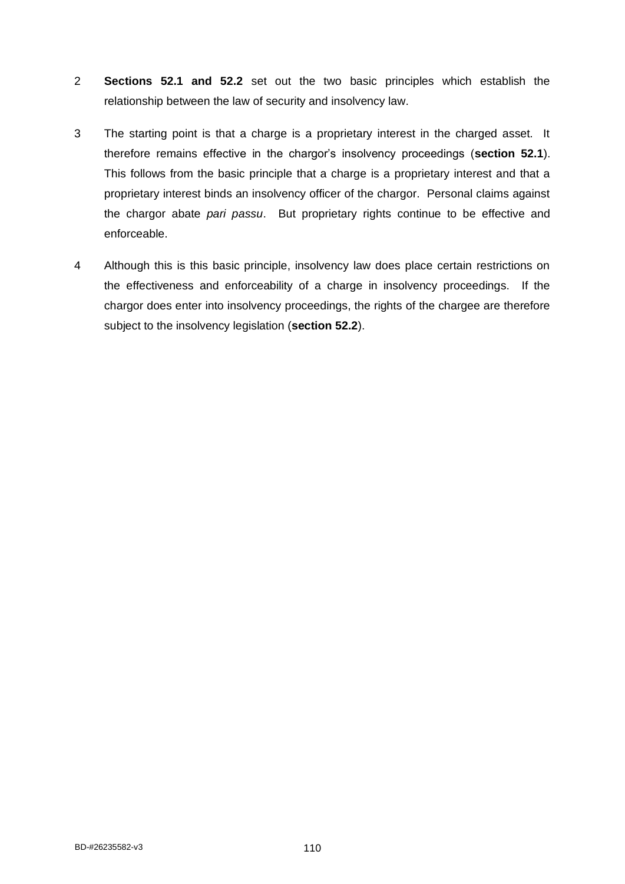- 2 **Sections 52.1 and 52.2** set out the two basic principles which establish the relationship between the law of security and insolvency law.
- 3 The starting point is that a charge is a proprietary interest in the charged asset. It therefore remains effective in the chargor's insolvency proceedings (**section 52.1**). This follows from the basic principle that a charge is a proprietary interest and that a proprietary interest binds an insolvency officer of the chargor. Personal claims against the chargor abate *pari passu*. But proprietary rights continue to be effective and enforceable.
- 4 Although this is this basic principle, insolvency law does place certain restrictions on the effectiveness and enforceability of a charge in insolvency proceedings. If the chargor does enter into insolvency proceedings, the rights of the chargee are therefore subject to the insolvency legislation (**section 52.2**).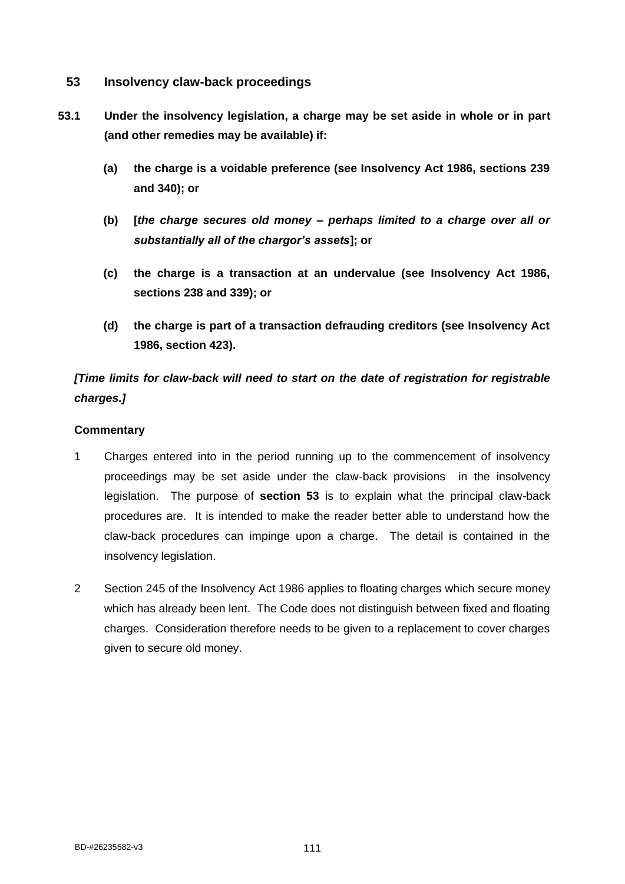- **53 Insolvency claw-back proceedings**
- **53.1 Under the insolvency legislation, a charge may be set aside in whole or in part (and other remedies may be available) if:**
	- **(a) the charge is a voidable preference (see Insolvency Act 1986, sections 239 and 340); or**
	- **(b) [***the charge secures old money – perhaps limited to a charge over all or substantially all of the chargor's assets***]; or**
	- **(c) the charge is a transaction at an undervalue (see Insolvency Act 1986, sections 238 and 339); or**
	- **(d) the charge is part of a transaction defrauding creditors (see Insolvency Act 1986, section 423).**

# *[Time limits for claw-back will need to start on the date of registration for registrable charges.]*

- 1 Charges entered into in the period running up to the commencement of insolvency proceedings may be set aside under the claw-back provisions in the insolvency legislation. The purpose of **section 53** is to explain what the principal claw-back procedures are. It is intended to make the reader better able to understand how the claw-back procedures can impinge upon a charge. The detail is contained in the insolvency legislation.
- 2 Section 245 of the Insolvency Act 1986 applies to floating charges which secure money which has already been lent. The Code does not distinguish between fixed and floating charges. Consideration therefore needs to be given to a replacement to cover charges given to secure old money.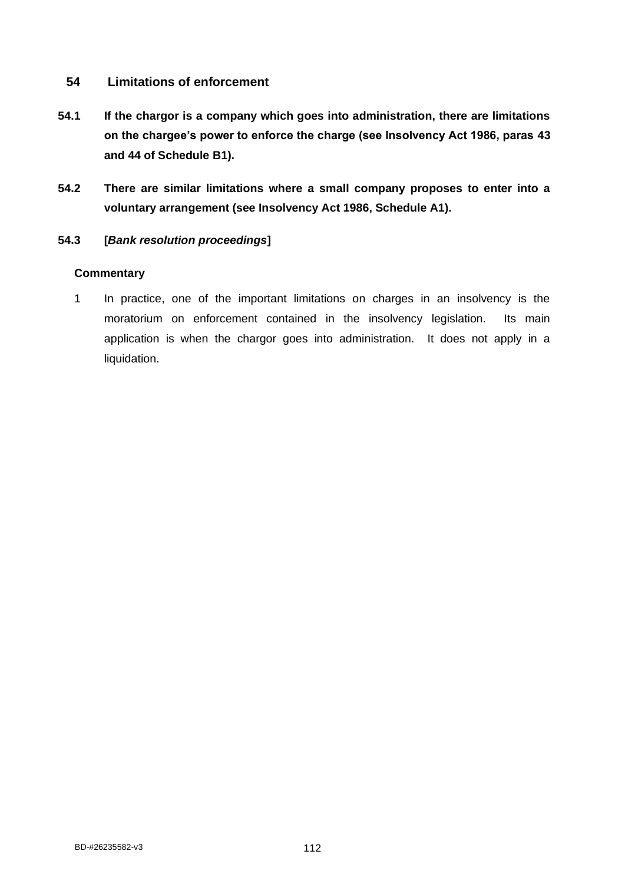# **54 Limitations of enforcement**

- **54.1 If the chargor is a company which goes into administration, there are limitations on the chargee's power to enforce the charge (see Insolvency Act 1986, paras 43 and 44 of Schedule B1).**
- **54.2 There are similar limitations where a small company proposes to enter into a voluntary arrangement (see Insolvency Act 1986, Schedule A1).**

## **54.3 [***Bank resolution proceedings***]**

### **Commentary**

1 In practice, one of the important limitations on charges in an insolvency is the moratorium on enforcement contained in the insolvency legislation. Its main application is when the chargor goes into administration. It does not apply in a liquidation.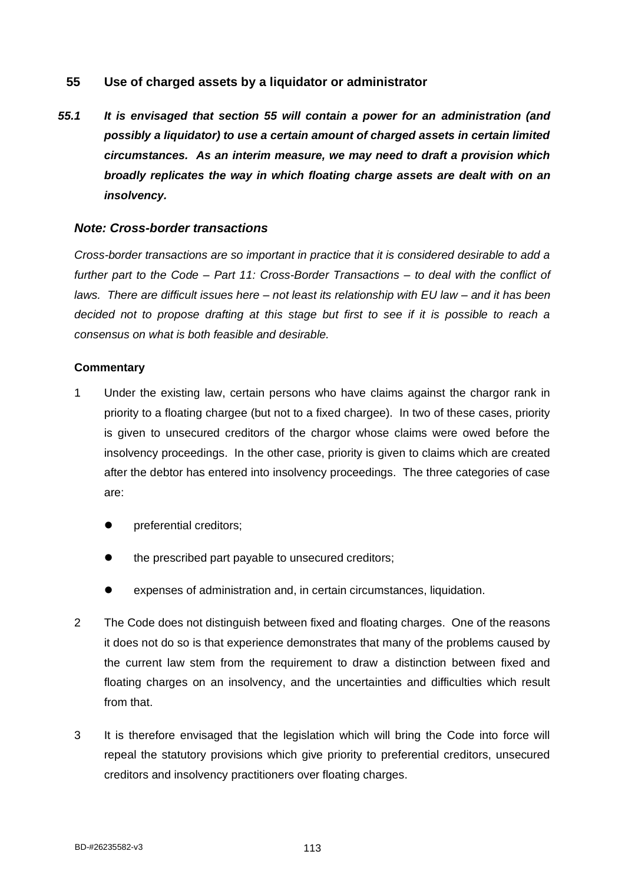# **55 Use of charged assets by a liquidator or administrator**

*55.1 It is envisaged that section 55 will contain a power for an administration (and possibly a liquidator) to use a certain amount of charged assets in certain limited circumstances. As an interim measure, we may need to draft a provision which broadly replicates the way in which floating charge assets are dealt with on an insolvency.*

### *Note: Cross-border transactions*

*Cross-border transactions are so important in practice that it is considered desirable to add a further part to the Code – Part 11: Cross-Border Transactions – to deal with the conflict of laws. There are difficult issues here – not least its relationship with EU law – and it has been decided not to propose drafting at this stage but first to see if it is possible to reach a consensus on what is both feasible and desirable.*

- 1 Under the existing law, certain persons who have claims against the chargor rank in priority to a floating chargee (but not to a fixed chargee). In two of these cases, priority is given to unsecured creditors of the chargor whose claims were owed before the insolvency proceedings. In the other case, priority is given to claims which are created after the debtor has entered into insolvency proceedings. The three categories of case are:
	- ⚫ preferential creditors;
	- ⚫ the prescribed part payable to unsecured creditors;
	- ⚫ expenses of administration and, in certain circumstances, liquidation.
- 2 The Code does not distinguish between fixed and floating charges. One of the reasons it does not do so is that experience demonstrates that many of the problems caused by the current law stem from the requirement to draw a distinction between fixed and floating charges on an insolvency, and the uncertainties and difficulties which result from that.
- 3 It is therefore envisaged that the legislation which will bring the Code into force will repeal the statutory provisions which give priority to preferential creditors, unsecured creditors and insolvency practitioners over floating charges.